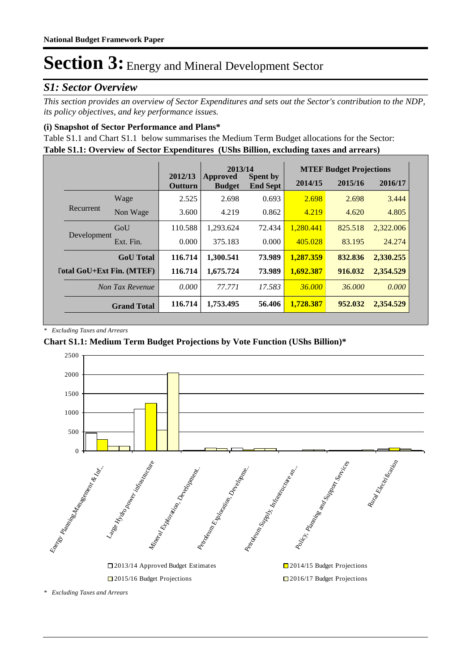## *S1: Sector Overview*

*This section provides an overview of Sector Expenditures and sets out the Sector's contribution to the NDP, its policy objectives, and key performance issues.* 

### **(i) Snapshot of Sector Performance and Plans\***

**Table S1.1: Overview of Sector Expenditures (UShs Billion, excluding taxes and arrears)** Table S1.1 and Chart S1.1 below summarises the Medium Term Budget allocations for the Sector:

|                                  |                    |                    | 2013/14                          |                                    | <b>MTEF Budget Projections</b> |         |           |
|----------------------------------|--------------------|--------------------|----------------------------------|------------------------------------|--------------------------------|---------|-----------|
|                                  |                    | 2012/13<br>Outturn | <b>Approved</b><br><b>Budget</b> | <b>Spent by</b><br><b>End Sept</b> | 2014/15                        | 2015/16 | 2016/17   |
|                                  | Wage               | 2.525              | 2.698                            | 0.693                              | 2.698                          | 2.698   | 3.444     |
| Recurrent                        | Non Wage           | 3.600              | 4.219                            | 0.862                              | 4.219                          | 4.620   | 4.805     |
|                                  | GoU                | 110.588            | 1,293.624                        | 72.434                             | 1,280.441                      | 825.518 | 2,322.006 |
| Development                      | Ext. Fin.          | 0.000              | 375.183                          | 0.000                              | 405.028                        | 83.195  | 24.274    |
|                                  | <b>GoU</b> Total   | 116.714            | 1,300.541                        | 73.989                             | 1.287.359                      | 832.836 | 2,330.255 |
| <b>Total GoU+Ext Fin. (MTEF)</b> |                    | 116.714            | 1,675.724                        | 73.989                             | 1,692.387                      | 916.032 | 2,354.529 |
|                                  | Non Tax Revenue    | 0.000              | 77.771                           | 17.583                             | 36,000                         | 36,000  | 0.000     |
|                                  | <b>Grand Total</b> | 116.714            | 1,753.495                        | 56.406                             | 1.728.387                      | 952.032 | 2,354.529 |

*\* Excluding Taxes and Arrears*

### **Chart S1.1: Medium Term Budget Projections by Vote Function (UShs Billion)\***



*\* Excluding Taxes and Arrears*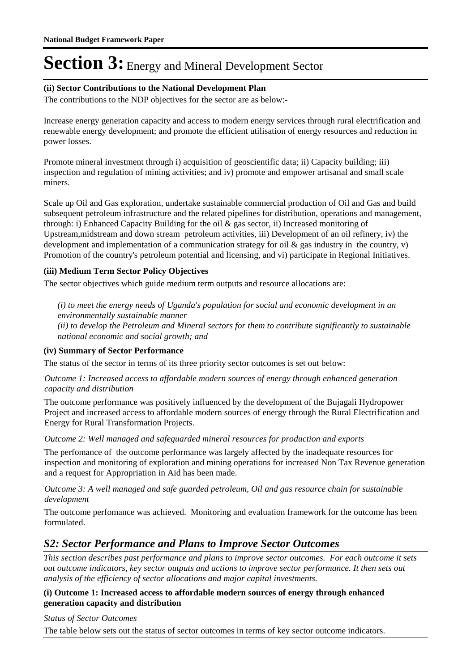### **(ii) Sector Contributions to the National Development Plan**

The contributions to the NDP objectives for the sector are as below:-

Increase energy generation capacity and access to modern energy services through rural electrification and renewable energy development; and promote the efficient utilisation of energy resources and reduction in power losses.

Promote mineral investment through i) acquisition of geoscientific data; ii) Capacity building; iii) inspection and regulation of mining activities; and iv) promote and empower artisanal and small scale miners.

Scale up Oil and Gas exploration, undertake sustainable commercial production of Oil and Gas and build subsequent petroleum infrastructure and the related pipelines for distribution, operations and management, through: i) Enhanced Capacity Building for the oil & gas sector, ii) Increased monitoring of Upstream,midstream and down stream petroleum activities, iii) Development of an oil refinery, iv) the development and implementation of a communication strategy for oil & gas industry in the country, v) Promotion of the country's petroleum potential and licensing, and vi) participate in Regional Initiatives.

### **(iii) Medium Term Sector Policy Objectives**

The sector objectives which guide medium term outputs and resource allocations are:

*(i) to meet the energy needs of Uganda's population for social and economic development in an environmentally sustainable manner (ii) to develop the Petroleum and Mineral sectors for them to contribute significantly to sustainable national economic and social growth; and*

### **(iv) Summary of Sector Performance**

The status of the sector in terms of its three priority sector outcomes is set out below:

Outcome 1: Increased access to affordable modern sources of energy through enhanced generation *capacity and distribution*

The outcome performance was positively influenced by the development of the Bujagali Hydropower Project and increased access to affordable modern sources of energy through the Rural Electrification and Energy for Rural Transformation Projects.

Outcome 2: Well managed and safeguarded mineral resources for production and exports

The perfomance of the outcome performance was largely affected by the inadequate resources for inspection and monitoring of exploration and mining operations for increased Non Tax Revenue generation and a request for Appropriation in Aid has been made.

#### Outcome 3: A well managed and safe guarded petroleum, Oil and gas resource chain for sustainable *development*

The outcome perfomance was achieved. Monitoring and evaluation framework for the outcome has been formulated.

### *S2: Sector Performance and Plans to Improve Sector Outcomes*

*This section describes past performance and plans to improve sector outcomes. For each outcome it sets out outcome indicators, key sector outputs and actions to improve sector performance. It then sets out analysis of the efficiency of sector allocations and major capital investments.*

### **(i) Outcome 1: Increased access to affordable modern sources of energy through enhanced generation capacity and distribution**

*Status of Sector Outcomes*

The table below sets out the status of sector outcomes in terms of key sector outcome indicators.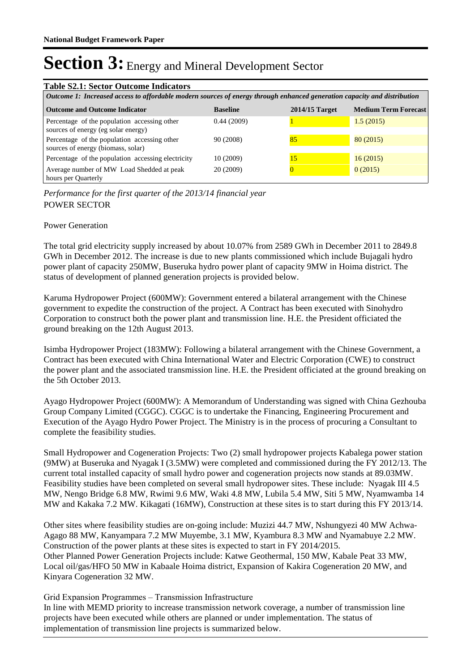| <b>Table S2.1: Sector Outcome Indicators</b>                                                                             |                 |                  |                             |  |  |  |
|--------------------------------------------------------------------------------------------------------------------------|-----------------|------------------|-----------------------------|--|--|--|
| Outcome 1: Increased access to affordable modern sources of energy through enhanced generation capacity and distribution |                 |                  |                             |  |  |  |
| <b>Outcome and Outcome Indicator</b>                                                                                     | <b>Baseline</b> | $2014/15$ Target | <b>Medium Term Forecast</b> |  |  |  |
| Percentage of the population accessing other<br>sources of energy (eg solar energy)                                      | 0.44(2009)      |                  | 1.5(2015)                   |  |  |  |
| Percentage of the population accessing other<br>sources of energy (biomass, solar)                                       | 90 (2008)       | 85               | 80(2015)                    |  |  |  |
| Percentage of the population accessing electricity                                                                       | 10 (2009)       | 15               | 16(2015)                    |  |  |  |
| Average number of MW Load Shedded at peak<br>hours per Quarterly                                                         | 20 (2009)       |                  | 0(2015)                     |  |  |  |

POWER SECTOR *Performance for the first quarter of the 2013/14 financial year*

### Power Generation

The total grid electricity supply increased by about 10.07% from 2589 GWh in December 2011 to 2849.8 GWh in December 2012. The increase is due to new plants commissioned which include Bujagali hydro power plant of capacity 250MW, Buseruka hydro power plant of capacity 9MW in Hoima district. The status of development of planned generation projects is provided below.

Karuma Hydropower Project (600MW): Government entered a bilateral arrangement with the Chinese government to expedite the construction of the project. A Contract has been executed with Sinohydro Corporation to construct both the power plant and transmission line. H.E. the President officiated the ground breaking on the 12th August 2013.

Isimba Hydropower Project (183MW): Following a bilateral arrangement with the Chinese Government, a Contract has been executed with China International Water and Electric Corporation (CWE) to construct the power plant and the associated transmission line. H.E. the President officiated at the ground breaking on the 5th October 2013.

Ayago Hydropower Project (600MW): A Memorandum of Understanding was signed with China Gezhouba Group Company Limited (CGGC). CGGC is to undertake the Financing, Engineering Procurement and Execution of the Ayago Hydro Power Project. The Ministry is in the process of procuring a Consultant to complete the feasibility studies.

Small Hydropower and Cogeneration Projects: Two (2) small hydropower projects Kabalega power station (9MW) at Buseruka and Nyagak I (3.5MW) were completed and commissioned during the FY 2012/13. The current total installed capacity of small hydro power and cogeneration projects now stands at 89.03MW. Feasibility studies have been completed on several small hydropower sites. These include: Nyagak III 4.5 MW, Nengo Bridge 6.8 MW, Rwimi 9.6 MW, Waki 4.8 MW, Lubila 5.4 MW, Siti 5 MW, Nyamwamba 14 MW and Kakaka 7.2 MW. Kikagati (16MW), Construction at these sites is to start during this FY 2013/14.

Other sites where feasibility studies are on-going include: Muzizi 44.7 MW, Nshungyezi 40 MW Achwa-Agago 88 MW, Kanyampara 7.2 MW Muyembe, 3.1 MW, Kyambura 8.3 MW and Nyamabuye 2.2 MW. Construction of the power plants at these sites is expected to start in FY 2014/2015. Other Planned Power Generation Projects include: Katwe Geothermal, 150 MW, Kabale Peat 33 MW, Local oil/gas/HFO 50 MW in Kabaale Hoima district, Expansion of Kakira Cogeneration 20 MW, and Kinyara Cogeneration 32 MW.

Grid Expansion Programmes – Transmission Infrastructure

In line with MEMD priority to increase transmission network coverage, a number of transmission line projects have been executed while others are planned or under implementation. The status of implementation of transmission line projects is summarized below.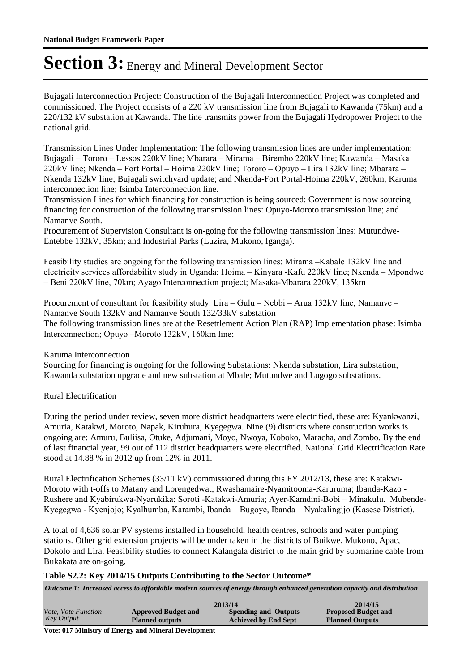Bujagali Interconnection Project: Construction of the Bujagali Interconnection Project was completed and commissioned. The Project consists of a 220 kV transmission line from Bujagali to Kawanda (75km) and a 220/132 kV substation at Kawanda. The line transmits power from the Bujagali Hydropower Project to the national grid.

Transmission Lines Under Implementation: The following transmission lines are under implementation: Bujagali – Tororo – Lessos 220kV line; Mbarara – Mirama – Birembo 220kV line; Kawanda – Masaka 220kV line; Nkenda – Fort Portal – Hoima 220kV line; Tororo – Opuyo – Lira 132kV line; Mbarara – Nkenda 132kV line; Bujagali switchyard update; and Nkenda-Fort Portal-Hoima 220kV, 260km; Karuma interconnection line; Isimba Interconnection line.

Transmission Lines for which financing for construction is being sourced: Government is now sourcing financing for construction of the following transmission lines: Opuyo-Moroto transmission line; and Namanve South.

Procurement of Supervision Consultant is on-going for the following transmission lines: Mutundwe-Entebbe 132kV, 35km; and Industrial Parks (Luzira, Mukono, Iganga).

Feasibility studies are ongoing for the following transmission lines: Mirama –Kabale 132kV line and electricity services affordability study in Uganda; Hoima – Kinyara -Kafu 220kV line; Nkenda – Mpondwe – Beni 220kV line, 70km; Ayago Interconnection project; Masaka-Mbarara 220kV, 135km

Procurement of consultant for feasibility study: Lira – Gulu – Nebbi – Arua 132kV line; Namanve – Namanve South 132kV and Namanve South 132/33kV substation The following transmission lines are at the Resettlement Action Plan (RAP) Implementation phase: Isimba Interconnection; Opuyo –Moroto 132kV, 160km line;

Karuma Interconnection

Sourcing for financing is ongoing for the following Substations: Nkenda substation, Lira substation, Kawanda substation upgrade and new substation at Mbale; Mutundwe and Lugogo substations.

### Rural Electrification

During the period under review, seven more district headquarters were electrified, these are: Kyankwanzi, Amuria, Katakwi, Moroto, Napak, Kiruhura, Kyegegwa. Nine (9) districts where construction works is ongoing are: Amuru, Buliisa, Otuke, Adjumani, Moyo, Nwoya, Koboko, Maracha, and Zombo. By the end of last financial year, 99 out of 112 district headquarters were electrified. National Grid Electrification Rate stood at 14.88 % in 2012 up from 12% in 2011.

Rural Electrification Schemes (33/11 kV) commissioned during this FY 2012/13, these are: Katakwi-Moroto with t-offs to Matany and Lorengedwat; Rwashamaire-Nyamitooma-Karuruma; Ibanda-Kazo - Rushere and Kyabirukwa-Nyarukika; Soroti -Katakwi-Amuria; Ayer-Kamdini-Bobi – Minakulu. Mubende-Kyegegwa - Kyenjojo; Kyalhumba, Karambi, Ibanda – Bugoye, Ibanda – Nyakalingijo (Kasese District).

A total of 4,636 solar PV systems installed in household, health centres, schools and water pumping stations. Other grid extension projects will be under taken in the districts of Buikwe, Mukono, Apac, Dokolo and Lira. Feasibility studies to connect Kalangala district to the main grid by submarine cable from Bukakata are on-going.

#### **Table S2.2: Key 2014/15 Outputs Contributing to the Sector Outcome\***

*Outcome 1: Increased access to affordable modern sources of energy through enhanced generation capacity and distribution*

|                     |                                                      | 2013/14                     | 2014/15                    |
|---------------------|------------------------------------------------------|-----------------------------|----------------------------|
| Vote, Vote Function | <b>Approved Budget and</b>                           | <b>Spending and Outputs</b> | <b>Proposed Budget and</b> |
| <b>Key Output</b>   | <b>Planned outputs</b>                               | <b>Achieved by End Sept</b> | <b>Planned Outputs</b>     |
|                     | Vote: 017 Ministry of Energy and Mineral Development |                             |                            |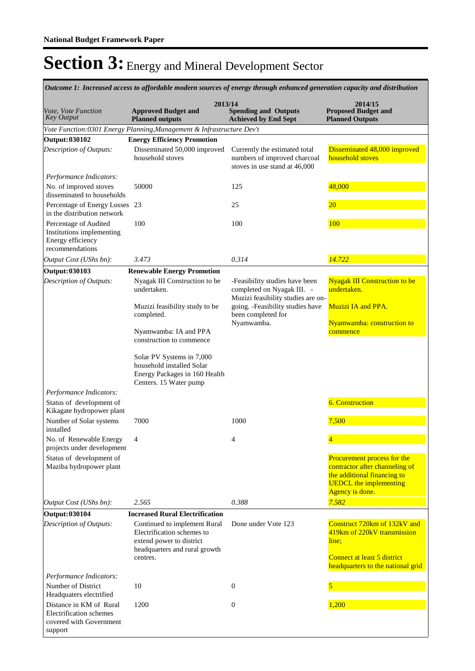**Spending and Outputs Achieved by End Sept Approved Budget and Planned outputs Proposed Budget and Planned Outputs 2013/14** *Vote, Vote Function Key Output* **2014/15** *Outcome 1: Increased access to affordable modern sources of energy through enhanced generation capacity and distribution Vote Function:0301 Energy Planning,Management & Infrastructure Dev't* **Output: 030102 Energy Efficiency Promotion** Disseminated 50,000 improved household stoves Currently the estimated total numbers of improved charcoal stoves in use stand at 46,000 Disseminated 48,000 improved household stoves *Output Cost (UShs bn): 3.473 0.314 14.722 Description of Outputs: Performance Indicators:* No. of improved stoves disseminated to households 50000 125 48,000 Percentage of Energy Losses 23 in the distribution network 23 25 20 Percentage of Audited Institutions implementing Energy efficiency recommendations 100 100 100 **Output: 030103 Renewable Energy Promotion** Nyagak III Construction to be undertaken. Muzizi feasibility study to be completed. Nyamwamba: IA and PPA construction to commence Solar PV Systems in 7,000 household installed Solar Energy Packages in 160 Health Centers. 15 Water pump -Feasibility studies have been completed on Nyagak III. - Muzizi feasibility studies are ongoing. -Feasibility studies have been completed for Nyamwamba. Nyagak III Construction to be undertaken. Muzizi IA and PPA. Nyamwamba: construction to **commence** *Output Cost (UShs bn): 2.565 0.388 7.582 Description of Outputs: Performance Indicators:* Status of development of Kikagate hydropower plant 6. Construction Number of Solar systems installed 7000 1000 1000 7,500 No. of Renewable Energy projects under development 4 4 4 Status of development of Maziba hydropower plant Procurement process for the contractor after channeling of the additional financing to UEDCL the implementing Agency is done. **Output: 030104 Increased Rural Electrification** Continued to implement Rural Electrification schemes to extend power to district headquarters and rural growth centres. Done under Vote 123 Construct 720km of 132kV and 419km of 220kV transmission line: Connect at least 5 district headquarters to the national grid *Description of Outputs: Performance Indicators:* Number of District Headquaters electrified  $10 \t\t 0$  5 Distance in KM of Rural Electrification schemes covered with Government support 1,200 0 1,200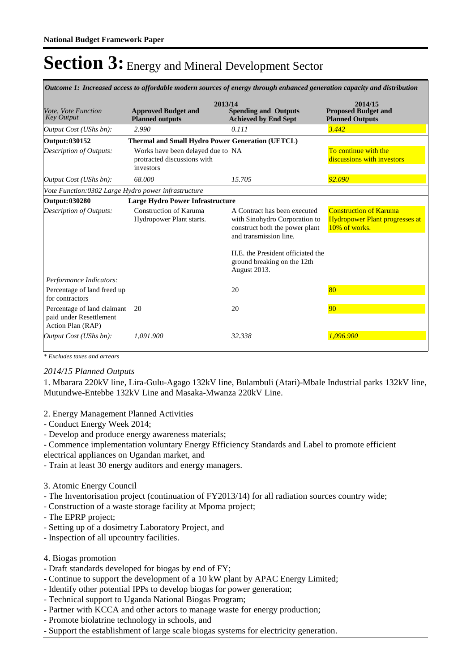| Outcome 1: Increased access to affordable modern sources of energy through enhanced generation capacity and distribution |                                                                               |                                                                                                                           |                                                                                         |  |  |
|--------------------------------------------------------------------------------------------------------------------------|-------------------------------------------------------------------------------|---------------------------------------------------------------------------------------------------------------------------|-----------------------------------------------------------------------------------------|--|--|
| Vote, Vote Function<br><b>Key Output</b>                                                                                 | 2013/14<br><b>Approved Budget and</b><br><b>Planned outputs</b>               | <b>Spending and Outputs</b><br><b>Achieved by End Sept</b>                                                                | 2014/15<br><b>Proposed Budget and</b><br><b>Planned Outputs</b>                         |  |  |
| Output Cost (UShs bn):                                                                                                   | 2.990                                                                         | 0.111                                                                                                                     | 3.442                                                                                   |  |  |
| Output: 030152                                                                                                           | <b>Thermal and Small Hydro Power Generation (UETCL)</b>                       |                                                                                                                           |                                                                                         |  |  |
| Description of Outputs:                                                                                                  | Works have been delayed due to NA<br>protracted discussions with<br>investors |                                                                                                                           | To continue with the<br>discussions with investors                                      |  |  |
| Output Cost (UShs bn):                                                                                                   | 68.000                                                                        | 15.705                                                                                                                    | 92.090                                                                                  |  |  |
| Vote Function:0302 Large Hydro power infrastructure                                                                      |                                                                               |                                                                                                                           |                                                                                         |  |  |
| Output: 030280                                                                                                           | <b>Large Hydro Power Infrastructure</b>                                       |                                                                                                                           |                                                                                         |  |  |
| <b>Description of Outputs:</b>                                                                                           | Construction of Karuma<br>Hydropower Plant starts.                            | A Contract has been executed<br>with Sinohydro Corporation to<br>construct both the power plant<br>and transmission line. | <b>Construction of Karuma</b><br><b>Hydropower Plant progresses at</b><br>10% of works. |  |  |
|                                                                                                                          |                                                                               | H.E. the President officiated the<br>ground breaking on the 12th<br>August 2013.                                          |                                                                                         |  |  |
| Performance Indicators:                                                                                                  |                                                                               |                                                                                                                           |                                                                                         |  |  |
| Percentage of land freed up<br>for contractors                                                                           |                                                                               | 20                                                                                                                        | 80                                                                                      |  |  |
| Percentage of land claimant<br>paid under Resettlement<br>Action Plan (RAP)                                              | 20                                                                            | 20                                                                                                                        | 90                                                                                      |  |  |
| Output Cost (UShs bn):                                                                                                   | 1,091.900                                                                     | 32.338                                                                                                                    | 1.096.900                                                                               |  |  |

*\* Excludes taxes and arrears*

### *2014/15 Planned Outputs*

1. Mbarara 220kV line, Lira-Gulu-Agago 132kV line, Bulambuli (Atari)-Mbale Industrial parks 132kV line, Mutundwe-Entebbe 132kV Line and Masaka-Mwanza 220kV Line.

#### 2. Energy Management Planned Activities

- Conduct Energy Week 2014;
- Develop and produce energy awareness materials;

- Commence implementation voluntary Energy Efficiency Standards and Label to promote efficient electrical appliances on Ugandan market, and

- Train at least 30 energy auditors and energy managers.

#### 3. Atomic Energy Council

- The Inventorisation project (continuation of FY2013/14) for all radiation sources country wide;

- Construction of a waste storage facility at Mpoma project;
- The EPRP project;
- Setting up of a dosimetry Laboratory Project, and
- Inspection of all upcountry facilities.
- 4. Biogas promotion
- Draft standards developed for biogas by end of FY;
- Continue to support the development of a 10 kW plant by APAC Energy Limited;
- Identify other potential IPPs to develop biogas for power generation;
- Technical support to Uganda National Biogas Program;
- Partner with KCCA and other actors to manage waste for energy production;
- Promote biolatrine technology in schools, and
- Support the establishment of large scale biogas systems for electricity generation.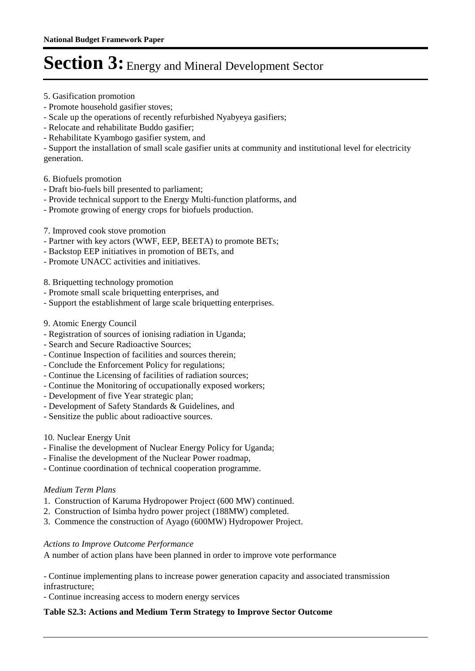- 5. Gasification promotion
- Promote household gasifier stoves;
- Scale up the operations of recently refurbished Nyabyeya gasifiers;
- Relocate and rehabilitate Buddo gasifier;
- Rehabilitate Kyambogo gasifier system, and

- Support the installation of small scale gasifier units at community and institutional level for electricity generation.

### 6. Biofuels promotion

- Draft bio-fuels bill presented to parliament;
- Provide technical support to the Energy Multi-function platforms, and
- Promote growing of energy crops for biofuels production.
- 7. Improved cook stove promotion
- Partner with key actors (WWF, EEP, BEETA) to promote BETs;
- Backstop EEP initiatives in promotion of BETs, and
- Promote UNACC activities and initiatives.

8. Briquetting technology promotion

- Promote small scale briquetting enterprises, and
- Support the establishment of large scale briquetting enterprises.
- 9. Atomic Energy Council
- Registration of sources of ionising radiation in Uganda;
- Search and Secure Radioactive Sources;
- Continue Inspection of facilities and sources therein;
- Conclude the Enforcement Policy for regulations;
- Continue the Licensing of facilities of radiation sources;
- Continue the Monitoring of occupationally exposed workers;
- Development of five Year strategic plan;
- Development of Safety Standards & Guidelines, and
- Sensitize the public about radioactive sources.

### 10. Nuclear Energy Unit

- Finalise the development of Nuclear Energy Policy for Uganda;
- Finalise the development of the Nuclear Power roadmap,
- Continue coordination of technical cooperation programme.

### *Medium Term Plans*

- 1. Construction of Karuma Hydropower Project (600 MW) continued.
- 2. Construction of Isimba hydro power project (188MW) completed.
- 3. Commence the construction of Ayago (600MW) Hydropower Project.

### *Actions to Improve Outcome Performance*

A number of action plans have been planned in order to improve vote performance

- Continue implementing plans to increase power generation capacity and associated transmission infrastructure;

- Continue increasing access to modern energy services

### **Table S2.3: Actions and Medium Term Strategy to Improve Sector Outcome**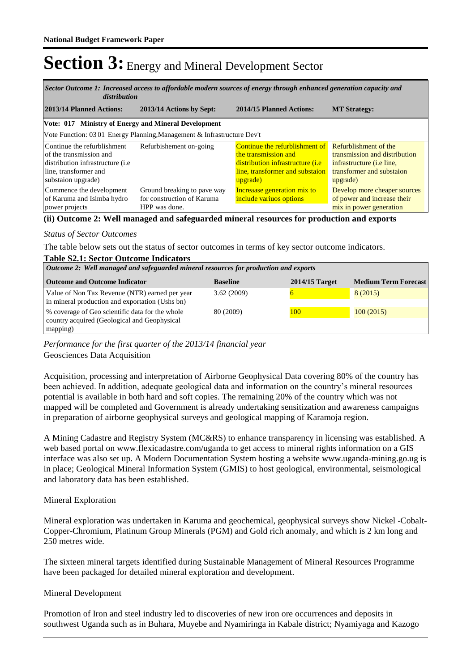*Increased access to affordable modern sources of energy through enhanced generation capacity and Sector Outcome 1: distribution*

| 2013/14 Planned Actions:                                                                                                                            | 2013/14 Actions by Sept:                                                   | 2014/15 Planned Actions:                                                                                                                                                  | <b>MT Strategy:</b>                                                                                          |
|-----------------------------------------------------------------------------------------------------------------------------------------------------|----------------------------------------------------------------------------|---------------------------------------------------------------------------------------------------------------------------------------------------------------------------|--------------------------------------------------------------------------------------------------------------|
| Vote: 017 Ministry of Energy and Mineral Development                                                                                                |                                                                            |                                                                                                                                                                           |                                                                                                              |
|                                                                                                                                                     | Vote Function: 03 01 Energy Planning, Management & Infrastructure Dev't    |                                                                                                                                                                           |                                                                                                              |
| Continue the refurblishment<br>of the transmission and<br>distribution infrastructure ( <i>i.e</i> )<br>line, transformer and<br>substaion upgrade) | Refurbishement on-going                                                    | Continue the refurblishment of Refurblishment of the<br>the transmission and<br>distribution infrastructure ( <i>i.e</i> )<br>line, transformer and substaion<br>upgrade) | transmission and distribution<br>infrastructure ( <i>i.e line</i> ,<br>transformer and substaion<br>upgrade) |
| Commence the development<br>of Karuma and Isimba hydro<br>power projects                                                                            | Ground breaking to pave way<br>for construction of Karuma<br>HPP was done. | Increaase generation mix to<br>include variuos options                                                                                                                    | Develop more cheaper sources<br>of power and increase their<br>mix in power generation                       |

#### **(ii) Outcome 2: Well managed and safeguarded mineral resources for production and exports**

#### *Status of Sector Outcomes*

The table below sets out the status of sector outcomes in terms of key sector outcome indicators.

#### **Table S2.1: Sector Outcome Indicators**

| Outcome 2: Well managed and safeguarded mineral resources for production and exports              |                 |                  |                             |  |  |  |
|---------------------------------------------------------------------------------------------------|-----------------|------------------|-----------------------------|--|--|--|
| <b>Outcome and Outcome Indicator</b>                                                              | <b>Baseline</b> | $2014/15$ Target | <b>Medium Term Forecast</b> |  |  |  |
| Value of Non Tax Revenue (NTR) earned per year<br>in mineral production and exportation (Ushs bn) | 3.62(2009)      |                  | 8 (2015)                    |  |  |  |
| % coverage of Geo scientific data for the whole<br>country acquired (Geological and Geophysical   | 80 (2009)       | 100              | 100(2015)                   |  |  |  |
| mapping)                                                                                          |                 |                  |                             |  |  |  |

*Performance for the first quarter of the 2013/14 financial year*

Geosciences Data Acquisition

Acquisition, processing and interpretation of Airborne Geophysical Data covering 80% of the country has been achieved. In addition, adequate geological data and information on the country's mineral resources potential is available in both hard and soft copies. The remaining 20% of the country which was not mapped will be completed and Government is already undertaking sensitization and awareness campaigns in preparation of airborne geophysical surveys and geological mapping of Karamoja region.

A Mining Cadastre and Registry System (MC&RS) to enhance transparency in licensing was established. A web based portal on www.flexicadastre.com/uganda to get access to mineral rights information on a GIS interface was also set up. A Modern Documentation System hosting a website www.uganda-mining.go.ug is in place; Geological Mineral Information System (GMIS) to host geological, environmental, seismological and laboratory data has been established.

#### Mineral Exploration

Mineral exploration was undertaken in Karuma and geochemical, geophysical surveys show Nickel -Cobalt-Copper-Chromium, Platinum Group Minerals (PGM) and Gold rich anomaly, and which is 2 km long and 250 metres wide.

The sixteen mineral targets identified during Sustainable Management of Mineral Resources Programme have been packaged for detailed mineral exploration and development.

#### Mineral Development

Promotion of Iron and steel industry led to discoveries of new iron ore occurrences and deposits in southwest Uganda such as in Buhara, Muyebe and Nyamiringa in Kabale district; Nyamiyaga and Kazogo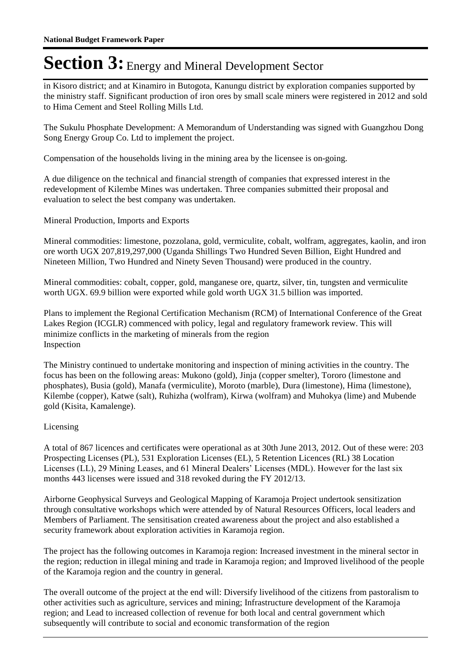in Kisoro district; and at Kinamiro in Butogota, Kanungu district by exploration companies supported by the ministry staff. Significant production of iron ores by small scale miners were registered in 2012 and sold to Hima Cement and Steel Rolling Mills Ltd.

The Sukulu Phosphate Development: A Memorandum of Understanding was signed with Guangzhou Dong Song Energy Group Co. Ltd to implement the project.

Compensation of the households living in the mining area by the licensee is on-going.

A due diligence on the technical and financial strength of companies that expressed interest in the redevelopment of Kilembe Mines was undertaken. Three companies submitted their proposal and evaluation to select the best company was undertaken.

Mineral Production, Imports and Exports

Mineral commodities: limestone, pozzolana, gold, vermiculite, cobalt, wolfram, aggregates, kaolin, and iron ore worth UGX 207,819,297,000 (Uganda Shillings Two Hundred Seven Billion, Eight Hundred and Nineteen Million, Two Hundred and Ninety Seven Thousand) were produced in the country.

Mineral commodities: cobalt, copper, gold, manganese ore, quartz, silver, tin, tungsten and vermiculite worth UGX. 69.9 billion were exported while gold worth UGX 31.5 billion was imported.

Plans to implement the Regional Certification Mechanism (RCM) of International Conference of the Great Lakes Region (ICGLR) commenced with policy, legal and regulatory framework review. This will minimize conflicts in the marketing of minerals from the region Inspection

The Ministry continued to undertake monitoring and inspection of mining activities in the country. The focus has been on the following areas: Mukono (gold), Jinja (copper smelter), Tororo (limestone and phosphates), Busia (gold), Manafa (vermiculite), Moroto (marble), Dura (limestone), Hima (limestone), Kilembe (copper), Katwe (salt), Ruhizha (wolfram), Kirwa (wolfram) and Muhokya (lime) and Mubende gold (Kisita, Kamalenge).

### Licensing

A total of 867 licences and certificates were operational as at 30th June 2013, 2012. Out of these were: 203 Prospecting Licenses (PL), 531 Exploration Licenses (EL), 5 Retention Licences (RL) 38 Location Licenses (LL), 29 Mining Leases, and 61 Mineral Dealers' Licenses (MDL). However for the last six months 443 licenses were issued and 318 revoked during the FY 2012/13.

Airborne Geophysical Surveys and Geological Mapping of Karamoja Project undertook sensitization through consultative workshops which were attended by of Natural Resources Officers, local leaders and Members of Parliament. The sensitisation created awareness about the project and also established a security framework about exploration activities in Karamoja region.

The project has the following outcomes in Karamoja region: Increased investment in the mineral sector in the region; reduction in illegal mining and trade in Karamoja region; and Improved livelihood of the people of the Karamoja region and the country in general.

The overall outcome of the project at the end will: Diversify livelihood of the citizens from pastoralism to other activities such as agriculture, services and mining; Infrastructure development of the Karamoja region; and Lead to increased collection of revenue for both local and central government which subsequently will contribute to social and economic transformation of the region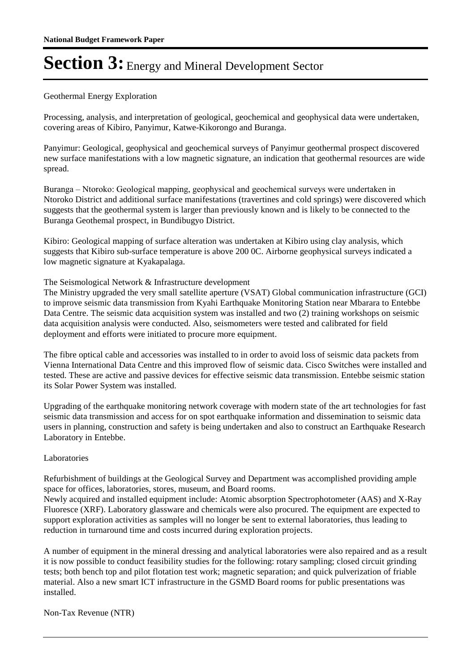### Geothermal Energy Exploration

Processing, analysis, and interpretation of geological, geochemical and geophysical data were undertaken, covering areas of Kibiro, Panyimur, Katwe-Kikorongo and Buranga.

Panyimur: Geological, geophysical and geochemical surveys of Panyimur geothermal prospect discovered new surface manifestations with a low magnetic signature, an indication that geothermal resources are wide spread.

Buranga – Ntoroko: Geological mapping, geophysical and geochemical surveys were undertaken in Ntoroko District and additional surface manifestations (travertines and cold springs) were discovered which suggests that the geothermal system is larger than previously known and is likely to be connected to the Buranga Geothemal prospect, in Bundibugyo District.

Kibiro: Geological mapping of surface alteration was undertaken at Kibiro using clay analysis, which suggests that Kibiro sub-surface temperature is above 200 0C. Airborne geophysical surveys indicated a low magnetic signature at Kyakapalaga.

#### The Seismological Network & Infrastructure development

The Ministry upgraded the very small satellite aperture (VSAT) Global communication infrastructure (GCI) to improve seismic data transmission from Kyahi Earthquake Monitoring Station near Mbarara to Entebbe Data Centre. The seismic data acquisition system was installed and two (2) training workshops on seismic data acquisition analysis were conducted. Also, seismometers were tested and calibrated for field deployment and efforts were initiated to procure more equipment.

The fibre optical cable and accessories was installed to in order to avoid loss of seismic data packets from Vienna International Data Centre and this improved flow of seismic data. Cisco Switches were installed and tested. These are active and passive devices for effective seismic data transmission. Entebbe seismic station its Solar Power System was installed.

Upgrading of the earthquake monitoring network coverage with modern state of the art technologies for fast seismic data transmission and access for on spot earthquake information and dissemination to seismic data users in planning, construction and safety is being undertaken and also to construct an Earthquake Research Laboratory in Entebbe.

#### Laboratories

Refurbishment of buildings at the Geological Survey and Department was accomplished providing ample space for offices, laboratories, stores, museum, and Board rooms.

Newly acquired and installed equipment include: Atomic absorption Spectrophotometer (AAS) and X-Ray Fluoresce (XRF). Laboratory glassware and chemicals were also procured. The equipment are expected to support exploration activities as samples will no longer be sent to external laboratories, thus leading to reduction in turnaround time and costs incurred during exploration projects.

A number of equipment in the mineral dressing and analytical laboratories were also repaired and as a result it is now possible to conduct feasibility studies for the following: rotary sampling; closed circuit grinding tests; both bench top and pilot flotation test work; magnetic separation; and quick pulverization of friable material. Also a new smart ICT infrastructure in the GSMD Board rooms for public presentations was installed.

Non-Tax Revenue (NTR)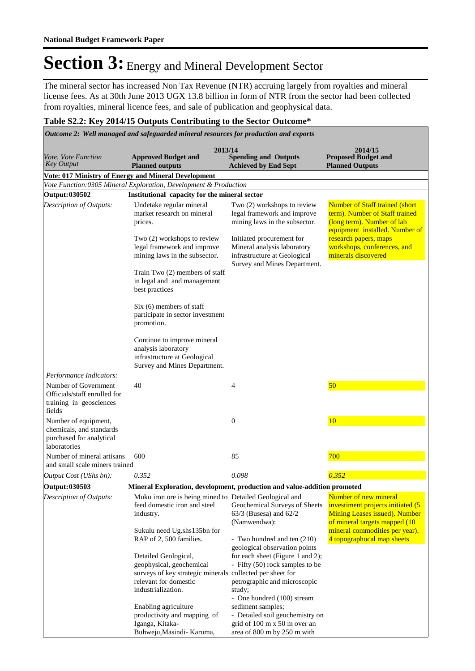The mineral sector has increased Non Tax Revenue (NTR) accruing largely from royalties and mineral license fees. As at 30th June 2013 UGX 13.8 billion in form of NTR from the sector had been collected from royalties, mineral licence fees, and sale of publication and geophysical data.

### **Table S2.2: Key 2014/15 Outputs Contributing to the Sector Outcome\***

| Outcome 2: Well managed and safeguarded mineral resources for production and exports         |                                                                                                                                                              |                                                                                                                                                                              |                                                                                                                                          |  |  |
|----------------------------------------------------------------------------------------------|--------------------------------------------------------------------------------------------------------------------------------------------------------------|------------------------------------------------------------------------------------------------------------------------------------------------------------------------------|------------------------------------------------------------------------------------------------------------------------------------------|--|--|
| <i>Vote, Vote Function</i><br><b>Key Output</b>                                              | 2013/14<br><b>Approved Budget and</b><br><b>Planned outputs</b>                                                                                              | <b>Spending and Outputs</b><br><b>Achieved by End Sept</b>                                                                                                                   | 2014/15<br><b>Proposed Budget and</b><br><b>Planned Outputs</b>                                                                          |  |  |
|                                                                                              | Vote: 017 Ministry of Energy and Mineral Development                                                                                                         |                                                                                                                                                                              |                                                                                                                                          |  |  |
|                                                                                              | Vote Function:0305 Mineral Exploration, Development & Production                                                                                             |                                                                                                                                                                              |                                                                                                                                          |  |  |
| Output: 030502                                                                               | Institutional capacity for the mineral sector                                                                                                                |                                                                                                                                                                              |                                                                                                                                          |  |  |
| Description of Outputs:                                                                      | Undetake regular mineral<br>market research on mineral<br>prices.                                                                                            | Two (2) workshops to review<br>legal framework and improve<br>mining laws in the subsector.                                                                                  | <b>Number of Staff trained (short)</b><br>term). Number of Staff trained<br>(long term). Number of lab<br>equipment installed. Number of |  |  |
|                                                                                              | Two (2) workshops to review<br>legal framework and improve<br>mining laws in the subsector.                                                                  | Initiated procurement for<br>Mineral analysis laboratory<br>infrastructure at Geological<br>Survey and Mines Department.                                                     | research papers, maps<br>workshops, conferences, and<br>minerals discovered                                                              |  |  |
|                                                                                              | Train Two (2) members of staff<br>in legal and and management<br>best practices                                                                              |                                                                                                                                                                              |                                                                                                                                          |  |  |
|                                                                                              | $Six(6)$ members of staff<br>participate in sector investment<br>promotion.                                                                                  |                                                                                                                                                                              |                                                                                                                                          |  |  |
|                                                                                              | Continue to improve mineral<br>analysis laboratory<br>infrastructure at Geological<br>Survey and Mines Department.                                           |                                                                                                                                                                              |                                                                                                                                          |  |  |
| Performance Indicators:                                                                      |                                                                                                                                                              |                                                                                                                                                                              |                                                                                                                                          |  |  |
| Number of Government<br>Officials/staff enrolled for<br>training in geosciences<br>fields    | 40                                                                                                                                                           | 4                                                                                                                                                                            | 50                                                                                                                                       |  |  |
| Number of equipment,<br>chemicals, and standards<br>purchased for analytical<br>laboratories |                                                                                                                                                              | $\boldsymbol{0}$                                                                                                                                                             | 10                                                                                                                                       |  |  |
| Number of mineral artisans<br>and small scale miners trained                                 | 600                                                                                                                                                          | 85                                                                                                                                                                           | 700                                                                                                                                      |  |  |
| Output Cost (UShs bn):                                                                       | 0.352                                                                                                                                                        | 0.098                                                                                                                                                                        | 0.352                                                                                                                                    |  |  |
| Output: 030503                                                                               | Mineral Exploration, development, production and value-addition promoted                                                                                     |                                                                                                                                                                              |                                                                                                                                          |  |  |
| Description of Outputs:                                                                      | Muko iron ore is being mined to Detailed Geological and<br>feed domestic iron and steel<br>industry.                                                         | Geochemical Surveys of Sheets<br>$63/3$ (Busesa) and $62/2$<br>(Namwendwa):                                                                                                  | Number of new mineral<br>investiment projects initiated (5<br><b>Mining Leases issued). Number</b><br>of mineral targets mapped (10      |  |  |
|                                                                                              | Sukulu need Ug.shs135bn for<br>RAP of 2, 500 families.                                                                                                       | - Two hundred and ten (210)                                                                                                                                                  | mineral commodities per year).<br>4 topographocal map sheets                                                                             |  |  |
|                                                                                              | Detailed Geological,<br>geophysical, geochemical<br>surveys of key strategic minerals collected per sheet for<br>relevant for domestic<br>industrialization. | geological observation points<br>for each sheet (Figure 1 and 2);<br>- Fifty (50) rock samples to be<br>petrographic and microscopic<br>study;<br>- One hundred (100) stream |                                                                                                                                          |  |  |
|                                                                                              | Enabling agriculture<br>productivity and mapping of<br>Iganga, Kitaka-<br>Buhweju, Masindi- Karuma,                                                          | sediment samples;<br>- Detailed soil geochemistry on<br>grid of 100 m x 50 m over an<br>area of 800 m by 250 m with                                                          |                                                                                                                                          |  |  |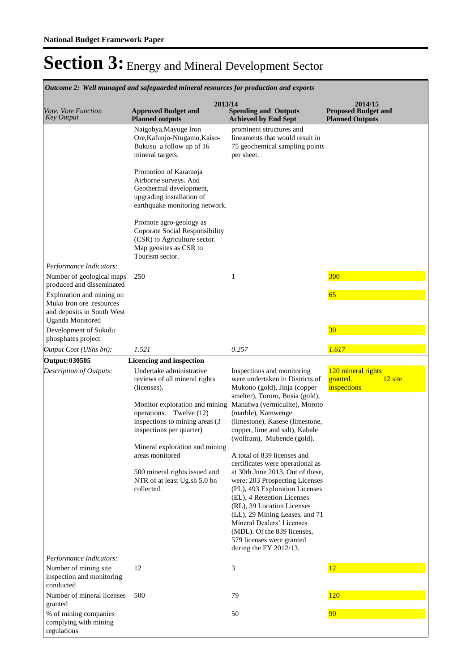|                                                                                                                                     | Outcome 2: Well managed and safeguarded mineral resources for production and exports                                                                                                                                                                                                                                                                                |                                                                                                                                                                                                                                                                                                                                                                                                                                                                                                                                                                                                                                                                                        |                                                                 |
|-------------------------------------------------------------------------------------------------------------------------------------|---------------------------------------------------------------------------------------------------------------------------------------------------------------------------------------------------------------------------------------------------------------------------------------------------------------------------------------------------------------------|----------------------------------------------------------------------------------------------------------------------------------------------------------------------------------------------------------------------------------------------------------------------------------------------------------------------------------------------------------------------------------------------------------------------------------------------------------------------------------------------------------------------------------------------------------------------------------------------------------------------------------------------------------------------------------------|-----------------------------------------------------------------|
| <i>Vote, Vote Function</i><br><b>Key Output</b>                                                                                     | 2013/14<br><b>Approved Budget and</b><br><b>Planned outputs</b>                                                                                                                                                                                                                                                                                                     | <b>Spending and Outputs</b><br><b>Achieved by End Sept</b>                                                                                                                                                                                                                                                                                                                                                                                                                                                                                                                                                                                                                             | 2014/15<br><b>Proposed Budget and</b><br><b>Planned Outputs</b> |
|                                                                                                                                     | Naigobya, Mayuge Iron<br>Ore, Kafunjo-Ntugamo, Kaiso-<br>Bukusu a follow up of 16<br>mineral targets.                                                                                                                                                                                                                                                               | prominent structures and<br>lineaments that would result in<br>75 geochemical sampling points<br>per sheet.                                                                                                                                                                                                                                                                                                                                                                                                                                                                                                                                                                            |                                                                 |
|                                                                                                                                     | Promotion of Karamoja<br>Airborne surveys. And<br>Geothermal development,<br>upgrading installation of<br>earthquake monitoring network.                                                                                                                                                                                                                            |                                                                                                                                                                                                                                                                                                                                                                                                                                                                                                                                                                                                                                                                                        |                                                                 |
|                                                                                                                                     | Promote agro-geology as<br><b>Coporate Social Responsibility</b><br>(CSR) to Agriculture sector.<br>Map geosites as CSR to<br>Tourism sector.                                                                                                                                                                                                                       |                                                                                                                                                                                                                                                                                                                                                                                                                                                                                                                                                                                                                                                                                        |                                                                 |
| Performance Indicators:<br>Number of geological maps                                                                                | 250                                                                                                                                                                                                                                                                                                                                                                 | 1                                                                                                                                                                                                                                                                                                                                                                                                                                                                                                                                                                                                                                                                                      | <b>300</b>                                                      |
| produced and disseminated<br>Exploration and mining on<br>Muko Iron ore resources<br>and deposits in South West<br>Uganda Monitored |                                                                                                                                                                                                                                                                                                                                                                     |                                                                                                                                                                                                                                                                                                                                                                                                                                                                                                                                                                                                                                                                                        | 65                                                              |
| Development of Sukulu<br>phosphates project                                                                                         |                                                                                                                                                                                                                                                                                                                                                                     |                                                                                                                                                                                                                                                                                                                                                                                                                                                                                                                                                                                                                                                                                        | 30                                                              |
| Output Cost (UShs bn):                                                                                                              | 1.521                                                                                                                                                                                                                                                                                                                                                               | 0.257                                                                                                                                                                                                                                                                                                                                                                                                                                                                                                                                                                                                                                                                                  | 1.617                                                           |
| <b>Output: 030505</b><br>Description of Outputs:                                                                                    | Licencing and inspection<br>Undertake administrative<br>reviews of all mineral rights<br>(licenses).<br>Monitor exploration and mining<br>operations. Twelve (12)<br>inspections to mining areas (3<br>inspections per quarter)<br>Mineral exploration and mining<br>areas monitored<br>500 mineral rights issued and<br>NTR of at least Ug.sh 5.0 bn<br>collected. | Inspections and monitoring<br>were undertaken in Districts of<br>Mukono (gold), Jinja (copper<br>smelter), Tororo, Busia (gold),<br>Manafwa (vermiculite), Moroto<br>(marble), Kamwenge<br>(limestone), Kasese (limestone,<br>copper, lime and salt), Kabale<br>(wolfram), Mubende (gold).<br>A total of 839 licenses and<br>certificates were operational as<br>at 30th June 2013. Out of these,<br>were: 203 Prospecting Licenses<br>(PL), 493 Exploration Licenses<br>(EL), 4 Retention Licenses<br>(RL), 39 Location Licenses<br>(LL), 29 Mining Leases, and 71<br>Mineral Dealers' Licenses<br>(MDL). Of the 839 licenses,<br>579 licenses were granted<br>during the FY 2012/13. | 120 mineral rights<br>12 site<br>granted.<br>inspections        |
| Performance Indicators:<br>Number of mining site                                                                                    | 12                                                                                                                                                                                                                                                                                                                                                                  | 3                                                                                                                                                                                                                                                                                                                                                                                                                                                                                                                                                                                                                                                                                      | 12                                                              |
| inspection and monitoring<br>conducted<br>Number of mineral licenses                                                                | 500                                                                                                                                                                                                                                                                                                                                                                 | 79                                                                                                                                                                                                                                                                                                                                                                                                                                                                                                                                                                                                                                                                                     | <b>120</b>                                                      |
| granted<br>% of mining companies                                                                                                    |                                                                                                                                                                                                                                                                                                                                                                     | 50                                                                                                                                                                                                                                                                                                                                                                                                                                                                                                                                                                                                                                                                                     | 90                                                              |
| complying with mining<br>regulations                                                                                                |                                                                                                                                                                                                                                                                                                                                                                     |                                                                                                                                                                                                                                                                                                                                                                                                                                                                                                                                                                                                                                                                                        |                                                                 |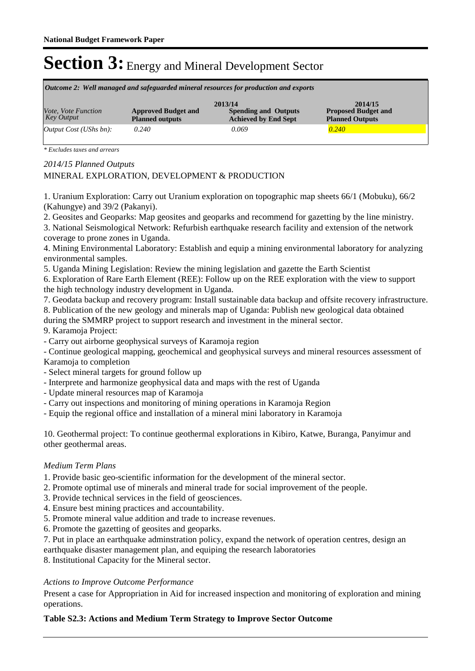| Outcome 2: Well managed and safeguarded mineral resources for production and exports |                                                      |                                                                       |                                                                 |  |  |  |
|--------------------------------------------------------------------------------------|------------------------------------------------------|-----------------------------------------------------------------------|-----------------------------------------------------------------|--|--|--|
| Vote, Vote Function<br>Key Output                                                    | <b>Approved Budget and</b><br><b>Planned outputs</b> | 2013/14<br><b>Spending and Outputs</b><br><b>Achieved by End Sept</b> | 2014/15<br><b>Proposed Budget and</b><br><b>Planned Outputs</b> |  |  |  |
| Output Cost (UShs bn):                                                               | 0.240                                                | 0.069                                                                 | 0.240                                                           |  |  |  |

*\* Excludes taxes and arrears*

*2014/15 Planned Outputs*

### MINERAL EXPLORATION, DEVELOPMENT & PRODUCTION

1. Uranium Exploration: Carry out Uranium exploration on topographic map sheets 66/1 (Mobuku), 66/2 (Kahungye) and 39/2 (Pakanyi).

2. Geosites and Geoparks: Map geosites and geoparks and recommend for gazetting by the line ministry.

3. National Seismological Network: Refurbish earthquake research facility and extension of the network coverage to prone zones in Uganda.

4. Mining Environmental Laboratory: Establish and equip a mining environmental laboratory for analyzing environmental samples.

5. Uganda Mining Legislation: Review the mining legislation and gazette the Earth Scientist

6. Exploration of Rare Earth Element (REE): Follow up on the REE exploration with the view to support the high technology industry development in Uganda.

7. Geodata backup and recovery program: Install sustainable data backup and offsite recovery infrastructure. 8. Publication of the new geology and minerals map of Uganda: Publish new geological data obtained

during the SMMRP project to support research and investment in the mineral sector.

9. Karamoja Project:

- Carry out airborne geophysical surveys of Karamoja region

- Continue geological mapping, geochemical and geophysical surveys and mineral resources assessment of Karamoja to completion

- Select mineral targets for ground follow up

- Interprete and harmonize geophysical data and maps with the rest of Uganda
- Update mineral resources map of Karamoja
- Carry out inspections and monitoring of mining operations in Karamoja Region
- Equip the regional office and installation of a mineral mini laboratory in Karamoja

10. Geothermal project: To continue geothermal explorations in Kibiro, Katwe, Buranga, Panyimur and other geothermal areas.

#### *Medium Term Plans*

1. Provide basic geo-scientific information for the development of the mineral sector.

- 2. Promote optimal use of minerals and mineral trade for social improvement of the people.
- 3. Provide technical services in the field of geosciences.
- 4. Ensure best mining practices and accountability.
- 5. Promote mineral value addition and trade to increase revenues.
- 6. Promote the gazetting of geosites and geoparks.
- 7. Put in place an earthquake adminstration policy, expand the network of operation centres, design an

earthquake disaster management plan, and equiping the research laboratories

8. Institutional Capacity for the Mineral sector.

#### *Actions to Improve Outcome Performance*

Present a case for Appropriation in Aid for increased inspection and monitoring of exploration and mining operations.

### **Table S2.3: Actions and Medium Term Strategy to Improve Sector Outcome**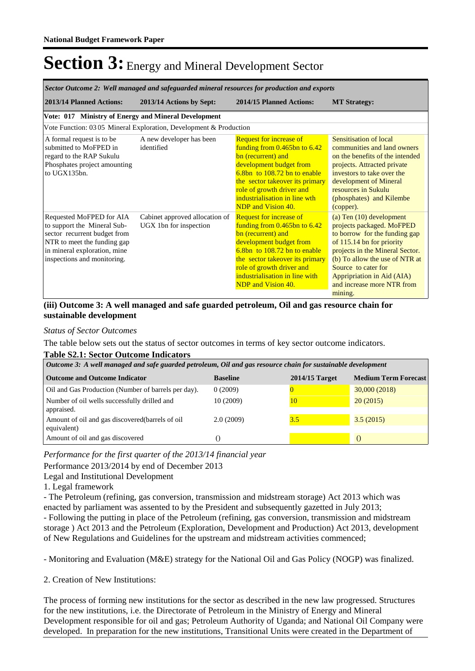| Sector Outcome 2: Well managed and safeguarded mineral resources for production and exports                                                                                                                                                       |                                                                                                                                                                                                                                                                                       |                                                                                                                                                                                                                                                                                          |  |  |  |
|---------------------------------------------------------------------------------------------------------------------------------------------------------------------------------------------------------------------------------------------------|---------------------------------------------------------------------------------------------------------------------------------------------------------------------------------------------------------------------------------------------------------------------------------------|------------------------------------------------------------------------------------------------------------------------------------------------------------------------------------------------------------------------------------------------------------------------------------------|--|--|--|
| 2013/14 Planned Actions:<br>2013/14 Actions by Sept:                                                                                                                                                                                              | 2014/15 Planned Actions:                                                                                                                                                                                                                                                              | <b>MT Strategy:</b>                                                                                                                                                                                                                                                                      |  |  |  |
| Vote: 017 Ministry of Energy and Mineral Development                                                                                                                                                                                              |                                                                                                                                                                                                                                                                                       |                                                                                                                                                                                                                                                                                          |  |  |  |
| Vote Function: 03 05 Mineral Exploration, Development & Production                                                                                                                                                                                |                                                                                                                                                                                                                                                                                       |                                                                                                                                                                                                                                                                                          |  |  |  |
| A formal request is to be<br>A new developer has been<br>submitted to MoFPED in<br>identified<br>regard to the RAP Sukulu<br>Phosphates project amounting<br>to UGX135bn.                                                                         | <b>Request for increase of</b><br>funding from $0.465$ bn to $6.42$<br>bn (recurrent) and<br>development budget from<br>$6.8bn$ to 108.72 bn to enable<br>the sector takeover its primary<br>role of growth driver and<br>industrialisation in line wth<br>NDP and Vision 40.         | Sensitisation of local<br>communities and land owners<br>on the benefits of the intended<br>projects. Attracted private<br>investors to take over the<br>development of Mineral<br>resources in Sukulu<br>(phosphates) and Kilembe<br>(copper).                                          |  |  |  |
| Requested MoFPED for AIA<br>Cabinet approved allocation of<br>UGX 1bn for inspection<br>to support the Mineral Sub-<br>sector recurrent budget from<br>NTR to meet the funding gap<br>in mineral exploration, mine<br>inspections and monitoring. | <b>Request for increase of</b><br>funding from $0.465$ bn to $6.42$<br>bn (recurrent) and<br>development budget from<br>$6.8bn$ to 108.72 bn to enable<br>the sector takeover its primary<br>role of growth driver and<br>industrialisation in line with<br><b>NDP</b> and Vision 40. | (a) Ten $(10)$ development<br>projects packaged. MoFPED<br>to borrow for the funding gap<br>of 115.14 bn for priority<br>projects in the Mineral Sector.<br>(b) To allow the use of NTR at<br>Source to cater for<br>Appripriation in Aid (AIA)<br>and increase more NTR from<br>mining. |  |  |  |

### **(iii) Outcome 3: A well managed and safe guarded petroleum, Oil and gas resource chain for sustainable development**

#### *Status of Sector Outcomes*

The table below sets out the status of sector outcomes in terms of key sector outcome indicators.

#### **Table S2.1: Sector Outcome Indicators**

| Outcome 3: A well managed and safe guarded petroleum, Oil and gas resource chain for sustainable development |                 |                  |                             |  |  |  |
|--------------------------------------------------------------------------------------------------------------|-----------------|------------------|-----------------------------|--|--|--|
| <b>Outcome and Outcome Indicator</b>                                                                         | <b>Baseline</b> | $2014/15$ Target | <b>Medium Term Forecast</b> |  |  |  |
| Oil and Gas Production (Number of barrels per day).                                                          | 0(2009)         |                  | 30,000 (2018)               |  |  |  |
| Number of oil wells successfully drilled and<br>appraised.                                                   | 10 (2009)       | 10               | 20(2015)                    |  |  |  |
| Amount of oil and gas discovered (barrels of oil<br>equivalent)                                              | 2.0(2009)       | 3.5              | 3.5(2015)                   |  |  |  |
| Amount of oil and gas discovered                                                                             |                 |                  |                             |  |  |  |

*Performance for the first quarter of the 2013/14 financial year*

Performance 2013/2014 by end of December 2013

Legal and Institutional Development

1. Legal framework

- The Petroleum (refining, gas conversion, transmission and midstream storage) Act 2013 which was enacted by parliament was assented to by the President and subsequently gazetted in July 2013; - Following the putting in place of the Petroleum (refining, gas conversion, transmission and midstream storage ) Act 2013 and the Petroleum (Exploration, Development and Production) Act 2013, development of New Regulations and Guidelines for the upstream and midstream activities commenced;

- Monitoring and Evaluation (M&E) strategy for the National Oil and Gas Policy (NOGP) was finalized.

2. Creation of New Institutions:

The process of forming new institutions for the sector as described in the new law progressed. Structures for the new institutions, i.e. the Directorate of Petroleum in the Ministry of Energy and Mineral Development responsible for oil and gas; Petroleum Authority of Uganda; and National Oil Company were developed. In preparation for the new institutions, Transitional Units were created in the Department of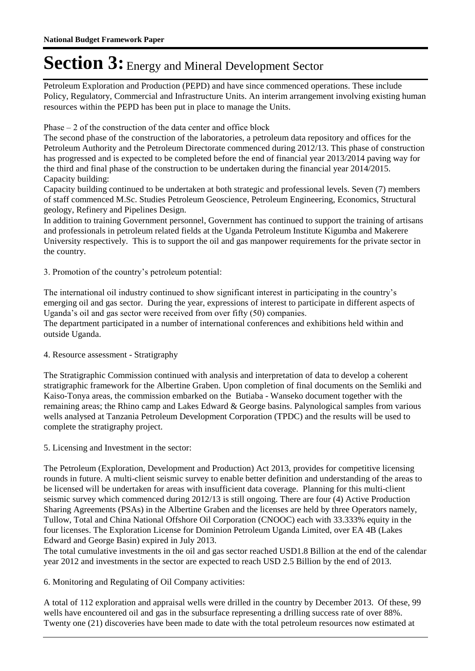Petroleum Exploration and Production (PEPD) and have since commenced operations. These include Policy, Regulatory, Commercial and Infrastructure Units. An interim arrangement involving existing human resources within the PEPD has been put in place to manage the Units.

Phase – 2 of the construction of the data center and office block

The second phase of the construction of the laboratories, a petroleum data repository and offices for the Petroleum Authority and the Petroleum Directorate commenced during 2012/13. This phase of construction has progressed and is expected to be completed before the end of financial year 2013/2014 paving way for the third and final phase of the construction to be undertaken during the financial year 2014/2015. Capacity building:

Capacity building continued to be undertaken at both strategic and professional levels. Seven (7) members of staff commenced M.Sc. Studies Petroleum Geoscience, Petroleum Engineering, Economics, Structural geology, Refinery and Pipelines Design.

In addition to training Government personnel, Government has continued to support the training of artisans and professionals in petroleum related fields at the Uganda Petroleum Institute Kigumba and Makerere University respectively. This is to support the oil and gas manpower requirements for the private sector in the country.

3. Promotion of the country's petroleum potential:

The international oil industry continued to show significant interest in participating in the country's emerging oil and gas sector. During the year, expressions of interest to participate in different aspects of Uganda's oil and gas sector were received from over fifty (50) companies.

The department participated in a number of international conferences and exhibitions held within and outside Uganda.

4. Resource assessment - Stratigraphy

The Stratigraphic Commission continued with analysis and interpretation of data to develop a coherent stratigraphic framework for the Albertine Graben. Upon completion of final documents on the Semliki and Kaiso-Tonya areas, the commission embarked on the Butiaba - Wanseko document together with the remaining areas; the Rhino camp and Lakes Edward & George basins. Palynological samples from various wells analysed at Tanzania Petroleum Development Corporation (TPDC) and the results will be used to complete the stratigraphy project.

5. Licensing and Investment in the sector:

The Petroleum (Exploration, Development and Production) Act 2013, provides for competitive licensing rounds in future. A multi-client seismic survey to enable better definition and understanding of the areas to be licensed will be undertaken for areas with insufficient data coverage. Planning for this multi-client seismic survey which commenced during 2012/13 is still ongoing. There are four (4) Active Production Sharing Agreements (PSAs) in the Albertine Graben and the licenses are held by three Operators namely, Tullow, Total and China National Offshore Oil Corporation (CNOOC) each with 33.333% equity in the four licenses. The Exploration License for Dominion Petroleum Uganda Limited, over EA 4B (Lakes Edward and George Basin) expired in July 2013.

The total cumulative investments in the oil and gas sector reached USD1.8 Billion at the end of the calendar year 2012 and investments in the sector are expected to reach USD 2.5 Billion by the end of 2013.

6. Monitoring and Regulating of Oil Company activities:

A total of 112 exploration and appraisal wells were drilled in the country by December 2013. Of these, 99 wells have encountered oil and gas in the subsurface representing a drilling success rate of over 88%. Twenty one (21) discoveries have been made to date with the total petroleum resources now estimated at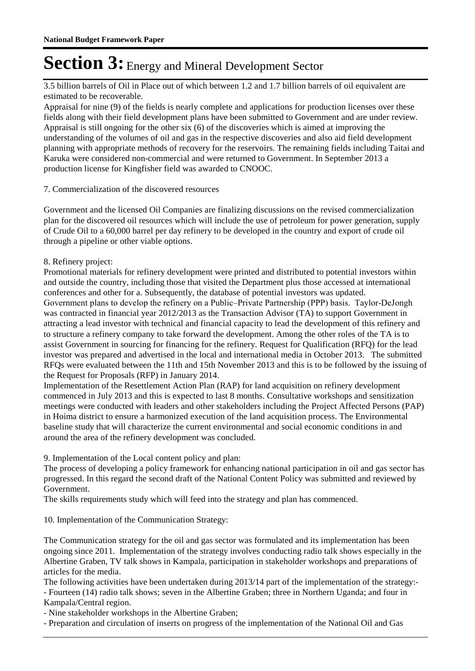3.5 billion barrels of Oil in Place out of which between 1.2 and 1.7 billion barrels of oil equivalent are estimated to be recoverable.

Appraisal for nine (9) of the fields is nearly complete and applications for production licenses over these fields along with their field development plans have been submitted to Government and are under review. Appraisal is still ongoing for the other six (6) of the discoveries which is aimed at improving the understanding of the volumes of oil and gas in the respective discoveries and also aid field development planning with appropriate methods of recovery for the reservoirs. The remaining fields including Taitai and Karuka were considered non-commercial and were returned to Government. In September 2013 a production license for Kingfisher field was awarded to CNOOC.

### 7. Commercialization of the discovered resources

Government and the licensed Oil Companies are finalizing discussions on the revised commercialization plan for the discovered oil resources which will include the use of petroleum for power generation, supply of Crude Oil to a 60,000 barrel per day refinery to be developed in the country and export of crude oil through a pipeline or other viable options.

### 8. Refinery project:

Promotional materials for refinery development were printed and distributed to potential investors within and outside the country, including those that visited the Department plus those accessed at international conferences and other for a. Subsequently, the database of potential investors was updated. Government plans to develop the refinery on a Public–Private Partnership (PPP) basis. Taylor-DeJongh was contracted in financial year 2012/2013 as the Transaction Advisor (TA) to support Government in attracting a lead investor with technical and financial capacity to lead the development of this refinery and to structure a refinery company to take forward the development. Among the other roles of the TA is to assist Government in sourcing for financing for the refinery. Request for Qualification (RFQ) for the lead investor was prepared and advertised in the local and international media in October 2013. The submitted RFQs were evaluated between the 11th and 15th November 2013 and this is to be followed by the issuing of the Request for Proposals (RFP) in January 2014.

Implementation of the Resettlement Action Plan (RAP) for land acquisition on refinery development commenced in July 2013 and this is expected to last 8 months. Consultative workshops and sensitization meetings were conducted with leaders and other stakeholders including the Project Affected Persons (PAP) in Hoima district to ensure a harmonized execution of the land acquisition process. The Environmental baseline study that will characterize the current environmental and social economic conditions in and around the area of the refinery development was concluded.

9. Implementation of the Local content policy and plan:

The process of developing a policy framework for enhancing national participation in oil and gas sector has progressed. In this regard the second draft of the National Content Policy was submitted and reviewed by Government.

The skills requirements study which will feed into the strategy and plan has commenced.

10. Implementation of the Communication Strategy:

The Communication strategy for the oil and gas sector was formulated and its implementation has been ongoing since 2011. Implementation of the strategy involves conducting radio talk shows especially in the Albertine Graben, TV talk shows in Kampala, participation in stakeholder workshops and preparations of articles for the media.

The following activities have been undertaken during 2013/14 part of the implementation of the strategy:- - Fourteen (14) radio talk shows; seven in the Albertine Graben; three in Northern Uganda; and four in Kampala/Central region.

- Nine stakeholder workshops in the Albertine Graben;

- Preparation and circulation of inserts on progress of the implementation of the National Oil and Gas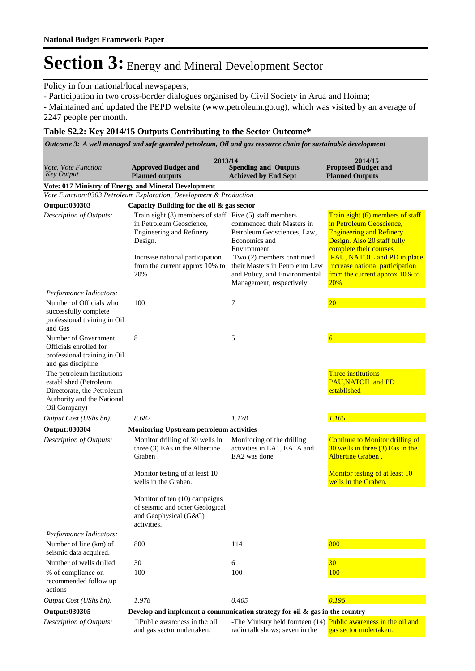Policy in four national/local newspapers;

- Participation in two cross-border dialogues organised by Civil Society in Arua and Hoima;

- Maintained and updated the PEPD website (www.petroleum.go.ug), which was visited by an average of 2247 people per month.

### **Table S2.2: Key 2014/15 Outputs Contributing to the Sector Outcome\***

*Outcome 3: A well managed and safe guarded petroleum, Oil and gas resource chain for sustainable development*

|                                                                                                                                  |                                                                                                                                                                                                                   | 2013/14                                                                                                                                                                                                                 | 2014/15                                                                                                                                                                                                                                                                    |
|----------------------------------------------------------------------------------------------------------------------------------|-------------------------------------------------------------------------------------------------------------------------------------------------------------------------------------------------------------------|-------------------------------------------------------------------------------------------------------------------------------------------------------------------------------------------------------------------------|----------------------------------------------------------------------------------------------------------------------------------------------------------------------------------------------------------------------------------------------------------------------------|
| <i>Vote, Vote Function</i><br><b>Key Output</b>                                                                                  | <b>Approved Budget and</b><br><b>Planned outputs</b>                                                                                                                                                              | <b>Spending and Outputs</b><br><b>Achieved by End Sept</b>                                                                                                                                                              | <b>Proposed Budget and</b><br><b>Planned Outputs</b>                                                                                                                                                                                                                       |
|                                                                                                                                  | Vote: 017 Ministry of Energy and Mineral Development                                                                                                                                                              |                                                                                                                                                                                                                         |                                                                                                                                                                                                                                                                            |
|                                                                                                                                  | Vote Function:0303 Petroleum Exploration, Development & Production                                                                                                                                                |                                                                                                                                                                                                                         |                                                                                                                                                                                                                                                                            |
| Output: 030303                                                                                                                   | Capacity Building for the oil & gas sector                                                                                                                                                                        |                                                                                                                                                                                                                         |                                                                                                                                                                                                                                                                            |
| Description of Outputs:                                                                                                          | Train eight $(8)$ members of staff Five $(5)$ staff members<br>in Petroleum Geoscience,<br><b>Engineering and Refinery</b><br>Design.<br>Increase national participation<br>from the current approx 10% to<br>20% | commenced their Masters in<br>Petroleum Geosciences, Law,<br>Economics and<br>Environment.<br>Two (2) members continued<br>their Masters in Petroleum Law<br>and Policy, and Environmental<br>Management, respectively. | Train eight (6) members of staff<br>in Petroleum Geoscience,<br><b>Engineering and Refinery</b><br>Design. Also 20 staff fully<br>complete their courses<br>PAU, NATOIL and PD in place<br>Increase national participation<br>from the current approx 10% to<br><b>20%</b> |
| Performance Indicators:                                                                                                          |                                                                                                                                                                                                                   |                                                                                                                                                                                                                         |                                                                                                                                                                                                                                                                            |
| Number of Officials who<br>successfully complete<br>professional training in Oil<br>and Gas                                      | 100                                                                                                                                                                                                               | 7                                                                                                                                                                                                                       | $20\,$                                                                                                                                                                                                                                                                     |
| Number of Government<br>Officials enrolled for<br>professional training in Oil<br>and gas discipline                             | 8                                                                                                                                                                                                                 | 5                                                                                                                                                                                                                       | $\overline{6}$                                                                                                                                                                                                                                                             |
| The petroleum institutions<br>established (Petroleum<br>Directorate, the Petroleum<br>Authority and the National<br>Oil Company) |                                                                                                                                                                                                                   |                                                                                                                                                                                                                         | Three institutions<br><b>PAU, NATOIL and PD</b><br>established                                                                                                                                                                                                             |
| Output Cost (UShs bn):                                                                                                           | 8.682                                                                                                                                                                                                             | 1.178                                                                                                                                                                                                                   | 1.165                                                                                                                                                                                                                                                                      |
| <b>Output: 030304</b>                                                                                                            | <b>Monitoring Upstream petroleum activities</b>                                                                                                                                                                   |                                                                                                                                                                                                                         |                                                                                                                                                                                                                                                                            |
| Description of Outputs:                                                                                                          | Monitor drilling of 30 wells in<br>three (3) EAs in the Albertine<br>Graben.<br>Monitor testing of at least 10<br>wells in the Graben.                                                                            | Monitoring of the drilling<br>activities in EA1, EA1A and<br>EA2 was done                                                                                                                                               | <b>Continue to Monitor drilling of</b><br>$30$ wells in three $(3)$ Eas in the<br>Albertine Graben.<br>Monitor testing of at least 10<br>wells in the Graben.                                                                                                              |
|                                                                                                                                  | Monitor of ten (10) campaigns<br>of seismic and other Geological<br>and Geophysical (G&G)<br>activities.                                                                                                          |                                                                                                                                                                                                                         |                                                                                                                                                                                                                                                                            |
| Performance Indicators:                                                                                                          |                                                                                                                                                                                                                   |                                                                                                                                                                                                                         |                                                                                                                                                                                                                                                                            |
| Number of line (km) of<br>seismic data acquired.                                                                                 | 800                                                                                                                                                                                                               | 114                                                                                                                                                                                                                     | 800                                                                                                                                                                                                                                                                        |
| Number of wells drilled                                                                                                          | 30                                                                                                                                                                                                                | 6                                                                                                                                                                                                                       | 30 <sup>°</sup>                                                                                                                                                                                                                                                            |
| % of compliance on<br>recommended follow up<br>actions                                                                           | 100                                                                                                                                                                                                               | 100                                                                                                                                                                                                                     | 100                                                                                                                                                                                                                                                                        |
| Output Cost (UShs bn):                                                                                                           | 1.978                                                                                                                                                                                                             | 0.405                                                                                                                                                                                                                   | 0.196                                                                                                                                                                                                                                                                      |
| <b>Output: 030305</b>                                                                                                            |                                                                                                                                                                                                                   | Develop and implement a communication strategy for oil $\&$ gas in the country                                                                                                                                          |                                                                                                                                                                                                                                                                            |
| Description of Outputs:                                                                                                          | $\square$ Public awareness in the oil<br>and gas sector undertaken.                                                                                                                                               | radio talk shows; seven in the                                                                                                                                                                                          | -The Ministry held fourteen (14) Public awareness in the oil and<br>gas sector undertaken.                                                                                                                                                                                 |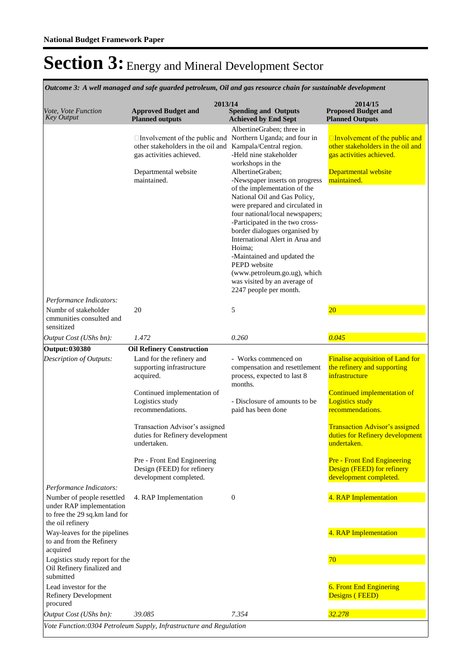| Outcome 3: A well managed and safe guarded petroleum, Oil and gas resource chain for sustainable development                           |                                                                                                                                                                      |                                                                                                                                                                                                                                                                                                                                                                                                                                                                                                                                                          |                                                                                                                                                                |  |  |  |  |  |
|----------------------------------------------------------------------------------------------------------------------------------------|----------------------------------------------------------------------------------------------------------------------------------------------------------------------|----------------------------------------------------------------------------------------------------------------------------------------------------------------------------------------------------------------------------------------------------------------------------------------------------------------------------------------------------------------------------------------------------------------------------------------------------------------------------------------------------------------------------------------------------------|----------------------------------------------------------------------------------------------------------------------------------------------------------------|--|--|--|--|--|
| <i>Vote, Vote Function</i><br><b>Key Output</b>                                                                                        | 2013/14<br><b>Approved Budget and</b><br><b>Planned outputs</b>                                                                                                      | <b>Spending and Outputs</b><br><b>Achieved by End Sept</b>                                                                                                                                                                                                                                                                                                                                                                                                                                                                                               | 2014/15<br><b>Proposed Budget and</b><br><b>Planned Outputs</b>                                                                                                |  |  |  |  |  |
| Performance Indicators:                                                                                                                | □ Involvement of the public and Northern Uganda; and four in<br>other stakeholders in the oil and<br>gas activities achieved.<br>Departmental website<br>maintained. | AlbertineGraben; three in<br>Kampala/Central region.<br>-Held nine stakeholder<br>workshops in the<br>AlbertineGraben;<br>-Newspaper inserts on progress<br>of the implementation of the<br>National Oil and Gas Policy,<br>were prepared and circulated in<br>four national/local newspapers;<br>-Participated in the two cross-<br>border dialogues organised by<br>International Alert in Arua and<br>Hoima:<br>-Maintained and updated the<br>PEPD website<br>(www.petroleum.go.ug), which<br>was visited by an average of<br>2247 people per month. | $\Box$ Involvement of the public and<br>other stakeholders in the oil and<br>gas activities achieved.<br>Departmental website<br>maintained.                   |  |  |  |  |  |
| Numbr of stakeholder<br>cmmunities consulted and<br>sensitized                                                                         | 20                                                                                                                                                                   | 5                                                                                                                                                                                                                                                                                                                                                                                                                                                                                                                                                        | $\overline{20}$                                                                                                                                                |  |  |  |  |  |
| Output Cost (UShs bn):                                                                                                                 | 1.472                                                                                                                                                                | 0.260                                                                                                                                                                                                                                                                                                                                                                                                                                                                                                                                                    | 0.045                                                                                                                                                          |  |  |  |  |  |
| <b>Output: 030380</b>                                                                                                                  | <b>Oil Refinery Construction</b>                                                                                                                                     |                                                                                                                                                                                                                                                                                                                                                                                                                                                                                                                                                          |                                                                                                                                                                |  |  |  |  |  |
| Description of Outputs:                                                                                                                | Land for the refinery and<br>supporting infrastructure<br>acquired.<br>Continued implementation of<br>Logistics study<br>recommendations.                            | - Works commenced on<br>compensation and resettlement<br>process, expected to last 8<br>months.<br>- Disclosure of amounts to be<br>paid has been done                                                                                                                                                                                                                                                                                                                                                                                                   | Finalise acquisition of Land for<br>the refinery and supporting<br>infrastructure<br>Continued implementation of<br><b>Logistics study</b><br>recommendations. |  |  |  |  |  |
|                                                                                                                                        | Transaction Advisor's assigned<br>duties for Refinery development<br>undertaken.                                                                                     |                                                                                                                                                                                                                                                                                                                                                                                                                                                                                                                                                          | <b>Transaction Advisor's assigned</b><br>duties for Refinery development<br>undertaken.                                                                        |  |  |  |  |  |
|                                                                                                                                        | Pre - Front End Engineering<br>Design (FEED) for refinery<br>development completed.                                                                                  |                                                                                                                                                                                                                                                                                                                                                                                                                                                                                                                                                          | <b>Pre - Front End Engineering</b><br>Design (FEED) for refinery<br>development completed.                                                                     |  |  |  |  |  |
| Performance Indicators:<br>Number of people resettled<br>under RAP implementation<br>to free the 29 sq.km land for<br>the oil refinery | 4. RAP Implementation                                                                                                                                                | $\mathbf{0}$                                                                                                                                                                                                                                                                                                                                                                                                                                                                                                                                             | 4. RAP Implementation                                                                                                                                          |  |  |  |  |  |
| Way-leaves for the pipelines<br>to and from the Refinery<br>acquired                                                                   |                                                                                                                                                                      |                                                                                                                                                                                                                                                                                                                                                                                                                                                                                                                                                          | 4. RAP Implementation                                                                                                                                          |  |  |  |  |  |
| Logistics study report for the<br>Oil Refinery finalized and<br>submitted                                                              |                                                                                                                                                                      |                                                                                                                                                                                                                                                                                                                                                                                                                                                                                                                                                          | 70                                                                                                                                                             |  |  |  |  |  |
| Lead investor for the<br><b>Refinery Development</b><br>procured                                                                       |                                                                                                                                                                      |                                                                                                                                                                                                                                                                                                                                                                                                                                                                                                                                                          | <b>6. Front End Enginering</b><br>Designs (FEED)                                                                                                               |  |  |  |  |  |
| Output Cost (UShs bn):                                                                                                                 | 39.085                                                                                                                                                               | 7.354                                                                                                                                                                                                                                                                                                                                                                                                                                                                                                                                                    | 32.278                                                                                                                                                         |  |  |  |  |  |
|                                                                                                                                        | Vote Function:0304 Petroleum Supply, Infrastructure and Regulation                                                                                                   |                                                                                                                                                                                                                                                                                                                                                                                                                                                                                                                                                          |                                                                                                                                                                |  |  |  |  |  |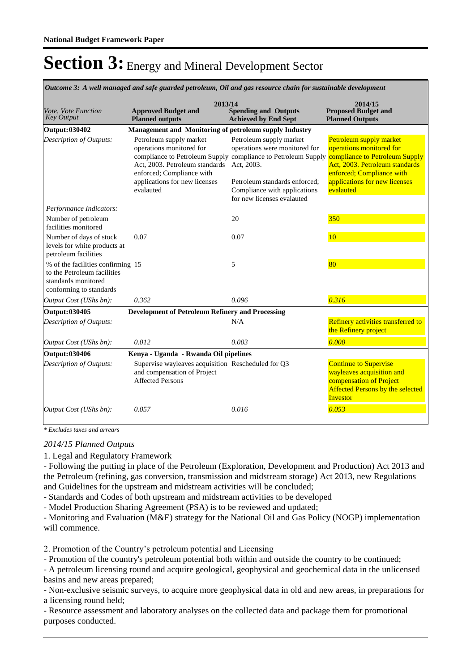*Outcome 3: A well managed and safe guarded petroleum, Oil and gas resource chain for sustainable development*

| Vote, Vote Function<br><b>Key Output</b>                                                                           | 2013/14<br><b>Approved Budget and</b><br><b>Planned outputs</b>                                                                                                  | <b>Spending and Outputs</b><br><b>Achieved by End Sept</b>                                                                                                                                               | 2014/15<br><b>Proposed Budget and</b><br><b>Planned Outputs</b>                                                                                                                                    |
|--------------------------------------------------------------------------------------------------------------------|------------------------------------------------------------------------------------------------------------------------------------------------------------------|----------------------------------------------------------------------------------------------------------------------------------------------------------------------------------------------------------|----------------------------------------------------------------------------------------------------------------------------------------------------------------------------------------------------|
| <b>Output: 030402</b>                                                                                              | Management and Monitoring of petroleum supply Industry                                                                                                           |                                                                                                                                                                                                          |                                                                                                                                                                                                    |
| <b>Description of Outputs:</b>                                                                                     | Petroleum supply market<br>operations monitored for<br>Act. 2003. Petroleum standards<br>enforced; Compliance with<br>applications for new licenses<br>evalauted | Petroleum supply market<br>operations were monitored for<br>compliance to Petroleum Supply compliance to Petroleum Supply<br>Act, 2003.<br>Petroleum standards enforced:<br>Compliance with applications | Petroleum supply market<br>operations monitored for<br>compliance to Petroleum Supply<br>Act. 2003. Petroleum standards<br>enforced; Compliance with<br>applications for new licenses<br>evalauted |
|                                                                                                                    |                                                                                                                                                                  | for new licenses evalauted                                                                                                                                                                               |                                                                                                                                                                                                    |
| Performance Indicators:<br>Number of petroleum<br>facilities monitored                                             |                                                                                                                                                                  | 20                                                                                                                                                                                                       | 350                                                                                                                                                                                                |
| Number of days of stock<br>levels for white products at<br>petroleum facilities                                    | 0.07                                                                                                                                                             | 0.07                                                                                                                                                                                                     | <b>10</b>                                                                                                                                                                                          |
| % of the facilities confirming 15<br>to the Petroleum facilities<br>standards monitored<br>conforming to standards |                                                                                                                                                                  | 5                                                                                                                                                                                                        | 80                                                                                                                                                                                                 |
| Output Cost (UShs bn):                                                                                             | 0.362                                                                                                                                                            | 0.096                                                                                                                                                                                                    | 0.316                                                                                                                                                                                              |
| <b>Output: 030405</b>                                                                                              | <b>Development of Petroleum Refinery and Processing</b>                                                                                                          |                                                                                                                                                                                                          |                                                                                                                                                                                                    |
| Description of Outputs:                                                                                            |                                                                                                                                                                  | N/A                                                                                                                                                                                                      | Refinery activities transferred to<br>the Refinery project                                                                                                                                         |
| Output Cost (UShs bn):                                                                                             | 0.012                                                                                                                                                            | 0.003                                                                                                                                                                                                    | 0.000                                                                                                                                                                                              |
| <b>Output: 030406</b>                                                                                              | Kenya - Uganda - Rwanda Oil pipelines                                                                                                                            |                                                                                                                                                                                                          |                                                                                                                                                                                                    |
| Description of Outputs:                                                                                            | Supervise wayleaves acquisition Rescheduled for Q3<br>and compensation of Project<br><b>Affected Persons</b>                                                     |                                                                                                                                                                                                          | <b>Continue to Supervise</b><br>wayleaves acquisition and<br>compensation of Project<br><b>Affected Persons by the selected</b><br>Investor                                                        |
| Output Cost (UShs bn):                                                                                             | 0.057                                                                                                                                                            | 0.016                                                                                                                                                                                                    | 0.053                                                                                                                                                                                              |

*\* Excludes taxes and arrears*

#### *2014/15 Planned Outputs*

1. Legal and Regulatory Framework

- Following the putting in place of the Petroleum (Exploration, Development and Production) Act 2013 and the Petroleum (refining, gas conversion, transmission and midstream storage) Act 2013, new Regulations and Guidelines for the upstream and midstream activities will be concluded;

- Standards and Codes of both upstream and midstream activities to be developed

- Model Production Sharing Agreement (PSA) is to be reviewed and updated;

- Monitoring and Evaluation (M&E) strategy for the National Oil and Gas Policy (NOGP) implementation will commence.

2. Promotion of the Country's petroleum potential and Licensing

- Promotion of the country's petroleum potential both within and outside the country to be continued;

- A petroleum licensing round and acquire geological, geophysical and geochemical data in the unlicensed basins and new areas prepared;

- Non-exclusive seismic surveys, to acquire more geophysical data in old and new areas, in preparations for a licensing round held;

- Resource assessment and laboratory analyses on the collected data and package them for promotional purposes conducted.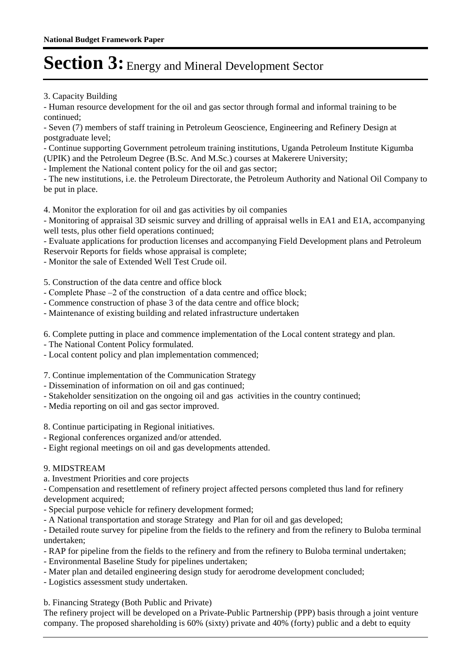3. Capacity Building

- Human resource development for the oil and gas sector through formal and informal training to be continued;

- Seven (7) members of staff training in Petroleum Geoscience, Engineering and Refinery Design at postgraduate level;

- Continue supporting Government petroleum training institutions, Uganda Petroleum Institute Kigumba (UPIK) and the Petroleum Degree (B.Sc. And M.Sc.) courses at Makerere University;

- Implement the National content policy for the oil and gas sector;

- The new institutions, i.e. the Petroleum Directorate, the Petroleum Authority and National Oil Company to be put in place.

4. Monitor the exploration for oil and gas activities by oil companies

- Monitoring of appraisal 3D seismic survey and drilling of appraisal wells in EA1 and E1A, accompanying well tests, plus other field operations continued;

- Evaluate applications for production licenses and accompanying Field Development plans and Petroleum Reservoir Reports for fields whose appraisal is complete;

- Monitor the sale of Extended Well Test Crude oil.

5. Construction of the data centre and office block

- Complete Phase –2 of the construction of a data centre and office block;
- Commence construction of phase 3 of the data centre and office block;
- Maintenance of existing building and related infrastructure undertaken

6. Complete putting in place and commence implementation of the Local content strategy and plan.

- The National Content Policy formulated.
- Local content policy and plan implementation commenced;

7. Continue implementation of the Communication Strategy

- Dissemination of information on oil and gas continued;
- Stakeholder sensitization on the ongoing oil and gas activities in the country continued;
- Media reporting on oil and gas sector improved.

8. Continue participating in Regional initiatives.

- Regional conferences organized and/or attended.
- Eight regional meetings on oil and gas developments attended.

#### 9. MIDSTREAM

a. Investment Priorities and core projects

- Compensation and resettlement of refinery project affected persons completed thus land for refinery development acquired;

- Special purpose vehicle for refinery development formed;
- A National transportation and storage Strategy and Plan for oil and gas developed;

- Detailed route survey for pipeline from the fields to the refinery and from the refinery to Buloba terminal undertaken;

- RAP for pipeline from the fields to the refinery and from the refinery to Buloba terminal undertaken;
- Environmental Baseline Study for pipelines undertaken;
- Mater plan and detailed engineering design study for aerodrome development concluded;
- Logistics assessment study undertaken.

b. Financing Strategy (Both Public and Private)

The refinery project will be developed on a Private-Public Partnership (PPP) basis through a joint venture company. The proposed shareholding is 60% (sixty) private and 40% (forty) public and a debt to equity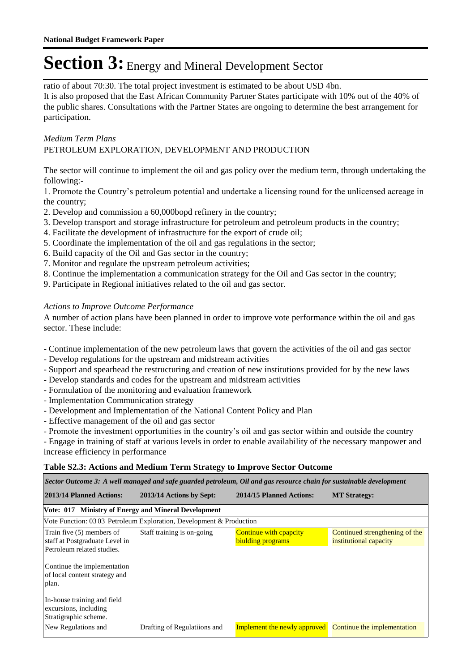ratio of about 70:30. The total project investment is estimated to be about USD 4bn. It is also proposed that the East African Community Partner States participate with 10% out of the 40% of the public shares. Consultations with the Partner States are ongoing to determine the best arrangement for participation.

### *Medium Term Plans*

### PETROLEUM EXPLORATION, DEVELOPMENT AND PRODUCTION

The sector will continue to implement the oil and gas policy over the medium term, through undertaking the following:-

1. Promote the Country's petroleum potential and undertake a licensing round for the unlicensed acreage in the country;

- 2. Develop and commission a 60,000bopd refinery in the country;
- 3. Develop transport and storage infrastructure for petroleum and petroleum products in the country;
- 4. Facilitate the development of infrastructure for the export of crude oil;
- 5. Coordinate the implementation of the oil and gas regulations in the sector;
- 6. Build capacity of the Oil and Gas sector in the country;
- 7. Monitor and regulate the upstream petroleum activities;
- 8. Continue the implementation a communication strategy for the Oil and Gas sector in the country;
- 9. Participate in Regional initiatives related to the oil and gas sector.

### *Actions to Improve Outcome Performance*

A number of action plans have been planned in order to improve vote performance within the oil and gas sector. These include:

- Continue implementation of the new petroleum laws that govern the activities of the oil and gas sector
- Develop regulations for the upstream and midstream activities
- Support and spearhead the restructuring and creation of new institutions provided for by the new laws
- Develop standards and codes for the upstream and midstream activities
- Formulation of the monitoring and evaluation framework
- Implementation Communication strategy
- Development and Implementation of the National Content Policy and Plan
- Effective management of the oil and gas sector
- Promote the investment opportunities in the country's oil and gas sector within and outside the country

- Engage in training of staff at various levels in order to enable availability of the necessary manpower and increase efficiency in performance

#### **Table S2.3: Actions and Medium Term Strategy to Improve Sector Outcome**

| Sector Outcome 3: A well managed and safe guarded petroleum, Oil and gas resource chain for sustainable development |                                                                      |                                                                 |                                                          |  |  |  |  |  |
|---------------------------------------------------------------------------------------------------------------------|----------------------------------------------------------------------|-----------------------------------------------------------------|----------------------------------------------------------|--|--|--|--|--|
| 2013/14 Planned Actions:                                                                                            | 2013/14 Actions by Sept:                                             | 2014/15 Planned Actions:                                        | <b>MT Strategy:</b>                                      |  |  |  |  |  |
| Vote: 017 Ministry of Energy and Mineral Development                                                                |                                                                      |                                                                 |                                                          |  |  |  |  |  |
|                                                                                                                     | Vote Function: 03 03 Petroleum Exploration, Development & Production |                                                                 |                                                          |  |  |  |  |  |
| Train five (5) members of<br>staff at Postgraduate Level in<br>Petroleum related studies.                           | Staff training is on-going                                           | <b>Continue with epapeity</b><br>biulding programs              | Continued strengthening of the<br>institutional capacity |  |  |  |  |  |
| Continue the implementation<br>of local content strategy and<br>plan.                                               |                                                                      |                                                                 |                                                          |  |  |  |  |  |
| In-house training and field<br>excursions, including<br>Stratigraphic scheme.                                       |                                                                      |                                                                 |                                                          |  |  |  |  |  |
| New Regulations and                                                                                                 | Drafting of Regulatiions and                                         | <b>Implement the newly approved</b> Continue the implementation |                                                          |  |  |  |  |  |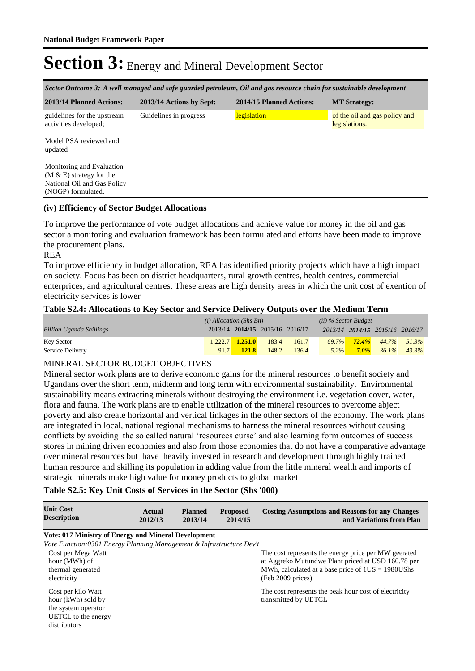| Sector Outcome 3: A well managed and safe guarded petroleum, Oil and gas resource chain for sustainable development |                          |                          |                                                |  |  |  |  |  |
|---------------------------------------------------------------------------------------------------------------------|--------------------------|--------------------------|------------------------------------------------|--|--|--|--|--|
| 2013/14 Planned Actions:                                                                                            | 2013/14 Actions by Sept: | 2014/15 Planned Actions: | <b>MT Strategy:</b>                            |  |  |  |  |  |
| guidelines for the upstream<br>activities developed;                                                                | Guidelines in progress   | legislation              | of the oil and gas policy and<br>legislations. |  |  |  |  |  |
| Model PSA reviewed and<br>updated                                                                                   |                          |                          |                                                |  |  |  |  |  |
| Monitoring and Evaluation<br>$(M & E)$ strategy for the<br>National Oil and Gas Policy<br>(NOGP) formulated.        |                          |                          |                                                |  |  |  |  |  |

### **(iv) Efficiency of Sector Budget Allocations**

To improve the performance of vote budget allocations and achieve value for money in the oil and gas sector a monitoring and evaluation framework has been formulated and efforts have been made to improve the procurement plans.

#### REA

To improve efficiency in budget allocation, REA has identified priority projects which have a high impact on society. Focus has been on district headquarters, rural growth centres, health centres, commercial enterprices, and agricultural centres. These areas are high density areas in which the unit cost of exention of electricity services is lower

### **Table S2.4: Allocations to Key Sector and Service Delivery Outputs over the Medium Term**

|                                 | $(i)$ Allocation (Shs Bn) |                     | $(ii)$ % Sector Budget          |       |         |         |                                 |                            |
|---------------------------------|---------------------------|---------------------|---------------------------------|-------|---------|---------|---------------------------------|----------------------------|
| <b>Billion Uganda Shillings</b> |                           |                     | 2013/14 2014/15 2015/16 2016/17 |       |         |         | 2013/14 2014/15 2015/16 2016/17 |                            |
| Key Sector                      |                           | $1.222.7$ $1.251.0$ | 183.4                           | 161.7 |         |         |                                 | $69.7\%$ 72.4% 44.7% 51.3% |
| Service Delivery                | 91.7                      | <b>121.8</b>        | 148.2                           | 136.4 | $5.2\%$ | $7.0\%$ |                                 | $36.1\%$ $43.3\%$          |

### MINERAL SECTOR BUDGET OBJECTIVES

Mineral sector work plans are to derive economic gains for the mineral resources to benefit society and Ugandans over the short term, midterm and long term with environmental sustainability. Environmental sustainability means extracting minerals without destroying the environment i.e. vegetation cover, water, flora and fauna. The work plans are to enable utilization of the mineral resources to overcome abject poverty and also create horizontal and vertical linkages in the other sectors of the economy. The work plans are integrated in local, national regional mechanisms to harness the mineral resources without causing conflicts by avoiding the so called natural 'resources curse' and also learning form outcomes of success stores in mining driven economies and also from those economies that do not have a comparative advantage over mineral resources but have heavily invested in research and development through highly trained human resource and skilling its population in adding value from the little mineral wealth and imports of strategic minerals make high value for money products to global market

#### **Table S2.5: Key Unit Costs of Services in the Sector (Shs '000)**

| <b>Unit Cost</b><br><b>Description</b>                                                                                                           | Actual<br>2012/13 | <b>Planned</b><br>2013/14 | <b>Proposed</b><br>2014/15 | <b>Costing Assumptions and Reasons for any Changes</b><br>and Variations from Plan                                                                                                      |
|--------------------------------------------------------------------------------------------------------------------------------------------------|-------------------|---------------------------|----------------------------|-----------------------------------------------------------------------------------------------------------------------------------------------------------------------------------------|
| Vote: 017 Ministry of Energy and Mineral Development                                                                                             |                   |                           |                            |                                                                                                                                                                                         |
| Vote Function:0301 Energy Planning, Management & Infrastructure Dev't<br>Cost per Mega Watt<br>hour (MWh) of<br>thermal generated<br>electricity |                   |                           |                            | The cost represents the energy price per MW geerated<br>at Aggreko Mutundwe Plant priced at USD 160.78 per<br>MWh, calculated at a base price of $1US = 1980US$ hs<br>(Feb 2009 prices) |
| Cost per kilo Watt<br>hour (kWh) sold by<br>the system operator<br>UETCL to the energy<br>distributors                                           |                   |                           |                            | The cost represents the peak hour cost of electricity<br>transmitted by UETCL                                                                                                           |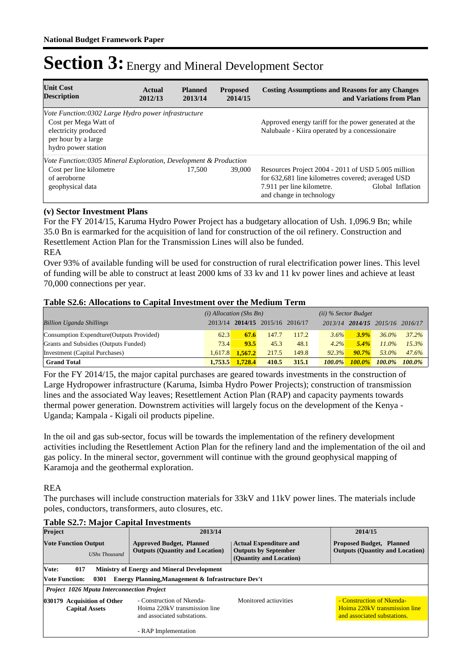| <b>Unit Cost</b><br><b>Description</b>                                                                                                             | Actual<br>2012/13 | <b>Planned</b><br>2013/14 | <b>Proposed</b><br>2014/15 | <b>Costing Assumptions and Reasons for any Changes</b><br>and Variations from Plan                                                                                                   |
|----------------------------------------------------------------------------------------------------------------------------------------------------|-------------------|---------------------------|----------------------------|--------------------------------------------------------------------------------------------------------------------------------------------------------------------------------------|
| Vote Function:0302 Large Hydro power infrastructure<br>Cost per Mega Watt of<br>electricity produced<br>per hour by a large<br>hydro power station |                   |                           |                            | Approved energy tariff for the power generated at the<br>Nalubaale - Kiira operated by a concessionaire                                                                              |
| Vote Function:0305 Mineral Exploration, Development & Production                                                                                   |                   |                           |                            |                                                                                                                                                                                      |
| Cost per line kilometre<br>of aeroborne<br>geophysical data                                                                                        |                   | 17.500                    | 39,000                     | Resources Project 2004 - 2011 of USD 5.005 million<br>for 632,681 line kilometres covered; averaged USD<br>Global Inflation<br>7.911 per line kilometre.<br>and change in technology |

### **(v) Sector Investment Plans**

For the FY 2014/15, Karuma Hydro Power Project has a budgetary allocation of Ush. 1,096.9 Bn; while 35.0 Bn is earmarked for the acquisition of land for construction of the oil refinery. Construction and Resettlement Action Plan for the Transmission Lines will also be funded. REA

Over 93% of available funding will be used for construction of rural electrification power lines. This level of funding will be able to construct at least 2000 kms of 33 kv and 11 kv power lines and achieve at least 70,000 connections per year.

### **Table S2.6: Allocations to Capital Investment over the Medium Term**

|                                           | $(i)$ Allocation (Shs Bn) |         |                                 | $(ii)$ % Sector Budget |               |           |                                 |           |
|-------------------------------------------|---------------------------|---------|---------------------------------|------------------------|---------------|-----------|---------------------------------|-----------|
| <b>Billion Uganda Shillings</b>           |                           |         | 2013/14 2014/15 2015/16 2016/17 |                        |               |           | 2013/14 2014/15 2015/16 2016/17 |           |
| Consumption Expendture (Outputs Provided) | 62.3                      | 67.6    | 147.7                           | 117.2                  | 3.6%          | 3.9%      | $36.0\%$                        | 37.2%     |
| Grants and Subsidies (Outputs Funded)     | 73.4                      | 93.5    | 45.3                            | 48.1                   | $4.2\%$       | 5.4%      | $11.0\%$                        | 15.3%     |
| Investment (Capital Purchases)            | 1.617.8                   | 1.567.2 | 217.5                           | 149.8                  | 92.3%         | $90.7\%$  | 53.0%                           | 47.6%     |
| <b>Grand Total</b>                        | 1.753.5                   | 1,728.4 | 410.5                           | 315.1                  | <b>100.0%</b> | $100.0\%$ | $100.0\%$                       | $100.0\%$ |

For the FY 2014/15, the major capital purchases are geared towards investments in the construction of Large Hydropower infrastructure (Karuma, Isimba Hydro Power Projects); construction of transmission lines and the associated Way leaves; Resettlement Action Plan (RAP) and capacity payments towards thermal power generation. Downstrem activities will largely focus on the development of the Kenya - Uganda; Kampala - Kigali oil products pipeline.

In the oil and gas sub-sector, focus will be towards the implementation of the refinery development activities including the Resettlement Action Plan for the refinery land and the implementation of the oil and gas policy. In the mineral sector, government will continue with the ground geophysical mapping of Karamoja and the geothermal exploration.

#### REA

The purchases will include construction materials for 33kV and 11kV power lines. The materials include poles, conductors, transformers, auto closures, etc.

| Project                                              |                               |  | 2013/14                                                                                                                                                              | 2014/15                                                                                   |                                                                           |  |
|------------------------------------------------------|-------------------------------|--|----------------------------------------------------------------------------------------------------------------------------------------------------------------------|-------------------------------------------------------------------------------------------|---------------------------------------------------------------------------|--|
| <b>Vote Function Output</b><br><b>UShs Thousand</b>  |                               |  | <b>Approved Budget, Planned</b><br><b>Actual Expenditure and</b><br><b>Outputs by September</b><br><b>Outputs (Quantity and Location)</b><br>(Quantity and Location) |                                                                                           | <b>Proposed Budget, Planned</b><br><b>Outputs (Quantity and Location)</b> |  |
| Vote:                                                | 017                           |  | <b>Ministry of Energy and Mineral Development</b>                                                                                                                    |                                                                                           |                                                                           |  |
|                                                      | <b>Vote Function:</b><br>0301 |  | Energy Planning, Management & Infrastructure Dev't                                                                                                                   |                                                                                           |                                                                           |  |
|                                                      |                               |  | <b>Project 1026 Mputa Interconnection Project</b>                                                                                                                    |                                                                                           |                                                                           |  |
| 030179 Acquisition of Other<br><b>Capital Assets</b> |                               |  | - Construction of Nkenda-<br>Hoima 220kV transmission line<br>and associated substations.                                                                            | - Construction of Nkenda-<br>Hoima 220kV transmission line<br>and associated substations. |                                                                           |  |
|                                                      |                               |  | - RAP Implementation                                                                                                                                                 |                                                                                           |                                                                           |  |

### **Table S2.7: Major Capital Investments**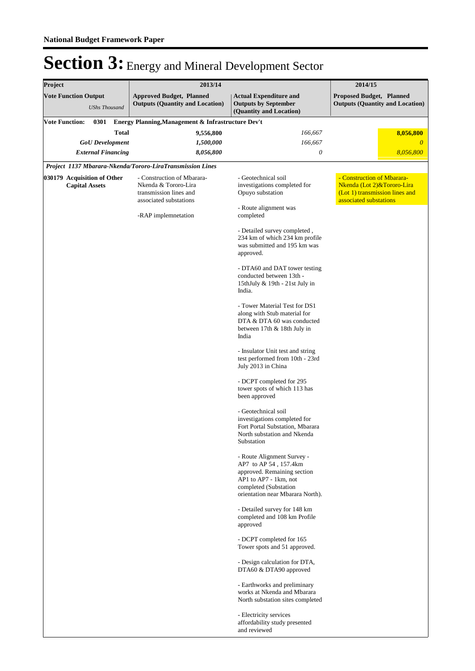| Project                                             |                       |                           |              | 2013/14                                                                                                |                                                                                                                                                                          | 2014/15                                                                                                              |
|-----------------------------------------------------|-----------------------|---------------------------|--------------|--------------------------------------------------------------------------------------------------------|--------------------------------------------------------------------------------------------------------------------------------------------------------------------------|----------------------------------------------------------------------------------------------------------------------|
| <b>Vote Function Output</b><br><b>UShs Thousand</b> |                       |                           |              | <b>Approved Budget, Planned</b><br><b>Outputs (Quantity and Location)</b>                              | <b>Actual Expenditure and</b><br><b>Outputs by September</b><br>(Quantity and Location)                                                                                  | <b>Proposed Budget, Planned</b><br><b>Outputs (Quantity and Location)</b>                                            |
| <b>Vote Function:</b>                               |                       | 0301                      |              | Energy Planning, Management & Infrastructure Dev't                                                     |                                                                                                                                                                          |                                                                                                                      |
|                                                     |                       |                           | <b>Total</b> | 9,556,800                                                                                              | 166,667                                                                                                                                                                  | 8,056,800                                                                                                            |
|                                                     |                       | <b>GoU</b> Development    |              | 1,500,000                                                                                              | 166,667                                                                                                                                                                  | $\theta$                                                                                                             |
|                                                     |                       | <b>External Financing</b> |              | 8,056,800                                                                                              | 0                                                                                                                                                                        | 8,056,800                                                                                                            |
|                                                     |                       |                           |              | Project 1137 Mbarara-Nkenda/Tororo-LiraTransmission Lines                                              |                                                                                                                                                                          |                                                                                                                      |
| 030179 Acquisition of Other                         | <b>Capital Assets</b> |                           |              | - Construction of Mbarara-<br>Nkenda & Tororo-Lira<br>transmission lines and<br>associated substations | - Geotechnical soil<br>investigations completed for<br>Opuyo substation                                                                                                  | - Construction of Mbarara-<br>Nkenda (Lot 2)&Tororo-Lira<br>(Lot 1) transmission lines and<br>associated substations |
|                                                     |                       |                           |              | -RAP implemnetation                                                                                    | - Route alignment was<br>completed                                                                                                                                       |                                                                                                                      |
|                                                     |                       |                           |              |                                                                                                        | - Detailed survey completed,<br>234 km of which 234 km profile<br>was submitted and 195 km was<br>approved.                                                              |                                                                                                                      |
|                                                     |                       |                           |              |                                                                                                        | - DTA60 and DAT tower testing<br>conducted between 13th -<br>15thJuly & 19th - 21st July in<br>India.                                                                    |                                                                                                                      |
|                                                     |                       |                           |              |                                                                                                        | - Tower Material Test for DS1<br>along with Stub material for<br>DTA & DTA 60 was conducted<br>between 17th & 18th July in<br>India                                      |                                                                                                                      |
|                                                     |                       |                           |              |                                                                                                        | - Insulator Unit test and string<br>test performed from 10th - 23rd<br>July 2013 in China                                                                                |                                                                                                                      |
|                                                     |                       |                           |              |                                                                                                        | - DCPT completed for 295<br>tower spots of which 113 has<br>been approved                                                                                                |                                                                                                                      |
|                                                     |                       |                           |              |                                                                                                        | - Geotechnical soil<br>investigations completed for<br>Fort Portal Substation, Mbarara<br>North substation and Nkenda<br>Substation                                      |                                                                                                                      |
|                                                     |                       |                           |              |                                                                                                        | - Route Alignment Survey -<br>AP7 to AP 54, 157.4km<br>approved. Remaining section<br>AP1 to AP7 - 1km, not<br>completed (Substation<br>orientation near Mbarara North). |                                                                                                                      |
|                                                     |                       |                           |              |                                                                                                        | - Detailed survey for 148 km<br>completed and 108 km Profile<br>approved                                                                                                 |                                                                                                                      |
|                                                     |                       |                           |              |                                                                                                        | - DCPT completed for 165<br>Tower spots and 51 approved.                                                                                                                 |                                                                                                                      |
|                                                     |                       |                           |              |                                                                                                        | - Design calculation for DTA,<br>DTA60 & DTA90 approved                                                                                                                  |                                                                                                                      |
|                                                     |                       |                           |              |                                                                                                        | - Earthworks and preliminary<br>works at Nkenda and Mbarara<br>North substation sites completed                                                                          |                                                                                                                      |
|                                                     |                       |                           |              |                                                                                                        | - Electricity services<br>affordability study presented<br>and reviewed                                                                                                  |                                                                                                                      |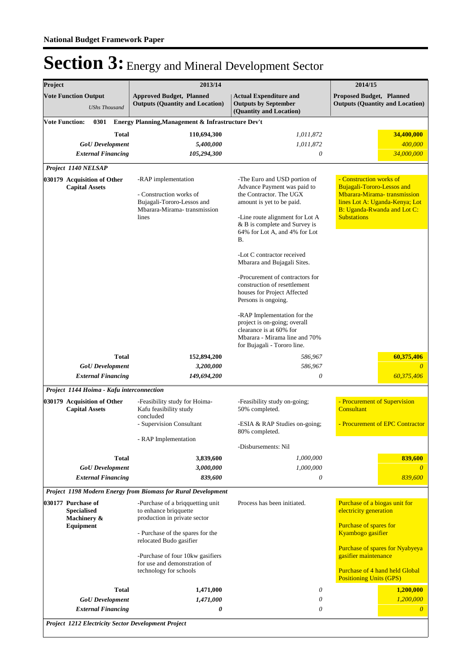| Project                                              |                                                                      | 2013/14                                                                                                                       | 2014/15                                                                                                                                                                                                                        |                                                                                                                                                                                    |  |
|------------------------------------------------------|----------------------------------------------------------------------|-------------------------------------------------------------------------------------------------------------------------------|--------------------------------------------------------------------------------------------------------------------------------------------------------------------------------------------------------------------------------|------------------------------------------------------------------------------------------------------------------------------------------------------------------------------------|--|
|                                                      | <b>Vote Function Output</b><br><b>UShs Thousand</b>                  | <b>Approved Budget, Planned</b><br><b>Outputs (Quantity and Location)</b>                                                     | <b>Actual Expenditure and</b><br><b>Outputs by September</b><br>(Quantity and Location)                                                                                                                                        | <b>Proposed Budget, Planned</b><br><b>Outputs (Quantity and Location)</b>                                                                                                          |  |
| <b>Vote Function:</b>                                | 0301                                                                 | Energy Planning, Management & Infrastructure Dev't                                                                            |                                                                                                                                                                                                                                |                                                                                                                                                                                    |  |
|                                                      | <b>Total</b><br><b>GoU</b> Development                               | 110,694,300<br>5,400,000                                                                                                      | 1,011,872<br>1,011,872                                                                                                                                                                                                         | 34,400,000<br>400,000                                                                                                                                                              |  |
|                                                      | <b>External Financing</b>                                            | 105,294,300                                                                                                                   | 0                                                                                                                                                                                                                              | 34,000,000                                                                                                                                                                         |  |
|                                                      | Project 1140 NELSAP                                                  |                                                                                                                               |                                                                                                                                                                                                                                |                                                                                                                                                                                    |  |
| 030179 Acquisition of Other<br><b>Capital Assets</b> |                                                                      | -RAP implementation<br>- Construction works of<br>Bujagali-Tororo-Lessos and<br>Mbarara-Mirama-transmission<br>lines          | -The Euro and USD portion of<br>Advance Payment was paid to<br>the Contractor. The UGX<br>amount is yet to be paid.<br>-Line route alignment for Lot A<br>& B is complete and Survey is<br>64% for Lot A, and 4% for Lot<br>Β. | - Construction works of<br><b>Bujagali-Tororo-Lessos and</b><br>Mbarara-Mirama-transmission<br>lines Lot A: Uganda-Kenya; Lot<br>B: Uganda-Rwanda and Lot C:<br><b>Substations</b> |  |
|                                                      |                                                                      |                                                                                                                               | -Lot C contractor received<br>Mbarara and Bujagali Sites.                                                                                                                                                                      |                                                                                                                                                                                    |  |
|                                                      |                                                                      |                                                                                                                               | -Procurement of contractors for<br>construction of resettlement<br>houses for Project Affected<br>Persons is ongoing.                                                                                                          |                                                                                                                                                                                    |  |
|                                                      |                                                                      |                                                                                                                               | -RAP Implementation for the<br>project is on-going; overall<br>clearance is at 60% for<br>Mbarara - Mirama line and 70%<br>for Bujagali - Tororo line.                                                                         |                                                                                                                                                                                    |  |
|                                                      | <b>Total</b>                                                         | 152,894,200                                                                                                                   | 586,967                                                                                                                                                                                                                        | 60,375,406                                                                                                                                                                         |  |
|                                                      | <b>GoU</b> Development                                               | 3,200,000                                                                                                                     | 586,967                                                                                                                                                                                                                        | 0                                                                                                                                                                                  |  |
|                                                      | <b>External Financing</b>                                            | 149,694,200                                                                                                                   | 0                                                                                                                                                                                                                              | 60,375,406                                                                                                                                                                         |  |
|                                                      | Project 1144 Hoima - Kafu interconnection                            |                                                                                                                               |                                                                                                                                                                                                                                |                                                                                                                                                                                    |  |
|                                                      | 030179 Acquisition of Other<br><b>Capital Assets</b>                 | -Feasibility study for Hoima-<br>Kafu feasibility study<br>concluded                                                          | -Feasibility study on-going;<br>50% completed.                                                                                                                                                                                 | - Procurement of Supervision<br>Consultant                                                                                                                                         |  |
|                                                      |                                                                      | - Supervision Consultant                                                                                                      | -ESIA & RAP Studies on-going;<br>80% completed.                                                                                                                                                                                | - Procurement of EPC Contractor                                                                                                                                                    |  |
|                                                      |                                                                      | - RAP Implementation                                                                                                          | -Disbursements: Nil                                                                                                                                                                                                            |                                                                                                                                                                                    |  |
|                                                      | Total                                                                | 3,839,600                                                                                                                     | 1,000,000                                                                                                                                                                                                                      | 839,600                                                                                                                                                                            |  |
|                                                      | <b>GoU</b> Development                                               | 3,000,000                                                                                                                     | 1,000,000                                                                                                                                                                                                                      | $\theta$                                                                                                                                                                           |  |
|                                                      | <b>External Financing</b>                                            | 839,600                                                                                                                       | 0                                                                                                                                                                                                                              | 839,600                                                                                                                                                                            |  |
|                                                      |                                                                      | Project 1198 Modern Energy from Biomass for Rural Development                                                                 |                                                                                                                                                                                                                                |                                                                                                                                                                                    |  |
|                                                      | 030177 Purchase of<br><b>Specialised</b><br>Machinery &<br>Equipment | -Purchase of a briqquetting unit<br>to enhance brigguette<br>production in private sector<br>- Purchase of the spares for the | Process has been initiated.                                                                                                                                                                                                    | Purchase of a biogas unit for<br>electricity generation<br>Purchase of spares for<br>Kyambogo gasifier                                                                             |  |
|                                                      |                                                                      | relocated Budo gasifier<br>-Purchase of four 10kw gasifiers<br>for use and demonstration of<br>technology for schools         |                                                                                                                                                                                                                                | Purchase of spares for Nyabyeya<br>gasifier maintenance<br>Purchase of 4 hand held Global<br><b>Positioning Units (GPS)</b>                                                        |  |
|                                                      | <b>Total</b>                                                         | 1,471,000                                                                                                                     | 0                                                                                                                                                                                                                              | 1,200,000                                                                                                                                                                          |  |
|                                                      | <b>GoU</b> Development                                               | 1,471,000                                                                                                                     | $\theta$                                                                                                                                                                                                                       | 1,200,000                                                                                                                                                                          |  |
|                                                      | <b>External Financing</b>                                            | 0                                                                                                                             | $\theta$                                                                                                                                                                                                                       | $\theta$                                                                                                                                                                           |  |
|                                                      | <b>Project 1212 Electricity Sector Development Project</b>           |                                                                                                                               |                                                                                                                                                                                                                                |                                                                                                                                                                                    |  |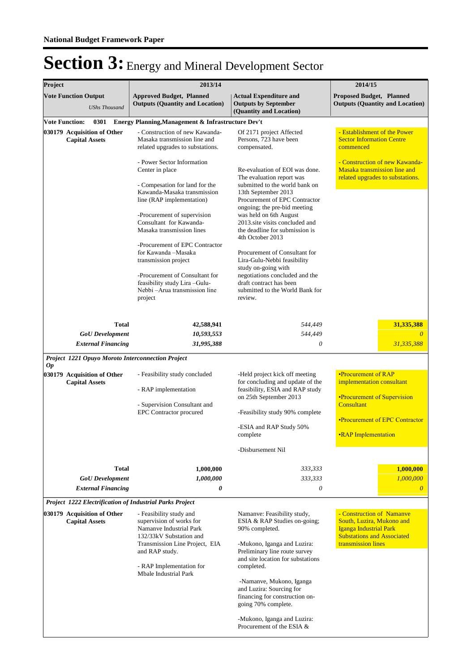| Project                                                  | 2013/14                                                                                                     | 2014/15<br><b>Proposed Budget, Planned</b><br><b>Outputs (Quantity and Location)</b>                            |                                                                                                                       |  |
|----------------------------------------------------------|-------------------------------------------------------------------------------------------------------------|-----------------------------------------------------------------------------------------------------------------|-----------------------------------------------------------------------------------------------------------------------|--|
| <b>Vote Function Output</b><br><b>UShs Thousand</b>      | <b>Approved Budget, Planned</b><br><b>Outputs (Quantity and Location)</b>                                   |                                                                                                                 |                                                                                                                       |  |
| <b>Vote Function:</b><br>0301                            | Energy Planning, Management & Infrastructure Dev't                                                          |                                                                                                                 |                                                                                                                       |  |
| 030179 Acquisition of Other<br><b>Capital Assets</b>     | - Construction of new Kawanda-<br>Masaka transmission line and<br>related upgrades to substations.          | Of 2171 project Affected<br>Persons, 723 have been<br>compensated.                                              | - Establishment of the Power<br><b>Sector Information Centre</b><br>commenced                                         |  |
|                                                          | - Power Sector Information<br>Center in place<br>- Compesation for land for the                             | Re-evaluation of EOI was done.<br>The evaluation report was<br>submitted to the world bank on                   | - Construction of new Kawanda-<br>Masaka transmission line and<br>related upgrades to substations.                    |  |
|                                                          | Kawanda-Masaka transmission<br>line (RAP implementation)                                                    | 13th September 2013<br>Procurement of EPC Contractor<br>ongoing; the pre-bid meeting                            |                                                                                                                       |  |
|                                                          | -Procurement of supervision<br>Consultant for Kawanda-<br>Masaka transmission lines                         | was held on 6th August<br>2013.site visits concluded and<br>the deadline for submission is<br>4th October 2013  |                                                                                                                       |  |
|                                                          | -Procurement of EPC Contractor<br>for Kawanda -Masaka<br>transmission project                               | Procurement of Consultant for<br>Lira-Gulu-Nebbi feasibility<br>study on-going with                             |                                                                                                                       |  |
|                                                          | -Procurement of Consultant for<br>feasibility study Lira-Gulu-<br>Nebbi - Arua transmission line<br>project | negotiations concluded and the<br>draft contract has been<br>submitted to the World Bank for<br>review.         |                                                                                                                       |  |
| <b>Total</b>                                             | 42,588,941                                                                                                  | 544,449                                                                                                         | 31,335,388                                                                                                            |  |
| <b>GoU</b> Development                                   | 10,593,553                                                                                                  | 544,449                                                                                                         | $\overline{0}$                                                                                                        |  |
| <b>External Financing</b>                                | 31,995,388                                                                                                  | 0                                                                                                               | 31,335,388                                                                                                            |  |
| Project 1221 Opuyo Moroto Interconnection Project        |                                                                                                             |                                                                                                                 |                                                                                                                       |  |
| <i>Op</i><br>030179 Acquisition of Other                 | - Feasibility study concluded                                                                               | -Held project kick off meeting                                                                                  | •Procurement of RAP                                                                                                   |  |
| <b>Capital Assets</b>                                    |                                                                                                             | for concluding and update of the                                                                                | implementation consultant                                                                                             |  |
|                                                          | - RAP implementation<br>- Supervision Consultant and<br><b>EPC</b> Contractor procured                      | feasibility, ESIA and RAP study<br>on 25th September 2013                                                       | <b>•Procurement of Supervision</b>                                                                                    |  |
|                                                          |                                                                                                             | -Feasibility study 90% complete                                                                                 | Consultant                                                                                                            |  |
|                                                          |                                                                                                             |                                                                                                                 | <b>•Procurement of EPC Contractor</b>                                                                                 |  |
|                                                          |                                                                                                             | -ESIA and RAP Study 50%<br>complete                                                                             | <b>.RAP</b> Implementation                                                                                            |  |
|                                                          |                                                                                                             | -Disbursement Nil                                                                                               |                                                                                                                       |  |
| <b>Total</b>                                             | 1,000,000                                                                                                   | 333,333                                                                                                         | 1,000,000                                                                                                             |  |
| <b>GoU</b> Development                                   | 1,000,000                                                                                                   | 333,333                                                                                                         | 1,000,000                                                                                                             |  |
| <b>External Financing</b>                                | 0                                                                                                           | 0                                                                                                               | $\theta$                                                                                                              |  |
| Project 1222 Electrification of Industrial Parks Project |                                                                                                             |                                                                                                                 |                                                                                                                       |  |
| 030179 Acquisition of Other<br><b>Capital Assets</b>     | - Feasibility study and<br>supervision of works for<br>Namanye Industrial Park<br>132/33kV Substation and   | Namanve: Feasibility study,<br>ESIA & RAP Studies on-going;<br>90% completed.                                   | - Construction of Namanye<br>South, Luzira, Mukono and<br>Iganga Industrial Park<br><b>Substations and Associated</b> |  |
|                                                          | Transmission Line Project, EIA<br>and RAP study.<br>- RAP Implementation for                                | -Mukono, Iganga and Luzira:<br>Preliminary line route survey<br>and site location for substations<br>completed. | transmission lines                                                                                                    |  |
|                                                          | Mbale Industrial Park                                                                                       |                                                                                                                 |                                                                                                                       |  |
|                                                          |                                                                                                             | -Namanve, Mukono, Iganga<br>and Luzira: Sourcing for<br>financing for construction on-<br>going 70% complete.   |                                                                                                                       |  |
|                                                          |                                                                                                             | -Mukono, Iganga and Luzira:<br>Procurement of the ESIA &                                                        |                                                                                                                       |  |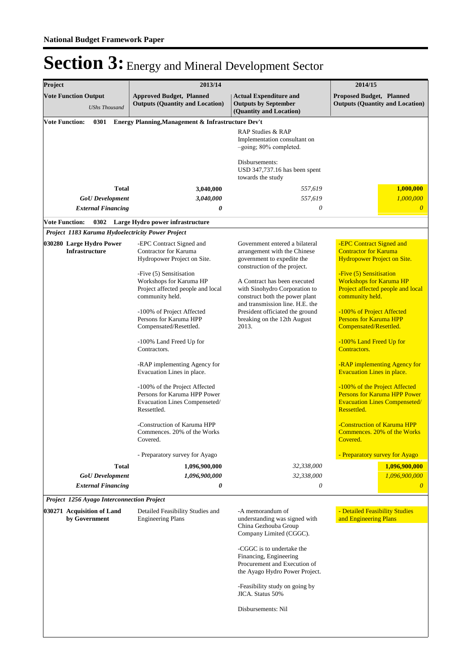| Project                                             | 2013/14                                                                                                                                |                                                                                                                                                              | 2014/15                                                                                                                                                     |
|-----------------------------------------------------|----------------------------------------------------------------------------------------------------------------------------------------|--------------------------------------------------------------------------------------------------------------------------------------------------------------|-------------------------------------------------------------------------------------------------------------------------------------------------------------|
| <b>Vote Function Output</b><br><b>UShs Thousand</b> | <b>Approved Budget, Planned</b><br><b>Outputs (Quantity and Location)</b>                                                              | <b>Actual Expenditure and</b><br><b>Outputs by September</b><br>(Quantity and Location)                                                                      | Proposed Budget, Planned<br><b>Outputs (Quantity and Location)</b>                                                                                          |
| <b>Vote Function:</b><br>0301                       | Energy Planning, Management & Infrastructure Dev't                                                                                     |                                                                                                                                                              |                                                                                                                                                             |
|                                                     |                                                                                                                                        | RAP Studies & RAP<br>Implementation consultant on<br>-going; 80% completed.                                                                                  |                                                                                                                                                             |
|                                                     |                                                                                                                                        | Disbursements:<br>USD 347,737.16 has been spent<br>towards the study                                                                                         |                                                                                                                                                             |
| <b>Total</b>                                        | 3,040,000                                                                                                                              | 557,619                                                                                                                                                      | 1,000,000                                                                                                                                                   |
| <b>GoU</b> Development                              | 3,040,000                                                                                                                              | 557,619                                                                                                                                                      | 1,000,000                                                                                                                                                   |
| <b>External Financing</b>                           | 0                                                                                                                                      | 0                                                                                                                                                            | $\boldsymbol{\theta}$                                                                                                                                       |
| <b>Vote Function:</b>                               | 0302 Large Hydro power infrastructure                                                                                                  |                                                                                                                                                              |                                                                                                                                                             |
| Project 1183 Karuma Hydoelectricity Power Project   |                                                                                                                                        |                                                                                                                                                              |                                                                                                                                                             |
| 030280 Large Hydro Power<br><b>Infrastructure</b>   | -EPC Contract Signed and<br>Contractor for Karuma<br>Hydropower Project on Site.<br>-Five (5) Sensitisation<br>Workshops for Karuma HP | Government entered a bilateral<br>arrangement with the Chinese<br>government to expedite the<br>construction of the project.<br>A Contract has been executed | -EPC Contract Signed and<br><b>Contractor for Karuma</b><br><b>Hydropower Project on Site.</b><br>-Five (5) Sensitisation<br><b>Workshops for Karuma HP</b> |
|                                                     | Project affected people and local<br>community held.                                                                                   | with Sinohydro Corporation to<br>construct both the power plant<br>and transmission line. H.E. the                                                           | Project affected people and local<br>community held.                                                                                                        |
|                                                     | -100% of Project Affected<br>Persons for Karuma HPP<br>Compensated/Resettled.                                                          | President officiated the ground<br>breaking on the 12th August<br>2013.                                                                                      | -100% of Project Affected<br><b>Persons for Karuma HPP</b><br>Compensated/Resettled.                                                                        |
|                                                     | -100% Land Freed Up for<br>Contractors.                                                                                                |                                                                                                                                                              | -100% Land Freed Up for<br>Contractors.                                                                                                                     |
|                                                     | -RAP implementing Agency for<br>Evacuation Lines in place.                                                                             |                                                                                                                                                              | -RAP implementing Agency for<br><b>Evacuation Lines in place.</b>                                                                                           |
|                                                     | -100% of the Project Affected<br>Persons for Karuma HPP Power<br>Evacuation Lines Compenseted/<br>Ressettled.                          |                                                                                                                                                              | -100% of the Project Affected<br><b>Persons for Karuma HPP Power</b><br><b>Evacuation Lines Compenseted/</b><br>Ressettled.                                 |
|                                                     | -Construction of Karuma HPP<br>Commences. 20% of the Works<br>Covered.                                                                 |                                                                                                                                                              | -Construction of Karuma HPP<br>Commences. 20% of the Works<br>Covered.                                                                                      |
|                                                     | - Preparatory survey for Ayago                                                                                                         |                                                                                                                                                              | - Preparatory survey for Ayago                                                                                                                              |
| <b>Total</b>                                        | 1,096,900,000                                                                                                                          | 32,338,000                                                                                                                                                   | 1,096,900,000                                                                                                                                               |
| <b>GoU</b> Development                              | 1,096,900,000                                                                                                                          | 32,338,000                                                                                                                                                   | 1,096,900,000                                                                                                                                               |
| <b>External Financing</b>                           | 0                                                                                                                                      | 0                                                                                                                                                            | $\theta$                                                                                                                                                    |
| Project 1256 Ayago Interconnection Project          |                                                                                                                                        |                                                                                                                                                              |                                                                                                                                                             |
| 030271 Acquisition of Land<br>by Government         | Detailed Feasibility Studies and<br><b>Engineering Plans</b>                                                                           | -A memorandum of<br>understanding was signed with<br>China Gezhouba Group<br>Company Limited (CGGC).                                                         | - Detailed Feasibility Studies<br>and Engineering Plans                                                                                                     |
|                                                     |                                                                                                                                        | -CGGC is to undertake the<br>Financing, Engineering<br>Procurement and Execution of<br>the Ayago Hydro Power Project.                                        |                                                                                                                                                             |
|                                                     |                                                                                                                                        | -Feasibility study on going by<br>JICA. Status 50%                                                                                                           |                                                                                                                                                             |
|                                                     |                                                                                                                                        | Disbursements: Nil                                                                                                                                           |                                                                                                                                                             |
|                                                     |                                                                                                                                        |                                                                                                                                                              |                                                                                                                                                             |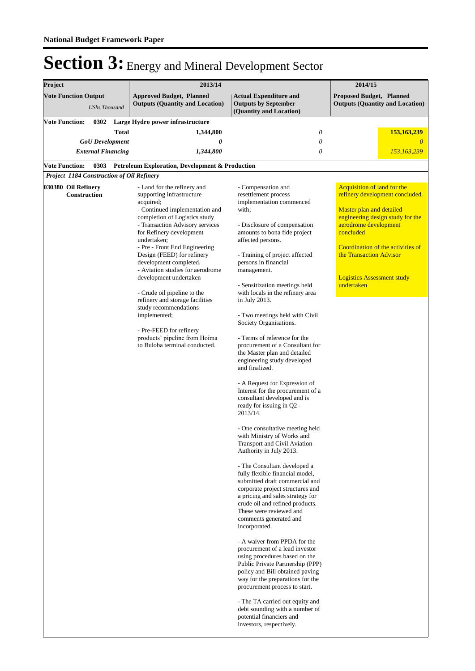| Project                                                                                     |                                                                              | 2013/14                                                                                                                                                                                                                                                                                                                                                                                                                                                                                                                                                                               |                                                                                                                                                                                                                                                                                                                                                                                                                                                                                                                                                                                                                                                                                                                                                                                                                                                                                                                                                                                                                                                                                                                                                                                                                                                                                                                                                                                                                                                                                                 | 2014/15                                                                                                                                                                                                                                                                                        |
|---------------------------------------------------------------------------------------------|------------------------------------------------------------------------------|---------------------------------------------------------------------------------------------------------------------------------------------------------------------------------------------------------------------------------------------------------------------------------------------------------------------------------------------------------------------------------------------------------------------------------------------------------------------------------------------------------------------------------------------------------------------------------------|-------------------------------------------------------------------------------------------------------------------------------------------------------------------------------------------------------------------------------------------------------------------------------------------------------------------------------------------------------------------------------------------------------------------------------------------------------------------------------------------------------------------------------------------------------------------------------------------------------------------------------------------------------------------------------------------------------------------------------------------------------------------------------------------------------------------------------------------------------------------------------------------------------------------------------------------------------------------------------------------------------------------------------------------------------------------------------------------------------------------------------------------------------------------------------------------------------------------------------------------------------------------------------------------------------------------------------------------------------------------------------------------------------------------------------------------------------------------------------------------------|------------------------------------------------------------------------------------------------------------------------------------------------------------------------------------------------------------------------------------------------------------------------------------------------|
| <b>Vote Function Output</b>                                                                 | <b>UShs Thousand</b>                                                         | <b>Approved Budget, Planned</b><br><b>Outputs (Quantity and Location)</b>                                                                                                                                                                                                                                                                                                                                                                                                                                                                                                             | <b>Actual Expenditure and</b><br><b>Outputs by September</b><br>(Quantity and Location)                                                                                                                                                                                                                                                                                                                                                                                                                                                                                                                                                                                                                                                                                                                                                                                                                                                                                                                                                                                                                                                                                                                                                                                                                                                                                                                                                                                                         | <b>Proposed Budget, Planned</b><br><b>Outputs (Quantity and Location)</b>                                                                                                                                                                                                                      |
| <b>Vote Function:</b><br><b>Vote Function:</b><br>Project 1184 Construction of Oil Refinery | 0302<br>Total<br><b>GoU</b> Development<br><b>External Financing</b><br>0303 | Large Hydro power infrastructure<br>1,344,800<br>0<br>1,344,800<br>Petroleum Exploration, Development & Production                                                                                                                                                                                                                                                                                                                                                                                                                                                                    | $\theta$<br>0<br>$\theta$                                                                                                                                                                                                                                                                                                                                                                                                                                                                                                                                                                                                                                                                                                                                                                                                                                                                                                                                                                                                                                                                                                                                                                                                                                                                                                                                                                                                                                                                       | 153,163,239<br>0<br>153,163,239                                                                                                                                                                                                                                                                |
| 030380 Oil Refinery<br>Construction                                                         |                                                                              | - Land for the refinery and<br>supporting infrastructure<br>acquired;<br>- Continued implementation and<br>completion of Logistics study<br>- Transaction Advisory services<br>for Refinery development<br>undertaken;<br>- Pre - Front End Engineering<br>Design (FEED) for refinery<br>development completed.<br>- Aviation studies for aerodrome<br>development undertaken<br>- Crude oil pipeline to the<br>refinery and storage facilities<br>study recommendations<br>implemented;<br>- Pre-FEED for refinery<br>products' pipeline from Hoima<br>to Buloba terminal conducted. | - Compensation and<br>resettlement process<br>implementation commenced<br>with;<br>- Disclosure of compensation<br>amounts to bona fide project<br>affected persons.<br>- Training of project affected<br>persons in financial<br>management.<br>- Sensitization meetings held<br>with locals in the refinery area<br>in July 2013.<br>- Two meetings held with Civil<br>Society Organisations.<br>- Terms of reference for the<br>procurement of a Consultant for<br>the Master plan and detailed<br>engineering study developed<br>and finalized.<br>- A Request for Expression of<br>Interest for the procurement of a<br>consultant developed and is<br>ready for issuing in Q2 -<br>2013/14.<br>- One consultative meeting held<br>with Ministry of Works and<br>Transport and Civil Aviation<br>Authority in July 2013.<br>- The Consultant developed a<br>fully flexible financial model,<br>submitted draft commercial and<br>corporate project structures and<br>a pricing and sales strategy for<br>crude oil and refined products.<br>These were reviewed and<br>comments generated and<br>incorporated.<br>- A waiver from PPDA for the<br>procurement of a lead investor<br>using procedures based on the<br>Public Private Partnership (PPP)<br>policy and Bill obtained paving<br>way for the preparations for the<br>procurement process to start.<br>- The TA carried out equity and<br>debt sounding with a number of<br>potential financiers and<br>investors, respectively. | <b>Acquisition of land for the</b><br>refinery development concluded.<br>Master plan and detailed<br>engineering design study for the<br>aerodrome development<br>concluded<br>Coordination of the activities of<br>the Transaction Advisor<br><b>Logistics Assessment study</b><br>undertaken |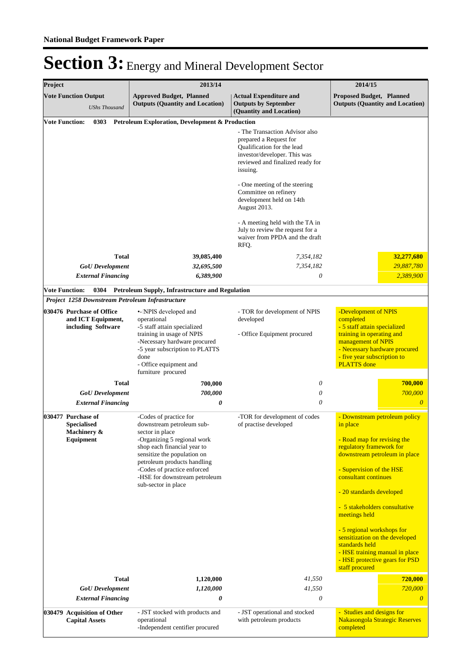| Project               |                                                                       | 2013/14                                                                                                                                                                                                                                                         | 2014/15                                                                                                                                                                |                                                                                                                                                                                                            |  |
|-----------------------|-----------------------------------------------------------------------|-----------------------------------------------------------------------------------------------------------------------------------------------------------------------------------------------------------------------------------------------------------------|------------------------------------------------------------------------------------------------------------------------------------------------------------------------|------------------------------------------------------------------------------------------------------------------------------------------------------------------------------------------------------------|--|
|                       | <b>Vote Function Output</b><br><b>UShs Thousand</b>                   | <b>Approved Budget, Planned</b><br><b>Outputs (Quantity and Location)</b>                                                                                                                                                                                       | <b>Actual Expenditure and</b><br><b>Outputs by September</b><br>(Quantity and Location)                                                                                | <b>Proposed Budget, Planned</b><br><b>Outputs (Quantity and Location)</b>                                                                                                                                  |  |
| <b>Vote Function:</b> | 0303                                                                  | Petroleum Exploration, Development & Production                                                                                                                                                                                                                 |                                                                                                                                                                        |                                                                                                                                                                                                            |  |
|                       |                                                                       |                                                                                                                                                                                                                                                                 | - The Transaction Advisor also<br>prepared a Request for<br>Qualification for the lead<br>investor/developer. This was<br>reviewed and finalized ready for<br>issuing. |                                                                                                                                                                                                            |  |
|                       |                                                                       |                                                                                                                                                                                                                                                                 | - One meeting of the steering<br>Committee on refinery<br>development held on 14th<br>August 2013.                                                                     |                                                                                                                                                                                                            |  |
|                       |                                                                       |                                                                                                                                                                                                                                                                 | - A meeting held with the TA in<br>July to review the request for a<br>waiver from PPDA and the draft<br>RFQ.                                                          |                                                                                                                                                                                                            |  |
|                       | <b>Total</b>                                                          | 39,085,400                                                                                                                                                                                                                                                      | 7,354,182                                                                                                                                                              | 32,277,680                                                                                                                                                                                                 |  |
|                       | <b>GoU</b> Development                                                | 32,695,500                                                                                                                                                                                                                                                      | 7,354,182                                                                                                                                                              | 29,887,780                                                                                                                                                                                                 |  |
|                       | <b>External Financing</b>                                             | 6,389,900                                                                                                                                                                                                                                                       | $\theta$                                                                                                                                                               | 2,389,900                                                                                                                                                                                                  |  |
| <b>Vote Function:</b> | 0304                                                                  | <b>Petroleum Supply, Infrastructure and Regulation</b>                                                                                                                                                                                                          |                                                                                                                                                                        |                                                                                                                                                                                                            |  |
|                       | Project 1258 Downstream Petroleum Infrastructure                      |                                                                                                                                                                                                                                                                 |                                                                                                                                                                        |                                                                                                                                                                                                            |  |
|                       | 030476 Purchase of Office<br>and ICT Equipment,<br>including Software | •- INPIS developed and<br>operational<br>-5 staff attain specialized<br>training in usage of NPIS<br>-Necessary hardware procured<br>-5 year subscription to PLATTS<br>done<br>- Office equipment and<br>furniture procured                                     | - TOR for development of NPIS<br>developed<br>- Office Equipment procured                                                                                              | -Development of NPIS<br>completed<br>- 5 staff attain specialized<br>training in operating and<br>management of NPIS<br>- Necessary hardware procured<br>- five year subscription to<br><b>PLATTS</b> done |  |
|                       | <b>Total</b>                                                          | 700,000                                                                                                                                                                                                                                                         | 0                                                                                                                                                                      | 700,000                                                                                                                                                                                                    |  |
|                       | <b>GoU</b> Development<br><b>External Financing</b>                   | 700,000<br>0                                                                                                                                                                                                                                                    | 0<br>0                                                                                                                                                                 | 700,000<br>$\overline{\theta}$                                                                                                                                                                             |  |
|                       | 030477 Purchase of                                                    | -Codes of practice for                                                                                                                                                                                                                                          | -TOR for development of codes                                                                                                                                          | - Downstream petroleum policy                                                                                                                                                                              |  |
|                       | <b>Specialised</b><br>Machinery &<br>Equipment                        | downstream petroleum sub-<br>sector in place<br>-Organizing 5 regional work<br>shop each financial year to<br>sensitize the population on<br>petroleum products handling<br>-Codes of practice enforced<br>-HSE for downstream petroleum<br>sub-sector in place | of practise developed                                                                                                                                                  | in place<br>- Road map for revising the<br>regulatory framework for<br>downstream petroleum in place<br>- Supervision of the HSE<br>consultant continues<br>- 20 standards developed                       |  |
|                       |                                                                       |                                                                                                                                                                                                                                                                 |                                                                                                                                                                        | - 5 stakeholders consultative<br>meetings held                                                                                                                                                             |  |
|                       |                                                                       |                                                                                                                                                                                                                                                                 |                                                                                                                                                                        | - 5 regional workshops for<br>sensitization on the developed<br>standards held<br>- HSE training manual in place<br>- HSE protective gears for PSD<br>staff procured                                       |  |
|                       | <b>Total</b>                                                          | 1,120,000                                                                                                                                                                                                                                                       | 41,550                                                                                                                                                                 | 720,000                                                                                                                                                                                                    |  |
|                       | <b>GoU</b> Development<br><b>External Financing</b>                   | 1,120,000<br>0                                                                                                                                                                                                                                                  | 41,550<br>0                                                                                                                                                            | 720,000<br>$\theta$                                                                                                                                                                                        |  |
|                       | 030479 Acquisition of Other<br><b>Capital Assets</b>                  | - JST stocked with products and<br>operational<br>-Independent centifier procured                                                                                                                                                                               | - JST operational and stocked<br>with petroleum products                                                                                                               | - Studies and designs for<br>Nakasongola Strategic Reserves<br>completed                                                                                                                                   |  |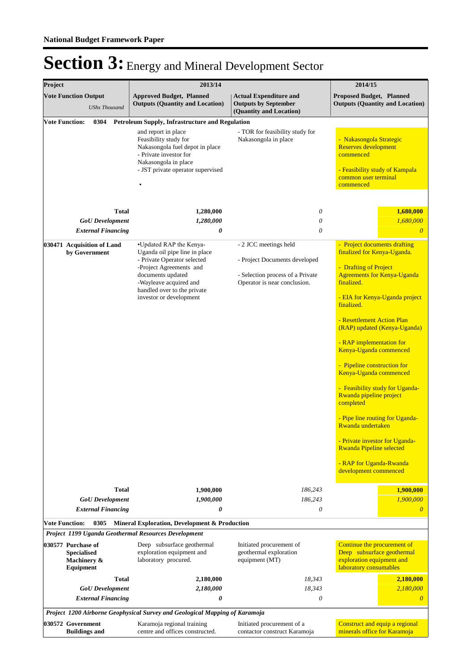| Project               |                                                                      | 2013/14                                                                                                                                                                                                                     |                                                                                                                            | 2014/15                                                                                                                                                                                                                                                                                                                                                                                                                                                                                                                                                                                                                           |
|-----------------------|----------------------------------------------------------------------|-----------------------------------------------------------------------------------------------------------------------------------------------------------------------------------------------------------------------------|----------------------------------------------------------------------------------------------------------------------------|-----------------------------------------------------------------------------------------------------------------------------------------------------------------------------------------------------------------------------------------------------------------------------------------------------------------------------------------------------------------------------------------------------------------------------------------------------------------------------------------------------------------------------------------------------------------------------------------------------------------------------------|
|                       | <b>Vote Function Output</b><br><b>UShs Thousand</b>                  | <b>Approved Budget, Planned</b><br><b>Outputs (Quantity and Location)</b>                                                                                                                                                   | <b>Actual Expenditure and</b><br><b>Outputs by September</b><br>(Quantity and Location)                                    | <b>Proposed Budget, Planned</b><br><b>Outputs (Quantity and Location)</b>                                                                                                                                                                                                                                                                                                                                                                                                                                                                                                                                                         |
| <b>Vote Function:</b> | 0304                                                                 | Petroleum Supply, Infrastructure and Regulation                                                                                                                                                                             |                                                                                                                            |                                                                                                                                                                                                                                                                                                                                                                                                                                                                                                                                                                                                                                   |
|                       |                                                                      | and report in place<br>Feasibility study for<br>Nakasongola fuel depot in place<br>- Private investor for<br>Nakasongola in place<br>- JST private operator supervised                                                      | - TOR for feasibility study for<br>Nakasongola in place                                                                    | - Nakasongola Strategic<br><b>Reserves development</b><br>commenced<br>- Feasibility study of Kampala<br>common user terminal<br>commenced                                                                                                                                                                                                                                                                                                                                                                                                                                                                                        |
|                       | <b>Total</b>                                                         | 1,280,000                                                                                                                                                                                                                   | 0                                                                                                                          | 1,680,000                                                                                                                                                                                                                                                                                                                                                                                                                                                                                                                                                                                                                         |
|                       | <b>GoU</b> Development                                               | 1,280,000                                                                                                                                                                                                                   | 0                                                                                                                          | 1,680,000                                                                                                                                                                                                                                                                                                                                                                                                                                                                                                                                                                                                                         |
|                       | <b>External Financing</b>                                            | 0                                                                                                                                                                                                                           | $\theta$                                                                                                                   | $\theta$                                                                                                                                                                                                                                                                                                                                                                                                                                                                                                                                                                                                                          |
|                       | 030471 Acquisition of Land<br>by Government                          | •Updated RAP the Kenya-<br>Uganda oil pipe line in place<br>- Private Operator selected<br>-Project Agreements and<br>documents updated<br>-Wayleave acquired and<br>handled over to the private<br>investor or development | - 2 JCC meetings held<br>- Project Documents developed<br>- Selection process of a Private<br>Operator is near conclusion. | - Project documents drafting<br>finalized for Kenya-Uganda.<br>- Drafting of Project<br><b>Agreements for Kenya-Uganda</b><br>finalized.<br>- EIA for Kenya-Uganda project<br>finalized.<br>- Resettlement Action Plan<br>(RAP) updated (Kenya-Uganda)<br>- RAP implementation for<br>Kenya-Uganda commenced<br>- Pipeline construction for<br>Kenya-Uganda commenced<br>- Feasibility study for Uganda-<br>Rwanda pipeline project<br>completed<br>- Pipe line routing for Uganda-<br>Rwanda undertaken<br>- Private investor for Uganda-<br><b>Rwanda Pipeline selected</b><br>- RAP for Uganda-Rwanda<br>development commenced |
|                       | <b>Total</b>                                                         | 1,900,000                                                                                                                                                                                                                   | 186,243                                                                                                                    | 1,900,000                                                                                                                                                                                                                                                                                                                                                                                                                                                                                                                                                                                                                         |
|                       | <b>GoU</b> Development                                               | 1,900,000                                                                                                                                                                                                                   | 186,243                                                                                                                    | 1,900,000                                                                                                                                                                                                                                                                                                                                                                                                                                                                                                                                                                                                                         |
|                       | <b>External Financing</b>                                            | 0                                                                                                                                                                                                                           | $\theta$                                                                                                                   | $\boldsymbol{\theta}$                                                                                                                                                                                                                                                                                                                                                                                                                                                                                                                                                                                                             |
| <b>Vote Function:</b> | 0305                                                                 | Mineral Exploration, Development & Production                                                                                                                                                                               |                                                                                                                            |                                                                                                                                                                                                                                                                                                                                                                                                                                                                                                                                                                                                                                   |
|                       |                                                                      | Project 1199 Uganda Geothermal Resources Development                                                                                                                                                                        |                                                                                                                            |                                                                                                                                                                                                                                                                                                                                                                                                                                                                                                                                                                                                                                   |
|                       | 030577 Purchase of<br><b>Specialised</b><br>Machinery &<br>Equipment | Deep subsurface geothermal<br>exploration equipment and<br>laboratory procured.                                                                                                                                             | Initiated procurement of<br>geothermal exploration<br>equipment (MT)                                                       | Continue the procurement of<br>Deep subsurface geothermal<br>exploration equipment and<br>laboratory consumables                                                                                                                                                                                                                                                                                                                                                                                                                                                                                                                  |
|                       | <b>Total</b>                                                         | 2,180,000                                                                                                                                                                                                                   | 18,343                                                                                                                     | 2,180,000                                                                                                                                                                                                                                                                                                                                                                                                                                                                                                                                                                                                                         |
|                       | <b>GoU</b> Development                                               | 2,180,000                                                                                                                                                                                                                   | 18,343                                                                                                                     | 2,180,000                                                                                                                                                                                                                                                                                                                                                                                                                                                                                                                                                                                                                         |
|                       | <b>External Financing</b>                                            | 0                                                                                                                                                                                                                           | $\theta$                                                                                                                   | $\theta$                                                                                                                                                                                                                                                                                                                                                                                                                                                                                                                                                                                                                          |
|                       |                                                                      | Project 1200 Airborne Geophysical Survey and Geological Mapping of Karamoja                                                                                                                                                 |                                                                                                                            |                                                                                                                                                                                                                                                                                                                                                                                                                                                                                                                                                                                                                                   |
|                       | 030572 Government<br><b>Buildings and</b>                            | Karamoja regional training<br>centre and offices constructed.                                                                                                                                                               | Initiated procurement of a<br>contactor construct Karamoja                                                                 | Construct and equip a regional<br>minerals office for Karamoja                                                                                                                                                                                                                                                                                                                                                                                                                                                                                                                                                                    |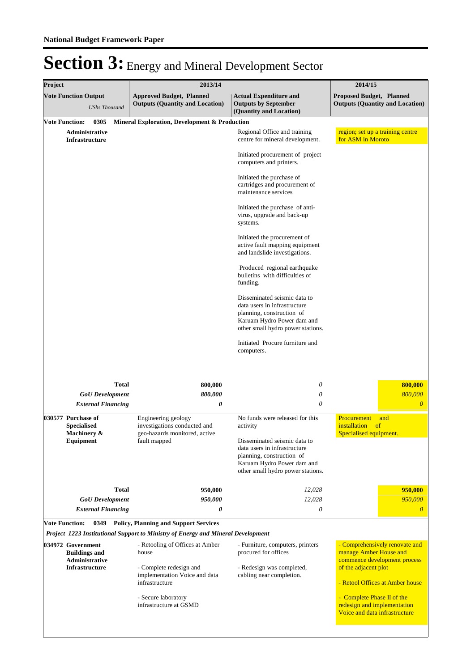| Project |                                                                     | 2013/14                                                                          |                                                                                                                                                              | 2014/15                                                                                    |
|---------|---------------------------------------------------------------------|----------------------------------------------------------------------------------|--------------------------------------------------------------------------------------------------------------------------------------------------------------|--------------------------------------------------------------------------------------------|
|         | <b>Vote Function Output</b><br><b>UShs Thousand</b>                 | <b>Approved Budget, Planned</b><br><b>Outputs (Quantity and Location)</b>        | <b>Actual Expenditure and</b><br><b>Outputs by September</b><br>(Quantity and Location)                                                                      | <b>Proposed Budget, Planned</b><br><b>Outputs (Quantity and Location)</b>                  |
|         | <b>Vote Function:</b><br>0305                                       | Mineral Exploration, Development & Production                                    |                                                                                                                                                              |                                                                                            |
|         | Administrative<br><b>Infrastructure</b>                             |                                                                                  | Regional Office and training<br>centre for mineral development.                                                                                              | region; set up a training centre<br>for ASM in Moroto                                      |
|         |                                                                     |                                                                                  | Initiated procurement of project<br>computers and printers.                                                                                                  |                                                                                            |
|         |                                                                     |                                                                                  | Initiated the purchase of<br>cartridges and procurement of<br>maintenance services                                                                           |                                                                                            |
|         |                                                                     |                                                                                  | Initiated the purchase of anti-<br>virus, upgrade and back-up<br>systems.                                                                                    |                                                                                            |
|         |                                                                     |                                                                                  | Initiated the procurement of<br>active fault mapping equipment<br>and landslide investigations.                                                              |                                                                                            |
|         |                                                                     |                                                                                  | Produced regional earthquake<br>bulletins with difficulties of<br>funding.                                                                                   |                                                                                            |
|         |                                                                     |                                                                                  | Disseminated seismic data to<br>data users in infrastructure<br>planning, construction of<br>Karuam Hydro Power dam and<br>other small hydro power stations. |                                                                                            |
|         |                                                                     |                                                                                  | Initiated Procure furniture and<br>computers.                                                                                                                |                                                                                            |
|         | <b>Total</b><br><b>GoU</b> Development<br><b>External Financing</b> | 800,000<br>800,000<br>0                                                          | 0<br>0<br>0                                                                                                                                                  | 800.000<br>800,000<br>$\boldsymbol{\theta}$                                                |
|         | 030577 Purchase of<br><b>Specialised</b>                            | Engineering geology<br>investigations conducted and                              | No funds were released for this<br>activity                                                                                                                  | Procurement<br>and<br>installation<br>of<br>Specialised equipment.                         |
|         | Machinery &<br>Equipment                                            | geo-hazards monitored, active<br>fault mapped                                    | Disseminated seismic data to<br>data users in infrastructure<br>planning, construction of<br>Karuam Hydro Power dam and<br>other small hydro power stations. |                                                                                            |
|         | <b>Total</b>                                                        | 950,000                                                                          | 12,028                                                                                                                                                       | 950,000                                                                                    |
|         | <b>GoU</b> Development                                              | 950,000                                                                          | 12,028                                                                                                                                                       | 950,000                                                                                    |
|         | <b>External Financing</b>                                           | 0                                                                                | 0                                                                                                                                                            | $\boldsymbol{\theta}$                                                                      |
|         | <b>Vote Function:</b><br>0349                                       | <b>Policy, Planning and Support Services</b>                                     |                                                                                                                                                              |                                                                                            |
|         |                                                                     | Project 1223 Institutional Support to Ministry of Energy and Mineral Development |                                                                                                                                                              |                                                                                            |
|         | 034972 Government<br><b>Buildings and</b><br>Administrative         | - Retooling of Offices at Amber<br>house                                         | - Furniture, computers, printers<br>procured for offices                                                                                                     | - Comprehensively renovate and<br>manage Amber House and<br>commence development process   |
|         | <b>Infrastructure</b>                                               | - Complete redesign and<br>implementation Voice and data<br>infrastructure       | - Redesign was completed,<br>cabling near completion.                                                                                                        | of the adjacent plot<br>- Retool Offices at Amber house                                    |
|         |                                                                     | - Secure laboratory<br>infrastructure at GSMD                                    |                                                                                                                                                              | - Complete Phase II of the<br>redesign and implementation<br>Voice and data infrastructure |
|         |                                                                     |                                                                                  |                                                                                                                                                              |                                                                                            |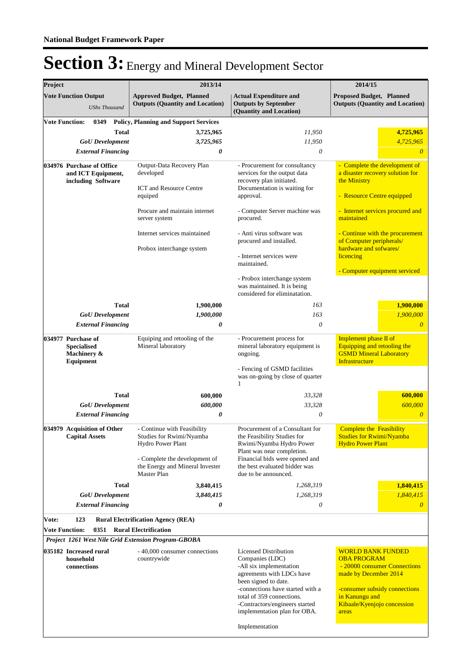| Project |                                                                                               | 2013/14                                                                                                                                                                |                                                                                                                                                                                                                                                                                      | 2014/15                                                                                                                                                                                            |
|---------|-----------------------------------------------------------------------------------------------|------------------------------------------------------------------------------------------------------------------------------------------------------------------------|--------------------------------------------------------------------------------------------------------------------------------------------------------------------------------------------------------------------------------------------------------------------------------------|----------------------------------------------------------------------------------------------------------------------------------------------------------------------------------------------------|
|         | <b>Vote Function Output</b><br><b>UShs Thousand</b>                                           | <b>Approved Budget, Planned</b><br><b>Outputs (Quantity and Location)</b>                                                                                              | <b>Actual Expenditure and</b><br><b>Outputs by September</b><br>(Quantity and Location)                                                                                                                                                                                              | <b>Proposed Budget, Planned</b><br><b>Outputs (Quantity and Location)</b>                                                                                                                          |
|         | <b>Vote Function:</b><br>0349<br>Total<br><b>GoU</b> Development<br><b>External Financing</b> | <b>Policy, Planning and Support Services</b><br>3,725,965<br>3,725,965<br>0                                                                                            | 11,950<br>11,950<br>0                                                                                                                                                                                                                                                                | 4,725,965<br>4,725,965<br>$\theta$                                                                                                                                                                 |
|         | 034976 Purchase of Office<br>and ICT Equipment,<br>including Software                         | Output-Data Recovery Plan<br>developed<br><b>ICT</b> and Resource Centre<br>equiped<br>Procure and maintain internet                                                   | - Procurement for consultancy<br>services for the output data<br>recovery plan initiated.<br>Documentation is waiting for<br>approval.<br>- Computer Server machine was                                                                                                              | - Complete the development of<br>a disaster recovery solution for<br>the Ministry<br>- Resource Centre equipped<br>- Internet services procured and                                                |
|         |                                                                                               | server system<br>Internet services maintained<br>Probox interchange system                                                                                             | procured.<br>- Anti virus software was<br>procured and installed.<br>- Internet services were<br>maintained.<br>- Probox interchange system<br>was maintained. It is being<br>considered for eliminatation.                                                                          | maintained<br>- Continue with the procurement<br>of Computer peripherals/<br>hardware and sofwares/<br>licencing<br>- Computer equipment serviced                                                  |
|         | <b>Total</b>                                                                                  | 1,900,000                                                                                                                                                              | 163                                                                                                                                                                                                                                                                                  | 1,900,000                                                                                                                                                                                          |
|         | <b>GoU</b> Development                                                                        | 1,900,000                                                                                                                                                              | 163                                                                                                                                                                                                                                                                                  | 1,900,000                                                                                                                                                                                          |
|         | <b>External Financing</b>                                                                     | 0                                                                                                                                                                      | $\theta$                                                                                                                                                                                                                                                                             | $\theta$                                                                                                                                                                                           |
|         | 034977 Purchase of<br><b>Specialised</b><br>Machinery &<br>Equipment                          | Equiping and retooling of the<br>Mineral laboratory                                                                                                                    | - Procurement process for<br>mineral laboratory equipment is<br>ongoing.<br>- Fencing of GSMD facilities<br>was on-going by close of quarter<br>1                                                                                                                                    | Implement phase II of<br>Equipping and retooling the<br><b>GSMD Mineral Laboratory</b><br><b>Infrastructure</b>                                                                                    |
|         | <b>Total</b>                                                                                  | 600,000                                                                                                                                                                | 33,328                                                                                                                                                                                                                                                                               | 600,000                                                                                                                                                                                            |
|         | <b>GoU</b> Development                                                                        | 600,000                                                                                                                                                                | 33,328                                                                                                                                                                                                                                                                               | 600,000                                                                                                                                                                                            |
|         | <b>External Financing</b>                                                                     | 0                                                                                                                                                                      | $\theta$                                                                                                                                                                                                                                                                             | $\theta$                                                                                                                                                                                           |
|         | 034979 Acquisition of Other<br><b>Capital Assets</b>                                          | - Continue with Feasibility<br>Studies for Rwimi/Nyamba<br>Hydro Power Plant<br>- Complete the development of<br>the Energy and Mineral Invester<br><b>Master Plan</b> | Procurement of a Consultant for<br>the Feasibility Studies for<br>Rwimi/Nyamba Hydro Power<br>Plant was near completion.<br>Financial bids were opened and<br>the best evaluated bidder was<br>due to be announced.                                                                  | <b>Complete the Feasibility</b><br><b>Studies for Rwimi/Nyamba</b><br><b>Hydro Power Plant</b>                                                                                                     |
|         | Total                                                                                         | 3,840,415                                                                                                                                                              | 1,268,319                                                                                                                                                                                                                                                                            | 1,840,415                                                                                                                                                                                          |
|         | <b>GoU</b> Development                                                                        | 3,840,415                                                                                                                                                              | 1,268,319                                                                                                                                                                                                                                                                            | 1,840,415                                                                                                                                                                                          |
|         | <b>External Financing</b>                                                                     | 0                                                                                                                                                                      | 0                                                                                                                                                                                                                                                                                    | $\theta$                                                                                                                                                                                           |
| Vote:   | 123<br><b>Vote Function:</b><br>0351                                                          | <b>Rural Electrification Agency (REA)</b><br><b>Rural Electrification</b><br>Project 1261 West Nile Grid Extension Program-GBOBA                                       |                                                                                                                                                                                                                                                                                      |                                                                                                                                                                                                    |
|         | 035182 Increased rural<br>household<br>connections                                            | - 40,000 consumer connections<br>countrywide                                                                                                                           | <b>Licensed Distribution</b><br>Companies (LDC)<br>-All six implementation<br>agreements with LDCs have<br>been signed to date.<br>-connections have started with a<br>total of 359 connections.<br>-Contractors/engineers started<br>implementation plan for OBA.<br>Implementation | <b>WORLD BANK FUNDED</b><br><b>OBA PROGRAM</b><br>- 20000 consumer Connections<br>made by December 2014<br>-consumer subsidy connections<br>in Kanungu and<br>Kibaale/Kyenjojo concession<br>areas |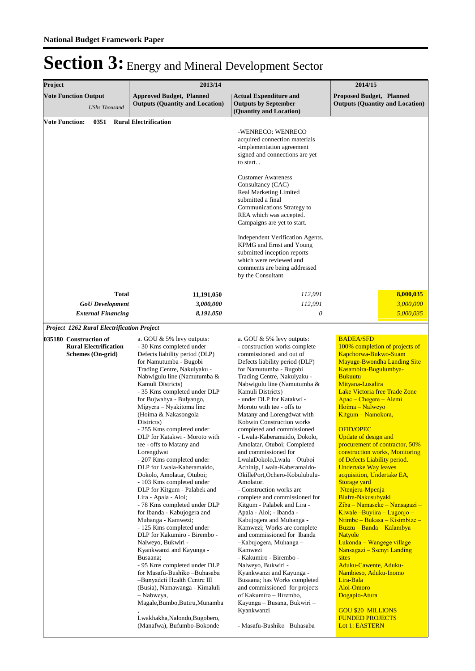| Project                                             | 2013/14                                                                                                                                                                                                                                                                                                                                                                                                                                                                                                                                                                                                                                                                                                                                                                                                                                                                                                                                                                                                                                                    | 2014/15                                                                                                                                                                                                                                                                                                                                                                                                                                                                                                                                                                                                                                                                                                                                                                                                                                                                                                                                                                                                                                                                |                                                                                                                                                                                                                                                                                                                                                                                                                                                                                                                                                                                                                                                                                                                                                                                                                                                                                                                                                      |  |
|-----------------------------------------------------|------------------------------------------------------------------------------------------------------------------------------------------------------------------------------------------------------------------------------------------------------------------------------------------------------------------------------------------------------------------------------------------------------------------------------------------------------------------------------------------------------------------------------------------------------------------------------------------------------------------------------------------------------------------------------------------------------------------------------------------------------------------------------------------------------------------------------------------------------------------------------------------------------------------------------------------------------------------------------------------------------------------------------------------------------------|------------------------------------------------------------------------------------------------------------------------------------------------------------------------------------------------------------------------------------------------------------------------------------------------------------------------------------------------------------------------------------------------------------------------------------------------------------------------------------------------------------------------------------------------------------------------------------------------------------------------------------------------------------------------------------------------------------------------------------------------------------------------------------------------------------------------------------------------------------------------------------------------------------------------------------------------------------------------------------------------------------------------------------------------------------------------|------------------------------------------------------------------------------------------------------------------------------------------------------------------------------------------------------------------------------------------------------------------------------------------------------------------------------------------------------------------------------------------------------------------------------------------------------------------------------------------------------------------------------------------------------------------------------------------------------------------------------------------------------------------------------------------------------------------------------------------------------------------------------------------------------------------------------------------------------------------------------------------------------------------------------------------------------|--|
| <b>Vote Function Output</b><br><b>UShs Thousand</b> | <b>Approved Budget, Planned</b><br><b>Outputs (Quantity and Location)</b>                                                                                                                                                                                                                                                                                                                                                                                                                                                                                                                                                                                                                                                                                                                                                                                                                                                                                                                                                                                  | <b>Actual Expenditure and</b><br><b>Outputs by September</b><br>(Quantity and Location)                                                                                                                                                                                                                                                                                                                                                                                                                                                                                                                                                                                                                                                                                                                                                                                                                                                                                                                                                                                | <b>Proposed Budget, Planned</b><br><b>Outputs (Quantity and Location)</b>                                                                                                                                                                                                                                                                                                                                                                                                                                                                                                                                                                                                                                                                                                                                                                                                                                                                            |  |
| 0351<br><b>Vote Function:</b>                       | <b>Rural Electrification</b>                                                                                                                                                                                                                                                                                                                                                                                                                                                                                                                                                                                                                                                                                                                                                                                                                                                                                                                                                                                                                               | -WENRECO: WENRECO<br>acquired connection materials<br>-implementation agreement<br>signed and connections are yet<br>to start<br><b>Customer Awareness</b><br>Consultancy (CAC)<br>Real Marketing Limited<br>submitted a final<br>Communications Strategy to<br>REA which was accepted.<br>Campaigns are yet to start.<br>Independent Verification Agents.<br>KPMG and Ernst and Young<br>submitted inception reports                                                                                                                                                                                                                                                                                                                                                                                                                                                                                                                                                                                                                                                  |                                                                                                                                                                                                                                                                                                                                                                                                                                                                                                                                                                                                                                                                                                                                                                                                                                                                                                                                                      |  |
|                                                     |                                                                                                                                                                                                                                                                                                                                                                                                                                                                                                                                                                                                                                                                                                                                                                                                                                                                                                                                                                                                                                                            | which were reviewed and<br>comments are being addressed<br>by the Consultant                                                                                                                                                                                                                                                                                                                                                                                                                                                                                                                                                                                                                                                                                                                                                                                                                                                                                                                                                                                           |                                                                                                                                                                                                                                                                                                                                                                                                                                                                                                                                                                                                                                                                                                                                                                                                                                                                                                                                                      |  |
| <b>Total</b>                                        | 11,191,050                                                                                                                                                                                                                                                                                                                                                                                                                                                                                                                                                                                                                                                                                                                                                                                                                                                                                                                                                                                                                                                 | 112,991                                                                                                                                                                                                                                                                                                                                                                                                                                                                                                                                                                                                                                                                                                                                                                                                                                                                                                                                                                                                                                                                | 8,000,035                                                                                                                                                                                                                                                                                                                                                                                                                                                                                                                                                                                                                                                                                                                                                                                                                                                                                                                                            |  |
| <b>GoU</b> Development<br><b>External Financing</b> | 3,000,000<br>8,191,050                                                                                                                                                                                                                                                                                                                                                                                                                                                                                                                                                                                                                                                                                                                                                                                                                                                                                                                                                                                                                                     | 112,991<br>$\boldsymbol{\mathit{0}}$                                                                                                                                                                                                                                                                                                                                                                                                                                                                                                                                                                                                                                                                                                                                                                                                                                                                                                                                                                                                                                   | 3,000,000<br>5,000,035                                                                                                                                                                                                                                                                                                                                                                                                                                                                                                                                                                                                                                                                                                                                                                                                                                                                                                                               |  |
| Project 1262 Rural Electrification Project          |                                                                                                                                                                                                                                                                                                                                                                                                                                                                                                                                                                                                                                                                                                                                                                                                                                                                                                                                                                                                                                                            |                                                                                                                                                                                                                                                                                                                                                                                                                                                                                                                                                                                                                                                                                                                                                                                                                                                                                                                                                                                                                                                                        |                                                                                                                                                                                                                                                                                                                                                                                                                                                                                                                                                                                                                                                                                                                                                                                                                                                                                                                                                      |  |
| 035180 Construction of                              | a. GOU $& 5\%$ levy outputs:                                                                                                                                                                                                                                                                                                                                                                                                                                                                                                                                                                                                                                                                                                                                                                                                                                                                                                                                                                                                                               | a. GOU & 5% levy outputs:                                                                                                                                                                                                                                                                                                                                                                                                                                                                                                                                                                                                                                                                                                                                                                                                                                                                                                                                                                                                                                              | <b>BADEA/SFD</b>                                                                                                                                                                                                                                                                                                                                                                                                                                                                                                                                                                                                                                                                                                                                                                                                                                                                                                                                     |  |
| <b>Rural Electrification</b><br>Schemes (On-grid)   | - 30 Kms completed under<br>Defects liability period (DLP)<br>for Namutumba - Bugobi<br>Trading Centre, Nakulyaku -<br>Nabwigulu line (Namutumba &<br>Kamuli Districts)<br>- 35 Kms completed under DLP<br>for Bujwahya - Bulyango,<br>Migyera - Nyakitoma line<br>(Hoima & Nakasongola<br>Districts)<br>- 255 Kms completed under<br>DLP for Katakwi - Moroto with<br>tee - offs to Matany and<br>Lorengdwat<br>- 207 Kms completed under<br>DLP for Lwala-Kaberamaido,<br>Dokolo, Amolatar, Otuboi;<br>- 103 Kms completed under<br>DLP for Kitgum - Palabek and<br>Lira - Apala - Aloi;<br>- 78 Kms completed under DLP<br>for Ibanda - Kabujogera and<br>Muhanga - Kamwezi;<br>- 125 Kms completed under<br>DLP for Kakumiro - Birembo -<br>Nalweyo, Bukwiri -<br>Kyankwanzi and Kayunga -<br>Busaana;<br>- 95 Kms completed under DLP<br>for Masafu-Bushiko -Buhasaba<br>-Bunyadeti Health Centre III<br>(Busia), Namawanga - Kimaluli<br>- Nabweya,<br>Magale, Bumbo, Butiru, Munamba<br>Lwakhakha, Nalondo, Bugobero,<br>(Manafwa), Bufumbo-Bokonde | - construction works complete<br>commissioned and out of<br>Defects liability period (DLP)<br>for Namutumba - Bugobi<br>Trading Centre, Nakulyaku -<br>Nabwigulu line (Namutumba &<br>Kamuli Districts)<br>- under DLP for Katakwi -<br>Moroto with tee - offs to<br>Matany and Lorengdwat with<br>Kobwin Construction works<br>completed and commissioned<br>- Lwala-Kaberamaido, Dokolo,<br>Amolatar, Otuboi; Completed<br>and commissioned for<br>LwalaDokolo,Lwala - Otuboi<br>Achinip, Lwala-Kaberamaido-<br>OkillePort, Ochero-Kobulubulu-<br>Amolator.<br>- Construction works are<br>complete and commissioned for<br>Kitgum - Palabek and Lira -<br>Apala - Aloi; - Ibanda -<br>Kabujogera and Muhanga -<br>Kamwezi; Works are complete<br>and commissioned for Ibanda<br>-Kabujogera, Muhanga -<br>Kamwezi<br>- Kakumiro - Birembo -<br>Nalweyo, Bukwiri -<br>Kyankwanzi and Kayunga -<br>Busaana; has Works completed<br>and commissioned for projects<br>of Kakumiro - Birembo,<br>Kayunga – Busana, Bukwiri –<br>Kyankwanzi<br>- Masafu-Bushiko -Buhasaba | 100% completion of projects of<br>Kapchorwa-Bukwo-Suam<br><b>Mayuge-Bwondha Landing Site</b><br>Kasambira-Bugulumbya-<br><b>Bukuutu</b><br>Mityana-Lusalira<br><b>Lake Victoria free Trade Zone</b><br>$Apac - Chegere - Alemi$<br>Hoima - Nalweyo<br>Kitgum - Namokora,<br><b>OFID/OPEC</b><br><b>Update of design and</b><br>procurement of contractor, 50%<br>construction works, Monitoring<br>of Defects Liability period.<br><b>Undertake Way leaves</b><br>acquisition, Undertake EA,<br>Storage yard<br>Ntenjeru-Mpenja<br>Biafra-Nakusubyaki<br>Ziba – Namaseke – Nansagazi –<br>$Ki$ wale - Buyiira - Lugonjo -<br>Ntimbe – Bukasa – Kisimbize –<br>Buzzu - Banda - Kalambya -<br><b>Natyole</b><br>Lukonda - Wangege village<br>Nansagazi – Ssenyi Landing<br>sites<br>Aduku-Cawente, Aduku-<br>Nambieso, Aduku-Inomo<br>Lira-Bala<br>Aloi-Omoro<br>Dogapio-Atura<br><b>GOU \$20 MILLIONS</b><br><b>FUNDED PROJECTS</b><br>Lot 1: EASTERN |  |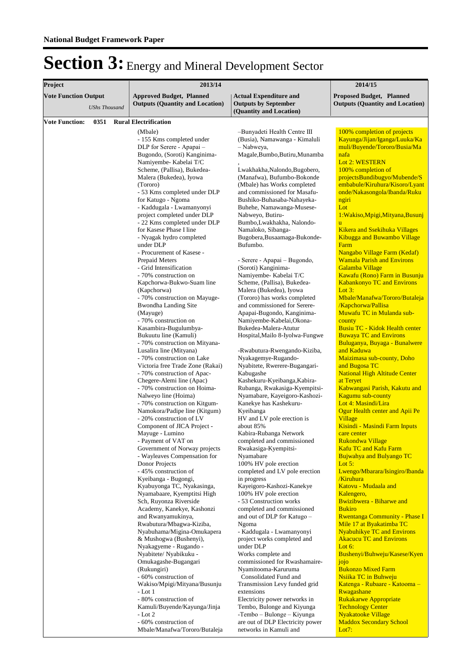| Project                     |                      | 2013/14                                                                   | 2014/15                                                                                 |                                                                           |
|-----------------------------|----------------------|---------------------------------------------------------------------------|-----------------------------------------------------------------------------------------|---------------------------------------------------------------------------|
| <b>Vote Function Output</b> | <b>UShs Thousand</b> | <b>Approved Budget, Planned</b><br><b>Outputs (Quantity and Location)</b> | <b>Actual Expenditure and</b><br><b>Outputs by September</b><br>(Quantity and Location) | <b>Proposed Budget, Planned</b><br><b>Outputs (Quantity and Location)</b> |
|                             |                      |                                                                           |                                                                                         |                                                                           |
| <b>Vote Function:</b>       | 0351                 | <b>Rural Electrification</b><br>(Mbale)                                   | -Bunyadeti Health Centre III                                                            | 100% completion of projects                                               |
|                             |                      | - 155 Kms completed under                                                 | (Busia), Namawanga - Kimaluli                                                           | Kayunga/Jijan/Iganga/Luuka/Ka                                             |
|                             |                      | DLP for Serere - Apapai -                                                 | - Nabweya,                                                                              | muli/Buyende/Tororo/Busia/Ma                                              |
|                             |                      | Bugondo, (Soroti) Kanginima-                                              | Magale, Bumbo, Butiru, Munamba                                                          | nafa                                                                      |
|                             |                      | Namiyembe- Kabelai T/C                                                    |                                                                                         | Lot 2: WESTERN                                                            |
|                             |                      | Scheme, (Pallisa), Bukedea-                                               | Lwakhakha, Nalondo, Bugobero,                                                           | 100% completion of                                                        |
|                             |                      | Malera (Bukedea), Iyowa                                                   | (Manafwa), Bufumbo-Bokonde                                                              | projectsBundibugyo/Mubende/S                                              |
|                             |                      | (Tororo)<br>- 53 Kms completed under DLP                                  | (Mbale) has Works completed<br>and commissioned for Masafu-                             | embabule/Kiruhura/Kisoro/Lyant<br>onde/Nakasongola/Ibanda/Ruku            |
|                             |                      | for Katugo - Ngoma                                                        | Bushiko-Buhasaba-Nahayeka-                                                              | ngiri                                                                     |
|                             |                      | - Kaddugala - Lwamanyonyi                                                 | Buhehe, Namawanga-Musese-                                                               | Lot                                                                       |
|                             |                      | project completed under DLP                                               | Nabweyo, Butiru-                                                                        | 1: Wakiso, Mpigi, Mityana, Busunj                                         |
|                             |                      | - 22 Kms completed under DLP                                              | Bumbo, Lwakhakha, Nalondo-                                                              | ū                                                                         |
|                             |                      | for Kasese Phase I line                                                   | Namaloko, Sibanga-                                                                      | <b>Kikera and Ssekihuka Villages</b>                                      |
|                             |                      | - Nyagak hydro completed                                                  | Bugobera, Busaamaga-Bukonde-                                                            | <b>Kibugga and Buwambo Village</b>                                        |
|                             |                      | under DLP<br>- Procurement of Kasese -                                    | Bufumbo.                                                                                | Farm<br>Nangabo Village Farm (Kedaf)                                      |
|                             |                      | Prepaid Meters                                                            | - Serere - Apapai - Bugondo,                                                            | <b>Wamala Parish and Environs</b>                                         |
|                             |                      | - Grid Intensification                                                    | (Soroti) Kanginima-                                                                     | Galamba Village                                                           |
|                             |                      | - 70% construction on                                                     | Namiyembe- Kabelai T/C                                                                  | Kawafu (Rono) Farm in Busunju                                             |
|                             |                      | Kapchorwa-Bukwo-Suam line                                                 | Scheme, (Pallisa), Bukedea-                                                             | <b>Kabankonyo TC and Environs</b>                                         |
|                             |                      | (Kapchorwa)                                                               | Malera (Bukedea), Iyowa                                                                 | Lot $3:$                                                                  |
|                             |                      | - 70% construction on Mayuge-                                             | (Tororo) has works completed                                                            | Mbale/Manafwa/Tororo/Butaleja                                             |
|                             |                      | <b>Bwondha Landing Site</b><br>(Mayuge)                                   | and commissioned for Serere-<br>Apapai-Bugondo, Kanginima-                              | /Kapchorwa/Pallisa<br>Muwafu TC in Mulanda sub-                           |
|                             |                      | - 70% construction on                                                     | Namiyembe-Kabelai, Okona-                                                               | county                                                                    |
|                             |                      | Kasambira-Bugulumbya-                                                     | Bukedea-Malera-Atutur                                                                   | Busiu TC - Kidok Health center                                            |
|                             |                      | Bukuutu line (Kamuli)                                                     | Hospital, Mailo 8-Iyolwa-Fungwe                                                         | <b>Buwaya TC and Environs</b>                                             |
|                             |                      | - 70% construction on Mityana-                                            |                                                                                         | Buluganya, Buyaga - Bunalwere                                             |
|                             |                      | Lusalira line (Mityana)                                                   | -Rwabutura-Rwengando-Kiziba,                                                            | and Kaduwa                                                                |
|                             |                      | - 70% construction on Lake                                                | Nyakagemye-Rugando-                                                                     | Maizimasa sub-county, Doho                                                |
|                             |                      | Victoria free Trade Zone (Rakai)<br>- 70% construction of Apac-           | Nyabitete, Rwerere-Bugangari-<br>Kabugashe                                              | and Bugosa TC<br><b>National High Altitude Center</b>                     |
|                             |                      | Chegere-Alemi line (Apac)                                                 | Kashekuru-Kyeibanga, Kabira-                                                            | at Teryet                                                                 |
|                             |                      | - 70% construction on Hoima-                                              | Rubanga, Rwakasiga-Kyempitsi-                                                           | Kabwangasi Parish, Kakutu and                                             |
|                             |                      | Nalweyo line (Hoima)                                                      | Nyamabare, Kayeigoro-Kashozi-                                                           | Kagumu sub-county                                                         |
|                             |                      | - 70% construction on Kitgum-                                             | Kanekye has Kashekuru-                                                                  | Lot 4: Masindi/Lira                                                       |
|                             |                      | Namokora/Padipe line (Kitgum)                                             | Kyeibanga                                                                               | Ogur Health center and Apii Pe                                            |
|                             |                      | - 20% construction of LV                                                  | HV and LV pole erection is                                                              | Village                                                                   |
|                             |                      | Component of JICA Project -<br>Mayuge - Lumino                            | about 85%<br>Kabira-Rubanga Network                                                     | Kisindi - Masindi Farm Inputs<br>care center                              |
|                             |                      | - Payment of VAT on                                                       | completed and commissioned                                                              | <b>Rukondwa Village</b>                                                   |
|                             |                      | Government of Norway projects                                             | Rwakasiga-Kyempitsi-                                                                    | <b>Kafu TC and Kafu Farm</b>                                              |
|                             |                      | - Wayleaves Compensation for                                              | Nyamabare                                                                               | <b>Bujwahya and Bulyango TC</b>                                           |
|                             |                      | Donor Projects                                                            | 100% HV pole erection                                                                   | Lot $5:$                                                                  |
|                             |                      | -45% construction of                                                      | completed and LV pole erection                                                          | Lwengo/Mbarara/Isingiro/Ibanda                                            |
|                             |                      | Kyeibanga - Bugongi,<br>Kyabuyonga TC, Nyakasinga,                        | in progress<br>Kayeigoro-Kashozi-Kanekye                                                | /Kiruhura<br>Katovu - Mudaala and                                         |
|                             |                      | Nyamabaare, Kyemptitsi High                                               | 100% HV pole erection                                                                   | Kalengero,                                                                |
|                             |                      | Sch, Ruyonza Riverside                                                    | - 53 Construction works                                                                 | Bwizibwera - Biharwe and                                                  |
|                             |                      | Academy, Kanekye, Kashonzi                                                | completed and commissioned                                                              | <b>Bukiro</b>                                                             |
|                             |                      | and Rwanyamukinya,                                                        | and out of DLP for Katugo -                                                             | <b>Rwentanga Community - Phase I</b>                                      |
|                             |                      | Rwabutura/Mbagwa-Kiziba,                                                  | Ngoma                                                                                   | Mile 17 at Byakatimba TC                                                  |
|                             |                      | Nyabuhama/Migina-Omukapera                                                | - Kaddugala - Lwamanyonyi                                                               | <b>Nyabuhikye TC and Environs</b>                                         |
|                             |                      | & Mushogwa (Bushenyi),<br>Nyakagyeme - Rugando -                          | project works completed and<br>under DLP                                                | <b>Akacucu TC and Environs</b><br>Lot $6:$                                |
|                             |                      | Nyabitete/ Nyabikuku -                                                    | Works complete and                                                                      | Bushenyi/Buhweju/Kasese/Kyen                                              |
|                             |                      | Omukagashe-Bugangari                                                      | commissioned for Rwashamaire-                                                           | jojo                                                                      |
|                             |                      | (Rukungiri)                                                               | Nyamitooma-Karuruma                                                                     | <b>Bukonzo Mixed Farm</b>                                                 |
|                             |                      | - 60% construction of                                                     | Consolidated Fund and                                                                   | Nsiika TC in Buhweju                                                      |
|                             |                      | Wakiso/Mpigi/Mityana/Busunju                                              | Transmission Levy funded grid                                                           | Katenga - Rubaare - Katooma -                                             |
|                             |                      | $-Lot1$                                                                   | extensions                                                                              | Rwagashane                                                                |
|                             |                      | - 80% construction of<br>Kamuli/Buyende/Kayunga/Jinja                     | Electricity power networks in<br>Tembo, Bulonge and Kiyunga                             | <b>Rukakarwe Appropriate</b><br><b>Technology Center</b>                  |
|                             |                      | $-Lot2$                                                                   | -Tembo – Bulonge – Kiyunga                                                              | <b>Nyakatooke Village</b>                                                 |
|                             |                      | - 60% construction of                                                     | are out of DLP Electricity power                                                        | <b>Maddox Secondary School</b>                                            |
|                             |                      | Mbale/Manafwa/Tororo/Butaleja                                             | networks in Kamuli and                                                                  | Lot7:                                                                     |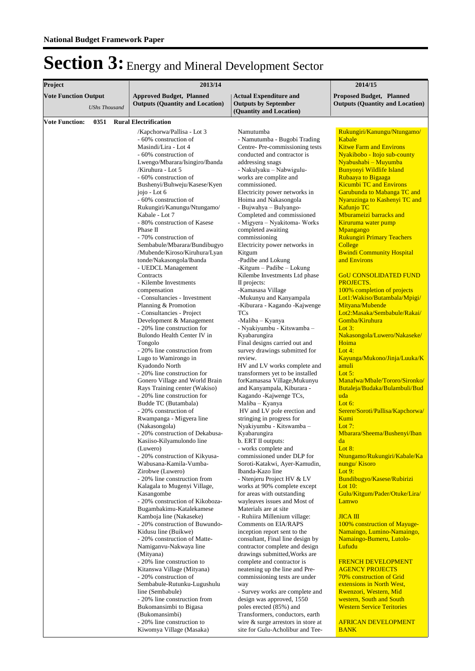| 2013/14                                                                                                                                                                                                                                                                                                                                                                                                                                                                                                                                                                                                                                                                                                                                                                                                                |                                                                                                                                                                                                                                                                                                                                                                                                                                                                                                                                                                                                                                                                                                                                                                                                                  | 2014/15                                                                                                                                                                                                                                                                                                                                                                                                                                                                                                                                                                                                                                                                                                                        |  |
|------------------------------------------------------------------------------------------------------------------------------------------------------------------------------------------------------------------------------------------------------------------------------------------------------------------------------------------------------------------------------------------------------------------------------------------------------------------------------------------------------------------------------------------------------------------------------------------------------------------------------------------------------------------------------------------------------------------------------------------------------------------------------------------------------------------------|------------------------------------------------------------------------------------------------------------------------------------------------------------------------------------------------------------------------------------------------------------------------------------------------------------------------------------------------------------------------------------------------------------------------------------------------------------------------------------------------------------------------------------------------------------------------------------------------------------------------------------------------------------------------------------------------------------------------------------------------------------------------------------------------------------------|--------------------------------------------------------------------------------------------------------------------------------------------------------------------------------------------------------------------------------------------------------------------------------------------------------------------------------------------------------------------------------------------------------------------------------------------------------------------------------------------------------------------------------------------------------------------------------------------------------------------------------------------------------------------------------------------------------------------------------|--|
| <b>Approved Budget, Planned</b><br><b>Outputs (Quantity and Location)</b>                                                                                                                                                                                                                                                                                                                                                                                                                                                                                                                                                                                                                                                                                                                                              | <b>Actual Expenditure and</b><br><b>Outputs by September</b>                                                                                                                                                                                                                                                                                                                                                                                                                                                                                                                                                                                                                                                                                                                                                     | <b>Proposed Budget, Planned</b><br><b>Outputs (Quantity and Location)</b>                                                                                                                                                                                                                                                                                                                                                                                                                                                                                                                                                                                                                                                      |  |
|                                                                                                                                                                                                                                                                                                                                                                                                                                                                                                                                                                                                                                                                                                                                                                                                                        |                                                                                                                                                                                                                                                                                                                                                                                                                                                                                                                                                                                                                                                                                                                                                                                                                  |                                                                                                                                                                                                                                                                                                                                                                                                                                                                                                                                                                                                                                                                                                                                |  |
| <b>Rural Electrification</b><br>/Kapchorwa/Pallisa - Lot 3<br>- 60% construction of<br>Masindi/Lira - Lot 4<br>- 60% construction of<br>Lwengo/Mbarara/Isingiro/Ibanda<br>/Kiruhura - Lot 5<br>- 60% construction of<br>Bushenyi/Buhweju/Kasese/Kyen<br>jojo - Lot 6<br>- 60% construction of<br>Rukungiri/Kanungu/Ntungamo/<br>Kabale - Lot 7<br>- 80% construction of Kasese<br>Phase II<br>- 70% construction of<br>Sembabule/Mbarara/Bundibugyo<br>/Mubende/Kiroso/Kiruhura/Lyan<br>tonde/Nakasongola/Ibanda<br>- UEDCL Management<br>Contracts<br>- Kilembe Investments<br>compensation<br>- Consultancies - Investment<br>Planning & Promotion<br>- Consultancies - Project<br>Development & Management<br>- 20% line construction for<br>Bulondo Health Center IV in<br>Tongolo<br>- 20% line construction from | (Quantity and Location)<br>Namutumba<br>- Namutumba - Bugobi Trading<br>Centre-Pre-commissioning tests<br>conducted and contractor is<br>addressing snags<br>- Nakulyaku - Nabwigulu-<br>works are complite and<br>commissioned.<br>Electricity power networks in<br>Hoima and Nakasongola<br>- Bujwahya - Bulyango-<br>Completed and commissioned<br>- Migyera - Nyakitoma- Works<br>completed awaiting<br>commissioning<br>Electricity power networks in<br>Kitgum<br>-Padibe and Lokung<br>-Kitgum $-$ Padibe $-$ Lokung<br>Kilembe Investments Ltd phase<br>II projects:<br>-Kamasasa Village<br>-Mukunyu and Kanyampala<br>-Kiburara - Kagando - Kajwenge<br><b>TCs</b><br>-Maliba - Kyanya<br>- Nyakiyumbu - Kitswamba -<br>Kyabarungira<br>Final designs carried out and<br>survey drawings submitted for | Rukungiri/Kanungu/Ntungamo/<br>Kabale<br><b>Kitwe Farm and Environs</b><br>Nyakibobo - Itojo sub-county<br>Nyabushabi - Muyumba<br>Bunyonyi Wildlife Island<br>Rubaaya to Bigaaga<br><b>Kicumbi TC and Environs</b><br>Garubunda to Mabanga TC and<br>Nyaruzinga to Kashenyi TC and<br><b>Kafunjo TC</b><br>Mburameizi barracks and<br>Kiruruma water pump<br>Mpangango<br><b>Rukungiri Primary Teachers</b><br>College<br><b>Bwindi Community Hospital</b><br>and Environs<br><b>GOU CONSOLIDATED FUND</b><br>PROJECTS.<br>100% completion of projects<br>Lot1: Wakiso/Butambala/Mpigi/<br>Mityana/Mubende<br>Lot2:Masaka/Sembabule/Rakai/<br>Gomba/Kiruhura<br>Lot $3:$<br>Nakasongola/Luwero/Nakaseke/<br>Hoima<br>Lot $4:$ |  |
| Lugo to Wamirongo in<br>Kyadondo North<br>- 20% line construction for<br>Gonero Village and World Brain<br>Rays Training center (Wakiso)<br>- 20% line construction for<br>Budde TC (Butambala)<br>- 20% construction of<br>Rwampanga - Migyera line<br>(Nakasongola)<br>- 20% construction of Dekabusa-<br>Kasiiso-Kilyamulondo line<br>(Luwero)<br>- 20% construction of Kikyusa-                                                                                                                                                                                                                                                                                                                                                                                                                                    | review.<br>HV and LV works complete and<br>transformers yet to be installed<br>forKamasasa Village, Mukunyu<br>and Kanyampala, Kiburara -<br>Kagando - Kajwenge TCs,<br>Maliba - Kyanya<br>HV and LV pole erection and<br>stringing in progress for<br>Nyakiyumbu - Kitswamba -<br>Kyabarungira<br>b. ERT II outputs:<br>- works complete and<br>commissioned under DLP for                                                                                                                                                                                                                                                                                                                                                                                                                                      | Kayunga/Mukono/Jinja/Luuka/K<br>amuli<br>Lot $5:$<br>Manafwa/Mbale/Tororo/Sironko/<br>Butaleja/Budaka/Bulambuli/Bud<br>uda<br>Lot $6:$<br>Serere/Soroti/Pallisa/Kapchorwa/<br>Kumi<br>Lot $7:$<br>Mbarara/Sheema/Bushenyi/Iban<br>da<br>Lot $8:$<br>Ntungamo/Rukungiri/Kabale/Ka                                                                                                                                                                                                                                                                                                                                                                                                                                               |  |
| Zirobwe (Luwero)<br>- 20% line construction from<br>Kalagala to Mugenyi Village,<br>Kasangombe<br>- 20% construction of Kikoboza-<br>Bugambakimu-Katalekamese<br>Kamboja line (Nakaseke)<br>- 20% construction of Buwundo-<br>Kidusu line (Buikwe)<br>- 20% construction of Matte-<br>Namiganvu-Nakwaya line<br>(Mityana)<br>- 20% line construction to<br>Kitanswa Village (Mityana)<br>- 20% construction of<br>Sembabule-Rutunku-Lugushulu<br>line (Sembabule)<br>- 20% line construction from<br>Bukomansimbi to Bigasa<br>(Bukomansimbi)                                                                                                                                                                                                                                                                          | Ibanda-Kazo line<br>- Ntenjeru Project HV & LV<br>works at 90% complete except<br>for areas with outstanding<br>wayleaves issues and Most of<br>Materials are at site<br>- Ruhiira Millenium village:<br>Comments on EIA/RAPS<br>inception report sent to the<br>consultant, Final line design by<br>contractor complete and design<br>drawings submitted, Works are<br>complete and contractor is<br>neatening up the line and Pre-<br>commissioning tests are under<br>way<br>- Survey works are complete and<br>design was approved, 1550<br>poles erected (85%) and<br>Transformers, conductors, earth                                                                                                                                                                                                       | nungu/Kisoro<br>Lot $9:$<br>Bundibugyo/Kasese/Rubirizi<br>Lot $10$ :<br>Gulu/Kitgum/Pader/Otuke/Lira/<br>Lamwo<br>JICAIII<br>100% construction of Mayuge-<br>Namaingo, Lumino-Namaingo,<br>Namaingo-Bumeru, Lutolo-<br>Lufudu<br><b>FRENCH DEVELOPMENT</b><br><b>AGENCY PROJECTS</b><br>70% construction of Grid<br>extensions in North West,<br>Rwenzori, Western, Mid<br>western, South and South<br><b>Western Service Teritories</b><br><b>AFRICAN DEVELOPMENT</b>                                                                                                                                                                                                                                                         |  |
|                                                                                                                                                                                                                                                                                                                                                                                                                                                                                                                                                                                                                                                                                                                                                                                                                        | Wabusana-Kamila-Vumba-<br>- 20% line construction to<br>Kiwomya Village (Masaka)                                                                                                                                                                                                                                                                                                                                                                                                                                                                                                                                                                                                                                                                                                                                 | Soroti-Katakwi, Ayer-Kamudin,<br>wire & surge arrestors in store at<br>site for Gulu-Acholibur and Tee-                                                                                                                                                                                                                                                                                                                                                                                                                                                                                                                                                                                                                        |  |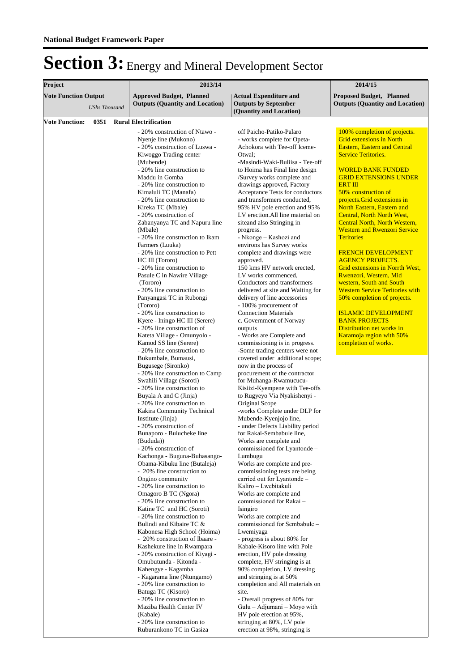| Project                                             |  | 2013/14                                                                                                                                                                                                                                                                                                                                                                                                                                                                                                                                                                                                                                                                                                                                          |                                                                                                                                                                                                                                                                                                                                                                                                                                                                                                                                                                                                                                                                                                                                                                           | 2014/15                                                                                                                                                                                                                                                                                                                                                                                                                                                                                                                                                 |
|-----------------------------------------------------|--|--------------------------------------------------------------------------------------------------------------------------------------------------------------------------------------------------------------------------------------------------------------------------------------------------------------------------------------------------------------------------------------------------------------------------------------------------------------------------------------------------------------------------------------------------------------------------------------------------------------------------------------------------------------------------------------------------------------------------------------------------|---------------------------------------------------------------------------------------------------------------------------------------------------------------------------------------------------------------------------------------------------------------------------------------------------------------------------------------------------------------------------------------------------------------------------------------------------------------------------------------------------------------------------------------------------------------------------------------------------------------------------------------------------------------------------------------------------------------------------------------------------------------------------|---------------------------------------------------------------------------------------------------------------------------------------------------------------------------------------------------------------------------------------------------------------------------------------------------------------------------------------------------------------------------------------------------------------------------------------------------------------------------------------------------------------------------------------------------------|
| <b>Vote Function Output</b><br><b>UShs Thousand</b> |  | <b>Approved Budget, Planned</b><br><b>Outputs (Quantity and Location)</b>                                                                                                                                                                                                                                                                                                                                                                                                                                                                                                                                                                                                                                                                        | <b>Actual Expenditure and</b><br><b>Outputs by September</b><br>(Quantity and Location)                                                                                                                                                                                                                                                                                                                                                                                                                                                                                                                                                                                                                                                                                   | <b>Proposed Budget, Planned</b><br><b>Outputs (Quantity and Location)</b>                                                                                                                                                                                                                                                                                                                                                                                                                                                                               |
| <b>Vote Function:</b><br>0351                       |  | <b>Rural Electrification</b><br>- 20% construction of Ntawo -<br>Nyenje line (Mukono)<br>- 20% construction of Luswa -<br>Kiwoggo Trading center<br>(Mubende)<br>- 20% line construction to<br>Maddu in Gomba<br>- 20% line construction to<br>Kimaluli TC (Manafa)<br>- 20% line construction to<br>Kireka TC (Mbale)<br>- 20% construction of<br>Zabanyanya TC and Napuru line<br>(Mbale)<br>- 20% line construction to Ikam<br>Farmers (Luuka)<br>- 20% line construction to Pett<br>HC III (Tororo)<br>- 20% line construction to                                                                                                                                                                                                            | off Paicho-Patiko-Palaro<br>- works complete for Opeta-<br>Achokora with Tee-off Iceme-<br>Otwal:<br>-Masindi-Waki-Buliisa - Tee-off<br>to Hoima has Final line design<br>/Survey works complete and<br>drawings approved, Factory<br>Acceptance Tests for conductors<br>and transformers conducted,<br>95% HV pole erection and 95%<br>LV erection.All line material on<br>siteand also Stringing in<br>progress.<br>- Nkonge - Kashozi and<br>environs has Survey works<br>complete and drawings were<br>approved.<br>150 kms HV network erected,<br>LV works commenced,                                                                                                                                                                                                | 100% completion of projects.<br><b>Grid extensions in North</b><br><b>Eastern, Eastern and Central</b><br><b>Service Teritories.</b><br><b>WORLD BANK FUNDED</b><br><b>GRID EXTENSIONS UNDER</b><br><b>ERT III</b><br>50% construction of<br>projects. Grid extensions in<br>North Eastern, Eastern and<br>Central, North North West,<br>Central North, North Western,<br><b>Western and Rwenzori Service</b><br><b>Teritories</b><br><b>FRENCH DEVELOPMENT</b><br><b>AGENCY PROJECTS.</b><br>Grid extensions in Norrth West,<br>Rwenzori, Western, Mid |
|                                                     |  | Pasule C in Nawire Village<br>(Tororo)<br>- 20% line construction to<br>Panyangasi TC in Rubongi<br>(Tororo)<br>- 20% line construction to<br>Kyere - Iningo HC III (Serere)<br>- 20% line construction of<br>Kateta Village - Omunyolo -<br>Kamod SS line (Serere)<br>- 20% line construction to<br>Bukumbale, Bumausi,<br>Bugusege (Sironko)<br>- 20% line construction to Camp<br>Swahili Village (Soroti)<br>- 20% line construction to<br>Buyala A and C (Jinja)<br>- 20% line construction to<br>Kakira Community Technical<br>Institute (Jinja)<br>- 20% construction of<br>Bunaporo - Bulucheke line<br>(Bududa))<br>- 20% construction of<br>Kachonga - Buguna-Buhasango-<br>Obama-Kibuku line (Butaleja)<br>- 20% line construction to | Conductors and transformers<br>delivered at site and Waiting for<br>delivery of line accessories<br>- 100% procurement of<br><b>Connection Materials</b><br>c. Government of Norway<br>outputs<br>- Works are Complete and<br>commissioning is in progress.<br>-Some trading centers were not<br>covered under additional scope;<br>now in the process of<br>procurement of the contractor<br>for Muhanga-Rwamucucu-<br>Kisiizi-Kyempene with Tee-offs<br>to Rugyeyo Via Nyakishenyi -<br>Original Scope<br>-works Complete under DLP for<br>Mubende-Kyenjojo line,<br>- under Defects Liability period<br>for Rakai-Sembabule line,<br>Works are complete and<br>commissioned for Lyantonde -<br>Lumbugu<br>Works are complete and pre-<br>commissioning tests are being | western. South and South<br><b>Western Service Teritories with</b><br>50% completion of projects.<br><b>ISLAMIC DEVELOPMENT</b><br><b>BANK PROJECTS</b><br>Distribution net works in<br><b>Karamoja region with 50%</b><br>completion of works.                                                                                                                                                                                                                                                                                                         |
|                                                     |  | Ongino community<br>- 20% line construction to<br>Omagoro B TC (Ngora)<br>- 20% line construction to<br>Katine TC and HC (Soroti)<br>- 20% line construction to<br>Bulindi and Kibaire TC &<br>Kabonesa High School (Hoima)<br>- 20% construction of Ibaare -<br>Kashekure line in Rwampara<br>- 20% construction of Kiyagi -<br>Omubutunda - Kitonda -<br>Kahengye - Kagamba<br>- Kagarama line (Ntungamo)<br>- 20% line construction to<br>Batuga TC (Kisoro)<br>- 20% line construction to<br>Maziba Health Center IV<br>(Kabale)<br>- 20% line construction to<br>Ruburankono TC in Gasiza                                                                                                                                                   | carried out for Lyantonde -<br>Kaliro - Lwebitakuli<br>Works are complete and<br>commissioned for Rakai -<br>Isingiro<br>Works are complete and<br>commissioned for Sembabule -<br>Lwemiyaga<br>- progress is about 80% for<br>Kabale-Kisoro line with Pole<br>erection, HV pole dressing<br>complete, HV stringing is at<br>90% completion, LV dressing<br>and stringing is at 50%<br>completion and All materials on<br>site.<br>- Overall progress of 80% for<br>Gulu - Adjumani - Moyo with<br>HV pole erection at 95%,<br>stringing at 80%, LV pole<br>erection at 98%, stringing is                                                                                                                                                                                 |                                                                                                                                                                                                                                                                                                                                                                                                                                                                                                                                                         |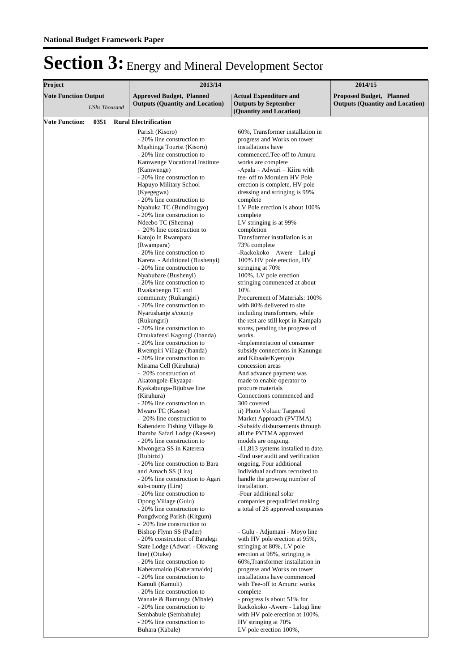| Project                     |                      | 2013/14                                                                                                                                                                                                                                                                                                                                                                                                                                                                                                                                                                                                                                                                                                           | 2014/15                                                                                                                                                                                                                                                                                                                                                                                                                                                                                                                                                                                                                                                                                                                                                                               |                                                                           |
|-----------------------------|----------------------|-------------------------------------------------------------------------------------------------------------------------------------------------------------------------------------------------------------------------------------------------------------------------------------------------------------------------------------------------------------------------------------------------------------------------------------------------------------------------------------------------------------------------------------------------------------------------------------------------------------------------------------------------------------------------------------------------------------------|---------------------------------------------------------------------------------------------------------------------------------------------------------------------------------------------------------------------------------------------------------------------------------------------------------------------------------------------------------------------------------------------------------------------------------------------------------------------------------------------------------------------------------------------------------------------------------------------------------------------------------------------------------------------------------------------------------------------------------------------------------------------------------------|---------------------------------------------------------------------------|
| <b>Vote Function Output</b> | <b>UShs Thousand</b> | <b>Approved Budget, Planned</b><br><b>Outputs (Quantity and Location)</b>                                                                                                                                                                                                                                                                                                                                                                                                                                                                                                                                                                                                                                         | <b>Actual Expenditure and</b><br><b>Outputs by September</b>                                                                                                                                                                                                                                                                                                                                                                                                                                                                                                                                                                                                                                                                                                                          | <b>Proposed Budget, Planned</b><br><b>Outputs (Quantity and Location)</b> |
| <b>Vote Function:</b>       |                      | 0351 Rural Electrification                                                                                                                                                                                                                                                                                                                                                                                                                                                                                                                                                                                                                                                                                        |                                                                                                                                                                                                                                                                                                                                                                                                                                                                                                                                                                                                                                                                                                                                                                                       |                                                                           |
|                             |                      | Parish (Kisoro)<br>- 20% line construction to<br>Mgahinga Tourist (Kisoro)<br>- 20% line construction to<br>Kamwenge Vocational Institute<br>(Kamwenge)<br>- 20% line construction to<br>Hapuyo Military School<br>(Kyegegwa)<br>- 20% line construction to<br>Nyahuka TC (Bundibugyo)<br>- 20% line construction to<br>Ndeebo TC (Sheema)<br>- 20% line construction to<br>Katojo in Rwampara<br>(Rwampara)<br>- 20% line construction to<br>Karera - Additional (Bushenyi)<br>- 20% line construction to<br>Nyabubare (Bushenyi)<br>- 20% line construction to<br>Rwakabengo TC and<br>community (Rukungiri)<br>- 20% line construction to<br>Nyarushanje s/county<br>(Rukungiri)<br>- 20% line construction to | (Quantity and Location)<br>60%, Transformer installation in<br>progress and Works on tower<br>installations have<br>commenced. Tee-off to Amuru<br>works are complete<br>-Apala – Adwari – Kiiru with<br>tee- off to Morulem HV Pole<br>erection is complete, HV pole<br>dressing and stringing is 99%<br>complete<br>LV Pole erection is about 100%<br>complete<br>LV stringing is at 99%<br>completion<br>Transformer installation is at<br>73% complete<br>-Rackokoko – Awere – Lalogi<br>100% HV pole erection, HV<br>stringing at 70%<br>100%, LV pole erection<br>stringing commenced at about<br>10%<br>Procurement of Materials: 100%<br>with 80% delivered to site<br>including transformers, while<br>the rest are still kept in Kampala<br>stores, pending the progress of |                                                                           |
|                             |                      | Omukafensi Kagongi (Ibanda)<br>- 20% line construction to<br>Rwempiri Village (Ibanda)<br>- 20% line construction to<br>Mirama Cell (Kiruhura)<br>- 20% construction of<br>Akatongole-Ekyaapa-<br>Kyakabunga-Bijubwe line<br>(Kiruhura)                                                                                                                                                                                                                                                                                                                                                                                                                                                                           | works.<br>-Implementation of consumer<br>subsidy connections in Kanungu<br>and Kibaale/Kyenjojo<br>concession areas<br>And advance payment was<br>made to enable operator to<br>procure materials<br>Connections commenced and                                                                                                                                                                                                                                                                                                                                                                                                                                                                                                                                                        |                                                                           |
|                             |                      | - 20% line construction to<br>Mwaro TC (Kasese)<br>- 20% line construction to<br>Kahendero Fishing Village &<br>Ibamba Safari Lodge (Kasese)<br>- 20% line construction to<br>Mwongera SS in Katerera<br>(Rubirizi)<br>- 20% line construction to Bara<br>and Amach SS (Lira)                                                                                                                                                                                                                                                                                                                                                                                                                                     | 300 covered<br>ii) Photo Voltaic Targeted<br>Market Approach (PVTMA)<br>-Subsidy disbursements through<br>all the PVTMA approved<br>models are ongoing.<br>-11,813 systems installed to date.<br>-End user audit and verification<br>ongoing. Four additional<br>Individual auditors recruited to                                                                                                                                                                                                                                                                                                                                                                                                                                                                                     |                                                                           |
|                             |                      | - 20% line construction to Agari<br>sub-county (Lira)<br>- 20% line construction to<br>Opong Village (Gulu)<br>- 20% line construction to<br>Pongdwong Parish (Kitgum)<br>- 20% line construction to                                                                                                                                                                                                                                                                                                                                                                                                                                                                                                              | handle the growing number of<br>installation.<br>-Four additional solar<br>companies prequalified making<br>a total of 28 approved companies                                                                                                                                                                                                                                                                                                                                                                                                                                                                                                                                                                                                                                          |                                                                           |
|                             |                      | Bishop Flynn SS (Pader)<br>- 20% construction of Baralegi<br>State Lodge (Adwari - Okwang<br>line) (Otuke)<br>- 20% line construction to<br>Kaberamaido (Kaberamaido)<br>- 20% line construction to<br>Kamuli (Kamuli)<br>- 20% line construction to<br>Wanale & Bumungu (Mbale)<br>- 20% line construction to<br>Sembabule (Sembabule)<br>- 20% line construction to<br>Buhara (Kabale)                                                                                                                                                                                                                                                                                                                          | - Gulu - Adjumani - Moyo line<br>with HV pole erection at 95%,<br>stringing at 80%, LV pole<br>erection at 98%, stringing is<br>60%, Transformer installation in<br>progress and Works on tower<br>installations have commenced<br>with Tee-off to Amuru: works<br>complete<br>- progress is about 51% for<br>Rackokoko - Awere - Lalogi line<br>with HV pole erection at 100%,<br>HV stringing at 70%<br>LV pole erection 100%,                                                                                                                                                                                                                                                                                                                                                      |                                                                           |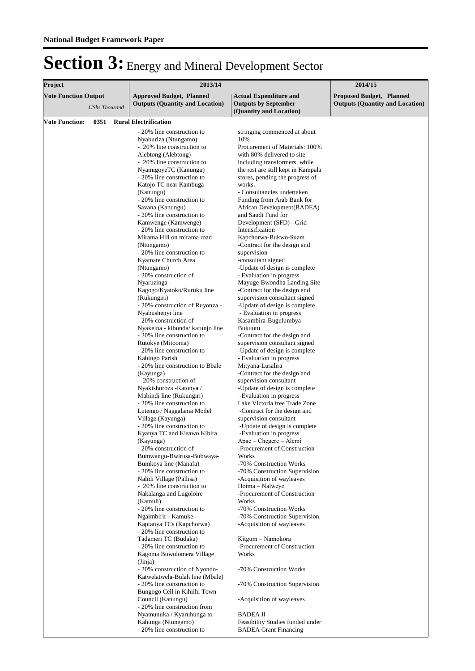| Project                                             |      | 2013/14                                                                                                                                                                                                                                                                                                                                                                                                                                                                                                                                                                                                                                                                                                                                                                                                                                                                                                                                                                                                        | 2014/15                                                                                                                                                                                                                                                                                                                                                                                                                                                                                                                                                                                                                                                                                                                                                                                                                                                                           |                                                                           |  |
|-----------------------------------------------------|------|----------------------------------------------------------------------------------------------------------------------------------------------------------------------------------------------------------------------------------------------------------------------------------------------------------------------------------------------------------------------------------------------------------------------------------------------------------------------------------------------------------------------------------------------------------------------------------------------------------------------------------------------------------------------------------------------------------------------------------------------------------------------------------------------------------------------------------------------------------------------------------------------------------------------------------------------------------------------------------------------------------------|-----------------------------------------------------------------------------------------------------------------------------------------------------------------------------------------------------------------------------------------------------------------------------------------------------------------------------------------------------------------------------------------------------------------------------------------------------------------------------------------------------------------------------------------------------------------------------------------------------------------------------------------------------------------------------------------------------------------------------------------------------------------------------------------------------------------------------------------------------------------------------------|---------------------------------------------------------------------------|--|
| <b>Vote Function Output</b><br><b>UShs Thousand</b> |      | <b>Approved Budget, Planned</b><br><b>Outputs (Quantity and Location)</b>                                                                                                                                                                                                                                                                                                                                                                                                                                                                                                                                                                                                                                                                                                                                                                                                                                                                                                                                      | <b>Actual Expenditure and</b><br><b>Outputs by September</b>                                                                                                                                                                                                                                                                                                                                                                                                                                                                                                                                                                                                                                                                                                                                                                                                                      | <b>Proposed Budget, Planned</b><br><b>Outputs (Quantity and Location)</b> |  |
|                                                     |      |                                                                                                                                                                                                                                                                                                                                                                                                                                                                                                                                                                                                                                                                                                                                                                                                                                                                                                                                                                                                                |                                                                                                                                                                                                                                                                                                                                                                                                                                                                                                                                                                                                                                                                                                                                                                                                                                                                                   |                                                                           |  |
| <b>Vote Function:</b>                               | 0351 | <b>Rural Electrification</b><br>- 20% line construction to<br>Nyaburiza (Ntungamo)<br>- 20% line construction to<br>Alebtong (Alebtong)<br>- 20% line construction to<br>NyamigoyeTC (Kanungu)<br>- 20% line construction to<br>Katojo TC near Kambuga<br>(Kanungu)<br>- 20% line construction to<br>Savana (Kanungu)<br>- 20% line construction to<br>Kamwenge (Kamwenge)<br>- 20% line construction to<br>Mirama Hill on mirama road<br>(Ntungamo)<br>- 20% line construction to<br>Kyamate Church Area<br>(Ntungamo)<br>- 20% construction of<br>Nyaruzinga -<br>Kagogo/Kyatoko/Ruruku line<br>(Rukungiri)<br>- 20% construction of Ruyonza -<br>Nyabushenyi line<br>- 20% construction of<br>Nyakeina - kibunda/ kafunjo line<br>- 20% line construction to                                                                                                                                                                                                                                                | (Quantity and Location)<br>stringing commenced at about<br>10%<br>Procurement of Materials: 100%<br>with 80% delivered to site<br>including transformers, while<br>the rest are still kept in Kampala<br>stores, pending the progress of<br>works.<br>- Consultancies undertaken<br>Funding from Arab Bank for<br>African Development(BADEA)<br>and Saudi Fund for<br>Development (SFD) - Grid<br>Intensification<br>Kapchorwa-Bukwo-Suam<br>-Contract for the design and<br>supervision<br>-consultant signed<br>-Update of design is complete<br>- Evaluation in progress<br>Mayuge-Bwondha Landing Site<br>-Contract for the design and<br>supervision consultant signed<br>-Update of design is complete<br>- Evaluation in progress<br>Kasambira-Bugulumbya-<br>Bukuutu<br>-Contract for the design and                                                                      |                                                                           |  |
|                                                     |      | Rutokye (Mitooma)<br>- 20% line construction to<br>Kabingo Parish<br>- 20% line construction to Bbale<br>(Kayunga)<br>- 20% construction of<br>Nyakishoroza - Katonya /<br>Mabindi line (Rukungiri)<br>- 20% line construction to<br>Lutengo / Naggalama Model<br>Village (Kayunga)<br>- 20% line construction to<br>Kyanya TC and Kisawo Kibira<br>(Kayunga)<br>- 20% construction of<br>Bumwangu-Bwirusa-Bubwaya-<br>Bumkoya line (Manafa)<br>- 20% line construction to<br>Nalidi Village (Pallisa)<br>- 20% line construction to<br>Nakalanga and Lugoloire<br>(Kamuli)<br>- 20% line construction to<br>Ngaimbirir - Kamuke -<br>Kaptanya TCs (Kapchorwa)<br>- 20% line construction to<br>Tadameri TC (Budaka)<br>- 20% line construction to<br>Kagoma Buwolomera Village<br>(Jinja)<br>- 20% construction of Nyondo-<br>Katwelatwela-Bulah line (Mbale)<br>- 20% line construction to<br>Bungogo Cell in Kihiihi Town<br>Council (Kanungu)<br>- 20% line construction from<br>Nyamunuka / Kyaruhunga to | supervision consultant signed<br>-Update of design is complete<br>- Evaluation in progress<br>Mityana-Lusalira<br>-Contract for the design and<br>supervision consultant<br>-Update of design is complete<br>-Evaluation in progress<br>Lake Victoria free Trade Zone<br>-Contract for the design and<br>supervision consultant<br>-Update of design is complete<br>Evaluation in progress<br>Apac – Chegere – Alemi<br>-Procurement of Construction<br>Works<br>-70% Construction Works<br>-70% Construction Supervision.<br>-Acquisition of wayleaves<br>Hoima - Nalweyo<br>-Procurement of Construction<br>Works<br>-70% Construction Works<br>-70% Construction Supervision.<br>-Acquisition of wayleaves<br>Kitgum - Namokora<br>-Procurement of Construction<br>Works<br>-70% Construction Works<br>-70% Construction Supervision.<br>-Acquisition of wayleaves<br>BADEA II |                                                                           |  |
|                                                     |      | Kahunga (Ntungamo)<br>- 20% line construction to                                                                                                                                                                                                                                                                                                                                                                                                                                                                                                                                                                                                                                                                                                                                                                                                                                                                                                                                                               | Feasibility Studies funded under<br><b>BADEA</b> Grant Financing                                                                                                                                                                                                                                                                                                                                                                                                                                                                                                                                                                                                                                                                                                                                                                                                                  |                                                                           |  |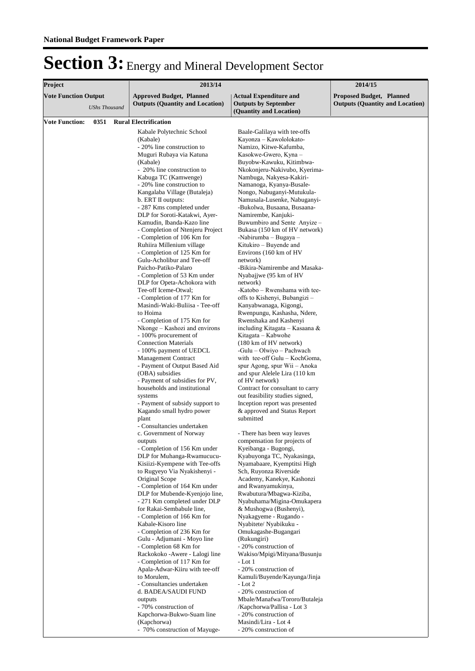| Project                     |                      |  | 2013/14                                                                                                                                                                                                                                                                                                                                                                                                                                                                                                                                                                                                                                                                                                                                                                                                                                                                                                                                                                                                                                                                                                                                                                                                                                                                                                                                                                                                                                                                                                                                                                | 2014/15                                                                                                                                                                                                                                                                                                                                                                                                                                                                                                                                                                                                                                                                                                                                                                                                                                                                                                                                                                                                                                                                                                                                                                                                                                                                                                                                                                                                                                                                                                                                                                |                                                                           |  |
|-----------------------------|----------------------|--|------------------------------------------------------------------------------------------------------------------------------------------------------------------------------------------------------------------------------------------------------------------------------------------------------------------------------------------------------------------------------------------------------------------------------------------------------------------------------------------------------------------------------------------------------------------------------------------------------------------------------------------------------------------------------------------------------------------------------------------------------------------------------------------------------------------------------------------------------------------------------------------------------------------------------------------------------------------------------------------------------------------------------------------------------------------------------------------------------------------------------------------------------------------------------------------------------------------------------------------------------------------------------------------------------------------------------------------------------------------------------------------------------------------------------------------------------------------------------------------------------------------------------------------------------------------------|------------------------------------------------------------------------------------------------------------------------------------------------------------------------------------------------------------------------------------------------------------------------------------------------------------------------------------------------------------------------------------------------------------------------------------------------------------------------------------------------------------------------------------------------------------------------------------------------------------------------------------------------------------------------------------------------------------------------------------------------------------------------------------------------------------------------------------------------------------------------------------------------------------------------------------------------------------------------------------------------------------------------------------------------------------------------------------------------------------------------------------------------------------------------------------------------------------------------------------------------------------------------------------------------------------------------------------------------------------------------------------------------------------------------------------------------------------------------------------------------------------------------------------------------------------------------|---------------------------------------------------------------------------|--|
| <b>Vote Function Output</b> | <b>UShs Thousand</b> |  | <b>Approved Budget, Planned</b><br><b>Outputs (Quantity and Location)</b>                                                                                                                                                                                                                                                                                                                                                                                                                                                                                                                                                                                                                                                                                                                                                                                                                                                                                                                                                                                                                                                                                                                                                                                                                                                                                                                                                                                                                                                                                              | <b>Actual Expenditure and</b><br><b>Outputs by September</b>                                                                                                                                                                                                                                                                                                                                                                                                                                                                                                                                                                                                                                                                                                                                                                                                                                                                                                                                                                                                                                                                                                                                                                                                                                                                                                                                                                                                                                                                                                           | <b>Proposed Budget, Planned</b><br><b>Outputs (Quantity and Location)</b> |  |
|                             |                      |  |                                                                                                                                                                                                                                                                                                                                                                                                                                                                                                                                                                                                                                                                                                                                                                                                                                                                                                                                                                                                                                                                                                                                                                                                                                                                                                                                                                                                                                                                                                                                                                        |                                                                                                                                                                                                                                                                                                                                                                                                                                                                                                                                                                                                                                                                                                                                                                                                                                                                                                                                                                                                                                                                                                                                                                                                                                                                                                                                                                                                                                                                                                                                                                        |                                                                           |  |
| <b>Vote Function:</b>       | 0351                 |  | <b>Rural Electrification</b><br>Kabale Polytechnic School<br>(Kabale)<br>- 20% line construction to<br>Muguri Rubaya via Katuna<br>(Kabale)<br>- 20% line construction to<br>Kabuga TC (Kamwenge)<br>- 20% line construction to<br>Kangalaba Village (Butaleja)<br>b. ERT II outputs:<br>- 287 Kms completed under<br>DLP for Soroti-Katakwi, Ayer-<br>Kamudin, Ibanda-Kazo line<br>- Completion of Ntenjeru Project<br>- Completion of 106 Km for<br>Ruhiira Millenium village<br>- Completion of 125 Km for<br>Gulu-Acholibur and Tee-off<br>Paicho-Patiko-Palaro<br>- Completion of 53 Km under<br>DLP for Opeta-Achokora with<br>Tee-off Iceme-Otwal;<br>- Completion of 177 Km for<br>Masindi-Waki-Buliisa - Tee-off<br>to Hoima<br>- Completion of 175 Km for<br>Nkonge – Kashozi and environs<br>- 100% procurement of<br><b>Connection Materials</b><br>- 100% payment of UEDCL<br><b>Management Contract</b><br>- Payment of Output Based Aid<br>(OBA) subsidies<br>- Payment of subsidies for PV,<br>households and institutional<br>systems<br>- Payment of subsidy support to<br>Kagando small hydro power<br>plant<br>- Consultancies undertaken<br>c. Government of Norway<br>outputs<br>- Completion of 156 Km under<br>DLP for Muhanga-Rwamucucu-<br>Kisiizi-Kyempene with Tee-offs<br>to Rugyeyo Via Nyakishenyi -<br>Original Scope<br>- Completion of 164 Km under<br>DLP for Mubende-Kyenjojo line,<br>- 271 Km completed under DLP<br>for Rakai-Sembabule line,<br>- Completion of 166 Km for<br>Kabale-Kisoro line<br>- Completion of 236 Km for | (Quantity and Location)<br>Baale-Galilaya with tee-offs<br>Kayonza – Kawololokato-<br>Namizo, Kitwe-Kafumba,<br>Kasokwe-Gwero, Kyna –<br>Buyobw-Kawuku, Kitimbwa-<br>Nkokonjeru-Nakivubo, Kyerima-<br>Nambuga, Nakyesa-Kakiri-<br>Namanoga, Kyanya-Busale-<br>Nongo, Nabuganyi-Mutukula-<br>Namusala-Lusenke, Nabuganyi-<br>-Bukolwa, Busaana, Busaana-<br>Namirembe, Kanjuki-<br>Buwumbiro and Sente Anyize –<br>Bukasa (150 km of HV network)<br>-Nabirumba – Bugaya –<br>Kitukiro – Buyende and<br>Environs (160 km of HV<br>network)<br>-Bikira-Namirembe and Masaka-<br>Nyabajjwe (95 km of HV<br>network)<br>-Katobo - Rwenshama with tee-<br>offs to Kishenyi, Bubangizi –<br>Kanyabwanaga, Kigongi,<br>Rwenpungu, Kashasha, Ndere,<br>Rwenshaka and Kashenyi<br>including Kitagata – Kasaana &<br>Kitagata – Kabwohe<br>$(180 \text{ km of HV network})$<br>-Gulu – Olwiyo – Pachwach<br>with tee-off Gulu - KochGoma,<br>spur Agong, spur Wii – Anoka<br>and spur Alelele Lira (110 km<br>of HV network)<br>Contract for consultant to carry<br>out feasibility studies signed,<br>Inception report was presented<br>& approved and Status Report<br>submitted<br>There has been way leaves<br>compensation for projects of<br>Kyeibanga - Bugongi,<br>Kyabuyonga TC, Nyakasinga,<br>Nyamabaare, Kyemptitsi High<br>Sch, Ruyonza Riverside<br>Academy, Kanekye, Kashonzi<br>and Rwanyamukinya,<br>Rwabutura/Mbagwa-Kiziba,<br>Nyabuhama/Migina-Omukapera<br>& Mushogwa (Bushenyi),<br>Nyakagyeme - Rugando -<br>Nyabitete/Nyabikuku -<br>Omukagashe-Bugangari |                                                                           |  |
|                             |                      |  |                                                                                                                                                                                                                                                                                                                                                                                                                                                                                                                                                                                                                                                                                                                                                                                                                                                                                                                                                                                                                                                                                                                                                                                                                                                                                                                                                                                                                                                                                                                                                                        |                                                                                                                                                                                                                                                                                                                                                                                                                                                                                                                                                                                                                                                                                                                                                                                                                                                                                                                                                                                                                                                                                                                                                                                                                                                                                                                                                                                                                                                                                                                                                                        |                                                                           |  |
|                             |                      |  | Gulu - Adjumani - Moyo line<br>- Completion 68 Km for<br>Rackokoko - Awere - Lalogi line<br>- Completion of 117 Km for<br>Apala-Adwar-Kiiru with tee-off<br>to Morulem,                                                                                                                                                                                                                                                                                                                                                                                                                                                                                                                                                                                                                                                                                                                                                                                                                                                                                                                                                                                                                                                                                                                                                                                                                                                                                                                                                                                                | (Rukungiri)<br>- 20% construction of<br>Wakiso/Mpigi/Mityana/Busunju<br>- Lot 1<br>- 20% construction of<br>Kamuli/Buyende/Kayunga/Jinja                                                                                                                                                                                                                                                                                                                                                                                                                                                                                                                                                                                                                                                                                                                                                                                                                                                                                                                                                                                                                                                                                                                                                                                                                                                                                                                                                                                                                               |                                                                           |  |
|                             |                      |  | - Consultancies undertaken<br>d. BADEA/SAUDI FUND<br>outputs<br>- 70% construction of<br>Kapchorwa-Bukwo-Suam line<br>(Kapchorwa)                                                                                                                                                                                                                                                                                                                                                                                                                                                                                                                                                                                                                                                                                                                                                                                                                                                                                                                                                                                                                                                                                                                                                                                                                                                                                                                                                                                                                                      | $-Lot2$<br>- 20% construction of<br>Mbale/Manafwa/Tororo/Butaleja<br>/Kapchorwa/Pallisa - Lot 3<br>- 20% construction of<br>Masindi/Lira - Lot 4                                                                                                                                                                                                                                                                                                                                                                                                                                                                                                                                                                                                                                                                                                                                                                                                                                                                                                                                                                                                                                                                                                                                                                                                                                                                                                                                                                                                                       |                                                                           |  |
|                             |                      |  | - 70% construction of Mayuge-                                                                                                                                                                                                                                                                                                                                                                                                                                                                                                                                                                                                                                                                                                                                                                                                                                                                                                                                                                                                                                                                                                                                                                                                                                                                                                                                                                                                                                                                                                                                          | - 20% construction of                                                                                                                                                                                                                                                                                                                                                                                                                                                                                                                                                                                                                                                                                                                                                                                                                                                                                                                                                                                                                                                                                                                                                                                                                                                                                                                                                                                                                                                                                                                                                  |                                                                           |  |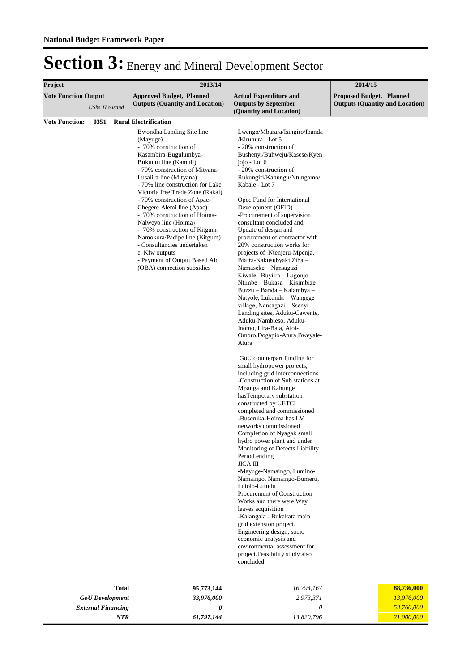| Project                                             | 2013/14                                                                                                                                                                                                                                                                                                                                                                                                                                                                                                                                                                                    |                                                                                                                                                                                                                                                                                                                                                                                                                                                                                                                                                                                                                                                                                                                                                                                                                                                                                                                                                                                                                                                                                                                                                                                                                                                                                                                                                                                                                                                                                                                                                                                                | 2014/15                                                                   |  |  |
|-----------------------------------------------------|--------------------------------------------------------------------------------------------------------------------------------------------------------------------------------------------------------------------------------------------------------------------------------------------------------------------------------------------------------------------------------------------------------------------------------------------------------------------------------------------------------------------------------------------------------------------------------------------|------------------------------------------------------------------------------------------------------------------------------------------------------------------------------------------------------------------------------------------------------------------------------------------------------------------------------------------------------------------------------------------------------------------------------------------------------------------------------------------------------------------------------------------------------------------------------------------------------------------------------------------------------------------------------------------------------------------------------------------------------------------------------------------------------------------------------------------------------------------------------------------------------------------------------------------------------------------------------------------------------------------------------------------------------------------------------------------------------------------------------------------------------------------------------------------------------------------------------------------------------------------------------------------------------------------------------------------------------------------------------------------------------------------------------------------------------------------------------------------------------------------------------------------------------------------------------------------------|---------------------------------------------------------------------------|--|--|
|                                                     |                                                                                                                                                                                                                                                                                                                                                                                                                                                                                                                                                                                            |                                                                                                                                                                                                                                                                                                                                                                                                                                                                                                                                                                                                                                                                                                                                                                                                                                                                                                                                                                                                                                                                                                                                                                                                                                                                                                                                                                                                                                                                                                                                                                                                |                                                                           |  |  |
| <b>Vote Function Output</b><br><b>UShs Thousand</b> | <b>Approved Budget, Planned</b><br><b>Outputs (Quantity and Location)</b>                                                                                                                                                                                                                                                                                                                                                                                                                                                                                                                  | <b>Actual Expenditure and</b><br><b>Outputs by September</b><br>(Quantity and Location)                                                                                                                                                                                                                                                                                                                                                                                                                                                                                                                                                                                                                                                                                                                                                                                                                                                                                                                                                                                                                                                                                                                                                                                                                                                                                                                                                                                                                                                                                                        | <b>Proposed Budget, Planned</b><br><b>Outputs (Quantity and Location)</b> |  |  |
| <b>Vote Function:</b><br>0351                       | <b>Rural Electrification</b><br>Bwondha Landing Site line<br>(Mayuge)<br>- 70% construction of<br>Kasambira-Bugulumbya-<br>Bukuutu line (Kamuli)<br>- 70% construction of Mityana-<br>Lusalira line (Mityana)<br>- 70% line construction for Lake<br>Victoria free Trade Zone (Rakai)<br>- 70% construction of Apac-<br>Chegere-Alemi line (Apac)<br>- 70% construction of Hoima-<br>Nalweyo line (Hoima)<br>- 70% construction of Kitgum-<br>Namokora/Padipe line (Kitgum)<br>- Consultancies undertaken<br>e. Kfw outputs<br>- Payment of Output Based Aid<br>(OBA) connection subsidies | Lwengo/Mbarara/Isingiro/Ibanda<br>/Kiruhura - Lot 5<br>- 20% construction of<br>Bushenyi/Buhweju/Kasese/Kyen<br>jojo - Lot 6<br>- 20% construction of<br>Rukungiri/Kanungu/Ntungamo/<br>Kabale - Lot 7<br>Opec Fund for International<br>Development (OFID)<br>-Procurement of supervision<br>consultant concluded and<br>Update of design and<br>procurement of contractor with<br>20% construction works for<br>projects of Ntenjeru-Mpenja,<br>Biafra-Nakusubyaki, Ziba -<br>Namaseke - Nansagazi -<br>Kiwale-Buyiira - Lugonjo -<br>Ntimbe - Bukasa - Kisimbize -<br>Buzzu - Banda - Kalambya -<br>Natyole, Lukonda – Wangege<br>village, Nansagazi - Ssenyi<br>Landing sites, Aduku-Cawente,<br>Aduku-Nambieso, Aduku-<br>Inomo, Lira-Bala, Aloi-<br>Omoro, Dogapio-Atura, Bweyale-<br>Atura<br>GoU counterpart funding for<br>small hydropower projects,<br>including grid interconnections<br>-Construction of Sub stations at<br>Mpanga and Kahunge<br>hasTemporary substation<br>constructed by UETCL<br>completed and commissioned<br>-Buseruka-Hoima has LV<br>networks commissioned<br>Completion of Nyagak small<br>hydro power plant and under<br>Monitoring of Defects Liability<br>Period ending<br><b>JICA III</b><br>-Mayuge-Namaingo, Lumino-<br>Namaingo, Namaingo-Bumeru,<br>Lutolo-Lufudu<br>Procurement of Construction<br>Works and there were Way<br>leaves acquisition<br>-Kalangala - Bukakata main<br>grid extension project.<br>Engineering design, socio<br>economic analysis and<br>environmental assessment for<br>project.Feasibility study also<br>concluded |                                                                           |  |  |
| Total                                               | 95,773,144                                                                                                                                                                                                                                                                                                                                                                                                                                                                                                                                                                                 | 16,794,167                                                                                                                                                                                                                                                                                                                                                                                                                                                                                                                                                                                                                                                                                                                                                                                                                                                                                                                                                                                                                                                                                                                                                                                                                                                                                                                                                                                                                                                                                                                                                                                     | 88,736,000                                                                |  |  |
| <b>GoU</b> Development                              | 33,976,000                                                                                                                                                                                                                                                                                                                                                                                                                                                                                                                                                                                 | 2,973,371                                                                                                                                                                                                                                                                                                                                                                                                                                                                                                                                                                                                                                                                                                                                                                                                                                                                                                                                                                                                                                                                                                                                                                                                                                                                                                                                                                                                                                                                                                                                                                                      | 13,976,000                                                                |  |  |
| <b>External Financing</b>                           | 0                                                                                                                                                                                                                                                                                                                                                                                                                                                                                                                                                                                          | 0                                                                                                                                                                                                                                                                                                                                                                                                                                                                                                                                                                                                                                                                                                                                                                                                                                                                                                                                                                                                                                                                                                                                                                                                                                                                                                                                                                                                                                                                                                                                                                                              | 53,760,000                                                                |  |  |
| <b>NTR</b>                                          | 61,797,144                                                                                                                                                                                                                                                                                                                                                                                                                                                                                                                                                                                 | 13,820,796                                                                                                                                                                                                                                                                                                                                                                                                                                                                                                                                                                                                                                                                                                                                                                                                                                                                                                                                                                                                                                                                                                                                                                                                                                                                                                                                                                                                                                                                                                                                                                                     | 21,000,000                                                                |  |  |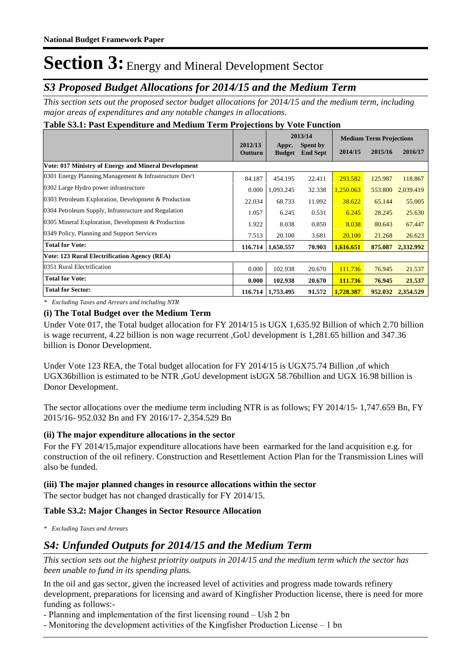## *S3 Proposed Budget Allocations for 2014/15 and the Medium Term*

*This section sets out the proposed sector budget allocations for 2014/15 and the medium term, including major areas of expenditures and any notable changes in allocations.* 

### **Table S3.1: Past Expenditure and Medium Term Projections by Vote Function**

|                                                         |                    | 2013/14                |                                    | <b>Medium Term Projections</b> |         |           |
|---------------------------------------------------------|--------------------|------------------------|------------------------------------|--------------------------------|---------|-----------|
|                                                         | 2012/13<br>Outturn | Appr.<br><b>Budget</b> | <b>Spent by</b><br><b>End Sept</b> | 2014/15                        | 2015/16 | 2016/17   |
| Vote: 017 Ministry of Energy and Mineral Development    |                    |                        |                                    |                                |         |           |
| 0301 Energy Planning, Management & Infrastructure Dev't | 84.187             | 454.195                | 22.411                             | 293.582                        | 125.987 | 118.867   |
| 0302 Large Hydro power infrastructure                   | 0.000              | 1,093.245              | 32.338                             | 1,250.063                      | 553.800 | 2,039.419 |
| 0303 Petroleum Exploration, Development & Production    | 22.034             | 68.733                 | 11.092                             | 38.622                         | 65.144  | 55.005    |
| 0304 Petroleum Supply, Infrastructure and Regulation    | 1.057              | 6.245                  | 0.531                              | 6.245                          | 28.245  | 25.630    |
| 0305 Mineral Exploration, Development & Production      | 1.922              | 8.038                  | 0.850                              | 8.038                          | 80.643  | 67.447    |
| 0349 Policy, Planning and Support Services              | 7.513              | 20.100                 | 3.681                              | 20.100                         | 21.268  | 26.623    |
| <b>Total for Vote:</b>                                  | 116.714            | 1,650.557              | 70.903                             | 1.616.651                      | 875.087 | 2,332.992 |
| <b>Vote: 123 Rural Electrification Agency (REA)</b>     |                    |                        |                                    |                                |         |           |
| 0351 Rural Electrification                              | 0.000              | 102.938                | 20.670                             | 111.736                        | 76.945  | 21.537    |
| <b>Total for Vote:</b>                                  | 0.000              | 102.938                | 20.670                             | 111.736                        | 76.945  | 21.537    |
| <b>Total for Sector:</b>                                | 116.714            | 1,753.495              | 91.572                             | 1,728.387                      | 952.032 | 2,354.529 |

*\* Excluding Taxes and Arrears and including NTR*

### **(i) The Total Budget over the Medium Term**

Under Vote 017, the Total budget allocation for FY 2014/15 is UGX 1,635.92 Billion of which 2.70 billion is wage recurrent, 4.22 billion is non wage recurrent ,GoU development is 1,281.65 billion and 347.36 billion is Donor Development.

Under Vote 123 REA, the Total budget allocation for FY 2014/15 is UGX75.74 Billion ,of which UGX36billion is estimated to be NTR ,GoU development isUGX 58.76billion and UGX 16.98 billion is Donor Development.

The sector allocations over the mediume term including NTR is as follows; FY 2014/15- 1,747.659 Bn, FY 2015/16- 952.032 Bn and FY 2016/17- 2,354.529 Bn

### **(ii) The major expenditure allocations in the sector**

For the FY 2014/15,major expenditure allocations have been earmarked for the land acquisition e.g. for construction of the oil refinery. Construction and Resettlement Action Plan for the Transmission Lines will also be funded.

### **(iii) The major planned changes in resource allocations within the sector**

The sector budget has not changed drastically for FY 2014/15.

### **Table S3.2: Major Changes in Sector Resource Allocation**

*\* Excluding Taxes and Arrears*

### *S4: Unfunded Outputs for 2014/15 and the Medium Term*

*This section sets out the highest priotrity outputs in 2014/15 and the medium term which the sector has been unable to fund in its spending plans.*

In the oil and gas sector, given the increased level of activities and progress made towards refinery development, preparations for licensing and award of Kingfisher Production license, there is need for more funding as follows:-

- Planning and implementation of the first licensing round – Ush 2 bn

- Monitoring the development activities of the Kingfisher Production License – 1 bn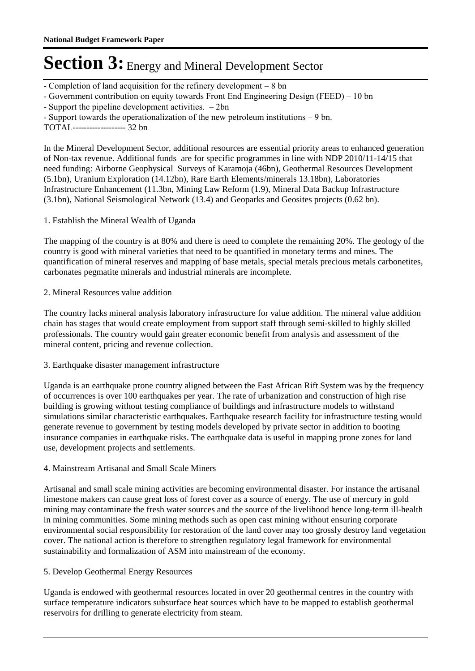- Completion of land acquisition for the refinery development – 8 bn

- Government contribution on equity towards Front End Engineering Design (FEED) – 10 bn

- Support the pipeline development activities. – 2bn

- Support towards the operationalization of the new petroleum institutions – 9 bn.

TOTAL------------------- 32 bn

In the Mineral Development Sector, additional resources are essential priority areas to enhanced generation of Non-tax revenue. Additional funds are for specific programmes in line with NDP 2010/11-14/15 that need funding: Airborne Geophysical Surveys of Karamoja (46bn), Geothermal Resources Development (5.1bn), Uranium Exploration (14.12bn), Rare Earth Elements/minerals 13.18bn), Laboratories Infrastructure Enhancement (11.3bn, Mining Law Reform (1.9), Mineral Data Backup Infrastructure (3.1bn), National Seismological Network (13.4) and Geoparks and Geosites projects (0.62 bn).

1. Establish the Mineral Wealth of Uganda

The mapping of the country is at 80% and there is need to complete the remaining 20%. The geology of the country is good with mineral varieties that need to be quantified in monetary terms and mines. The quantification of mineral reserves and mapping of base metals, special metals precious metals carbonetites, carbonates pegmatite minerals and industrial minerals are incomplete.

### 2. Mineral Resources value addition

The country lacks mineral analysis laboratory infrastructure for value addition. The mineral value addition chain has stages that would create employment from support staff through semi-skilled to highly skilled professionals. The country would gain greater economic benefit from analysis and assessment of the mineral content, pricing and revenue collection.

#### 3. Earthquake disaster management infrastructure

Uganda is an earthquake prone country aligned between the East African Rift System was by the frequency of occurrences is over 100 earthquakes per year. The rate of urbanization and construction of high rise building is growing without testing compliance of buildings and infrastructure models to withstand simulations similar characteristic earthquakes. Earthquake research facility for infrastructure testing would generate revenue to government by testing models developed by private sector in addition to booting insurance companies in earthquake risks. The earthquake data is useful in mapping prone zones for land use, development projects and settlements.

#### 4. Mainstream Artisanal and Small Scale Miners

Artisanal and small scale mining activities are becoming environmental disaster. For instance the artisanal limestone makers can cause great loss of forest cover as a source of energy. The use of mercury in gold mining may contaminate the fresh water sources and the source of the livelihood hence long-term ill-health in mining communities. Some mining methods such as open cast mining without ensuring corporate environmental social responsibility for restoration of the land cover may too grossly destroy land vegetation cover. The national action is therefore to strengthen regulatory legal framework for environmental sustainability and formalization of ASM into mainstream of the economy.

#### 5. Develop Geothermal Energy Resources

Uganda is endowed with geothermal resources located in over 20 geothermal centres in the country with surface temperature indicators subsurface heat sources which have to be mapped to establish geothermal reservoirs for drilling to generate electricity from steam.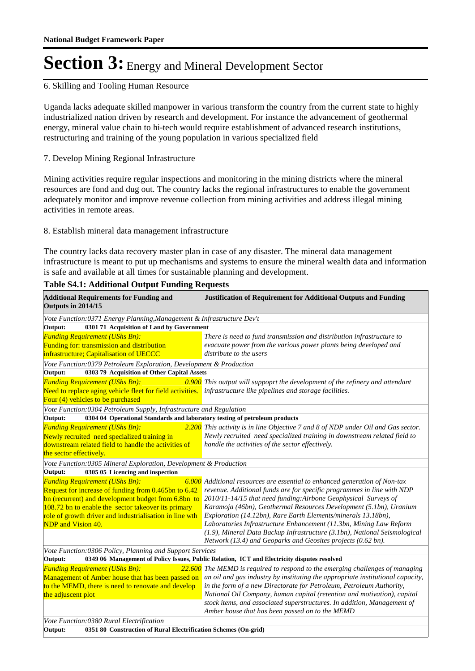#### 6. Skilling and Tooling Human Resource

Uganda lacks adequate skilled manpower in various transform the country from the current state to highly industrialized nation driven by research and development. For instance the advancement of geothermal energy, mineral value chain to hi-tech would require establishment of advanced research institutions, restructuring and training of the young population in various specialized field

### 7. Develop Mining Regional Infrastructure

Mining activities require regular inspections and monitoring in the mining districts where the mineral resources are fond and dug out. The country lacks the regional infrastructures to enable the government adequately monitor and improve revenue collection from mining activities and address illegal mining activities in remote areas.

#### 8. Establish mineral data management infrastructure

The country lacks data recovery master plan in case of any disaster. The mineral data management infrastructure is meant to put up mechanisms and systems to ensure the mineral wealth data and information is safe and available at all times for sustainable planning and development.

| <b>Additional Requirements for Funding and</b><br>Outputs in 2014/15                                            | <b>Justification of Requirement for Additional Outputs and Funding</b>                                                                          |  |  |  |
|-----------------------------------------------------------------------------------------------------------------|-------------------------------------------------------------------------------------------------------------------------------------------------|--|--|--|
| Vote Function:0371 Energy Planning, Management & Infrastructure Dev't                                           |                                                                                                                                                 |  |  |  |
| 0301 71 Acquisition of Land by Government<br>Output:                                                            |                                                                                                                                                 |  |  |  |
| <b>Funding Requirement (UShs Bn):</b>                                                                           | There is need to fund transmission and distribution infrastructure to                                                                           |  |  |  |
| Funding for: transmission and distribution                                                                      | evacuate power from the various power plants being developed and                                                                                |  |  |  |
| infrastructure; Capitalisation of UECCC                                                                         | distribute to the users                                                                                                                         |  |  |  |
| Vote Function:0379 Petroleum Exploration, Development & Production                                              |                                                                                                                                                 |  |  |  |
| Output:<br>0303 79 Acquisition of Other Capital Assets                                                          |                                                                                                                                                 |  |  |  |
| <b>Funding Requirement (UShs Bn):</b>                                                                           | 0.900 This output will suppoprt the development of the refinery and attendant                                                                   |  |  |  |
| Need to replace aging vehicle fleet for field activities. infrastructure like pipelines and storage facilities. |                                                                                                                                                 |  |  |  |
| Four (4) vehicles to be purchased                                                                               |                                                                                                                                                 |  |  |  |
| Vote Function:0304 Petroleum Supply, Infrastructure and Regulation                                              |                                                                                                                                                 |  |  |  |
| 0304 04 Operational Standards and laboratory testing of petroleum products<br>Output:                           |                                                                                                                                                 |  |  |  |
| <b>Funding Requirement (UShs Bn):</b>                                                                           | 2.200 This activity is in line Objective 7 and 8 of NDP under Oil and Gas sector.                                                               |  |  |  |
| Newly recruited need specialized training in                                                                    | Newly recruited need specialized training in downstream related field to                                                                        |  |  |  |
| downstream related field to handle the activities of                                                            | handle the activities of the sector effectively.                                                                                                |  |  |  |
| the sector effectively.                                                                                         |                                                                                                                                                 |  |  |  |
| Vote Function:0305 Mineral Exploration, Development & Production                                                |                                                                                                                                                 |  |  |  |
| 0305 05 Licencing and inspection<br>Output:                                                                     |                                                                                                                                                 |  |  |  |
| <b>Funding Requirement (UShs Bn):</b>                                                                           | 6.000 Additional resources are essential to enhanced generation of Non-tax                                                                      |  |  |  |
| Request for increase of funding from 0.465bn to 6.42                                                            | revenue. Additional funds are for specific programmes in line with NDP                                                                          |  |  |  |
| bn (recurrent) and development budget from 6.8bn to                                                             | 2010/11-14/15 that need funding: Airbone Geophysical Surveys of                                                                                 |  |  |  |
| 108.72 bn to enable the sector takeover its primary                                                             | Karamoja (46bn), Geothermal Resources Development (5.1bn), Uranium                                                                              |  |  |  |
| role of growth driver and industrialisation in line wth                                                         | Exploration (14.12bn), Rare Earth Elements/minerals 13.18bn),                                                                                   |  |  |  |
| NDP and Vision 40.                                                                                              | Laboratories Infrastructure Enhancement (11.3bn, Mining Law Reform                                                                              |  |  |  |
|                                                                                                                 | (1.9), Mineral Data Backup Infrastructure (3.1bn), National Seismological                                                                       |  |  |  |
|                                                                                                                 | Network (13.4) and Geoparks and Geosites projects (0.62 bn).                                                                                    |  |  |  |
| Vote Function: 0306 Policy, Planning and Support Services                                                       |                                                                                                                                                 |  |  |  |
| 0349 06 Management of Policy Issues, Public Relation, ICT and Electricity disputes resolved<br>Output:          |                                                                                                                                                 |  |  |  |
| <b>Funding Requirement (UShs Bn):</b>                                                                           | 22.600 The MEMD is required to respond to the emerging challenges of managing                                                                   |  |  |  |
|                                                                                                                 | Management of Amber house that has been passed on an oil and gas industry by instituting the appropriate institutional capacity,                |  |  |  |
| to the MEMD, there is need to renovate and develop<br>the adjuscent plot                                        | in the form of a new Directorate for Petroleum, Petroleum Authority,<br>National Oil Company, human capital (retention and motivation), capital |  |  |  |
|                                                                                                                 | stock items, and associated superstructures. In addition, Management of                                                                         |  |  |  |
|                                                                                                                 | Amber house that has been passed on to the MEMD                                                                                                 |  |  |  |
| Vote Function:0380 Rural Electrification                                                                        |                                                                                                                                                 |  |  |  |
| Output:<br>0351 80 Construction of Rural Electrification Schemes (On-grid)                                      |                                                                                                                                                 |  |  |  |
|                                                                                                                 |                                                                                                                                                 |  |  |  |

### **Table S4.1: Additional Output Funding Requests**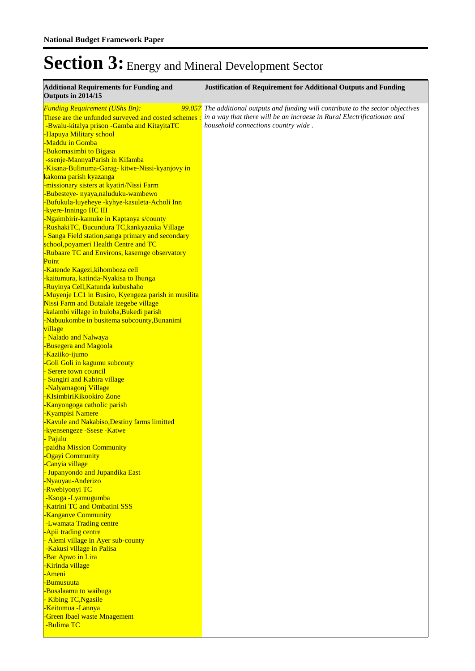| <b>Additional Requirements for Funding and</b><br>Outputs in 2014/15                                                                                                                                                                                                                                                                                                                                                                                                                                                                                                                                                                                                                                                                                | <b>Justification of Requirement for Additional Outputs and Funding</b>                                                                                                                              |
|-----------------------------------------------------------------------------------------------------------------------------------------------------------------------------------------------------------------------------------------------------------------------------------------------------------------------------------------------------------------------------------------------------------------------------------------------------------------------------------------------------------------------------------------------------------------------------------------------------------------------------------------------------------------------------------------------------------------------------------------------------|-----------------------------------------------------------------------------------------------------------------------------------------------------------------------------------------------------|
| <b>Funding Requirement (UShs Bn):</b><br>These are the unfunded surveyed and costed schemes :<br>-Bwalu-kitalya prison -Gamba and KitayitaTC<br>-Hapuya Military school<br>-Maddu in Gomba<br>-Bukomasimbi to Bigasa<br>-ssenje-MannyaParish in Kifamba<br>-Kisana-Bulinuma-Garag- kitwe-Nissi-kyanjovy in<br><mark>kakoma parish kyazanga</mark><br>-missionary sisters at kyatiri/Nissi Farm<br>-Bubesteye- nyaya,naluduku-wambewo<br>-Bufukula-luyeheye -kyhye-kasuleta-Acholi Inn<br>-kyere-Inningo HC III<br>-Ngaimbirir-kamuke in Kaptanya s/county<br>-RushakiTC, Bucundura TC, kankyazuka Village                                                                                                                                           | 99.057 The additional outputs and funding will contribute to the sector objectives<br>in a way that there will be an incraese in Rural Electrificationan and<br>household connections country wide. |
| - Sanga Field station, sanga primary and secondary<br>school, poyameri Health Centre and TC<br>-Rubaare TC and Environs, kasernge observatory                                                                                                                                                                                                                                                                                                                                                                                                                                                                                                                                                                                                       |                                                                                                                                                                                                     |
| Point<br>-Katende Kagezi, kihomboza cell<br>-kaitumura, katinda-Nyakisa to Ihunga<br>-Ruyinya Cell, Katunda kubushaho<br>-Muyenje LC1 in Busiro, Kyengeza parish in musilita<br>Nissi Farm and Butalale izegebe village<br>-kalambi village in buloba, Bukedi parish<br>-Nabuukombe in busitema subcounty, Bunanimi<br>village<br>- Nalado and Nalwaya<br>-Busegera and Magoola<br>-Kaziiko-ijumo<br>-Goli Goli in kagumu subcouty<br>- Serere town council<br>- Sungiri and Kabira village<br>-Nalyamagonj Village<br>-KIsimbiriKikookiro Zone<br>-Kanyongoga catholic parish<br><b>Kyampisi Namere</b><br>-Kavule and Nakabiso, Destiny farms limitted<br>-kyensengeze -Ssese -Katwe<br>- Pajulu<br>-paidha Mission Community<br>-Ogayi Community |                                                                                                                                                                                                     |
| -Canyia village<br>- Jupanyondo and Jupandika East<br>-Nyauyau-Anderizo<br>-Rwebiyonyi TC<br>-Ksoga -Lyamugumba<br>-Katrini TC and Ombatini SSS<br>-Kanganve Community<br>-Lwamata Trading centre<br>-Apii trading centre<br>- Alemi village in Ayer sub-county<br>-Kakusi village in Palisa<br>-Bar Apwo in Lira<br>-Kirinda village<br><u>-Ameni</u>                                                                                                                                                                                                                                                                                                                                                                                              |                                                                                                                                                                                                     |
| -Bumusuuta<br>-Busalaamu to waibuga<br>- Kibing TC, Ngasile<br>-Keitumua -Lannya<br><b>-Green Ibael waste Mnagement</b><br>-Bulima TC                                                                                                                                                                                                                                                                                                                                                                                                                                                                                                                                                                                                               |                                                                                                                                                                                                     |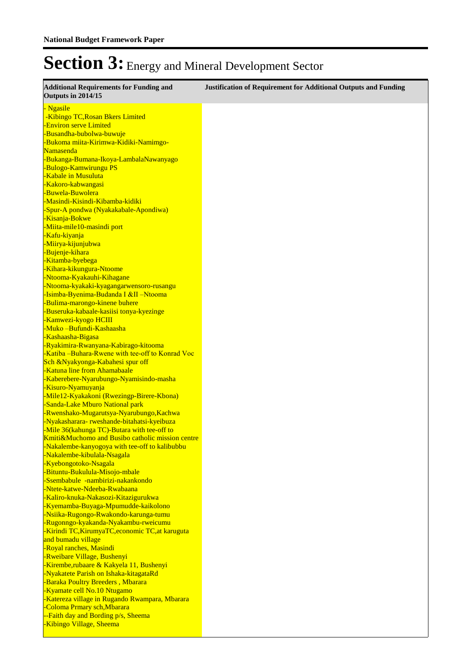| <b>Additional Requirements for Funding and</b><br>Outputs in 2014/15                     | <b>Justification of Requirement for Additional Outputs and Funding</b> |
|------------------------------------------------------------------------------------------|------------------------------------------------------------------------|
| - Ngasile                                                                                |                                                                        |
| -Kibingo TC, Rosan Bkers Limited                                                         |                                                                        |
| -Environ serve Limited                                                                   |                                                                        |
| -Busandha-bubolwa-buwuje                                                                 |                                                                        |
| -Bukoma miita-Kirimwa-Kidiki-Namimgo-                                                    |                                                                        |
| Namasenda                                                                                |                                                                        |
| -Bukanga-Bumana-Ikoya-LambalaNawanyago<br>-Bulogo-Kamwirungu PS                          |                                                                        |
| -Kabale in Musuluta                                                                      |                                                                        |
| -Kakoro-kabwangasi                                                                       |                                                                        |
| -Buwela-Buwolera                                                                         |                                                                        |
| -Masindi-Kisindi-Kibamba-kidiki                                                          |                                                                        |
| -Spur-A pondwa (Nyakakabale-Apondiwa)                                                    |                                                                        |
| -Kisanja-Bokwe                                                                           |                                                                        |
| -Miita-mile10-masindi port                                                               |                                                                        |
| -Kafu-kiyanja                                                                            |                                                                        |
| -Miirya-kijunjubwa                                                                       |                                                                        |
| -Bujenje-kihara                                                                          |                                                                        |
| -Kitamba-byebega                                                                         |                                                                        |
| -Kihara-kikungura-Ntoome                                                                 |                                                                        |
| -Ntooma-Kyakauhi-Kihagane                                                                |                                                                        |
| -Ntooma-kyakaki-kyagangarwensoro-rusangu                                                 |                                                                        |
| -Isimba-Byenima-Budanda I &II –Ntooma<br>-Bulima-marongo-kinene buhere                   |                                                                        |
| -Buseruka-kabaale-kasiisi tonya-kyezinge                                                 |                                                                        |
| -Kamwezi-kyogo HCIII                                                                     |                                                                        |
| -Muko -Bufundi-Kashaasha                                                                 |                                                                        |
| -Kashaasha-Bigasa                                                                        |                                                                        |
| -Ryakimira-Rwanyana-Kabirago-kitooma                                                     |                                                                        |
| -Katiba -Buhara-Rwene with tee-off to Konrad Voc                                         |                                                                        |
| Sch &Nyakyonga-Kabahesi spur off                                                         |                                                                        |
| -Katuna line from Ahamabaale                                                             |                                                                        |
| -Kaberebere-Nyarubungo-Nyamisindo-masha                                                  |                                                                        |
| -Kisuro-Nyamuyanja                                                                       |                                                                        |
| -Mile12-Kyakakoni (Rwezingp-Birere-Kbona)                                                |                                                                        |
| -Sanda-Lake Mburo National park<br>-Rwenshako-Mugarutsya-Nyarubungo, Kachwa              |                                                                        |
| -Nyakasharara-rweshande-bitahatsi-kyeibuza                                               |                                                                        |
| -Mile 36(kahunga TC)-Butara with tee-off to                                              |                                                                        |
| Kmiti&Muchomo and Busibo catholic mission centre                                         |                                                                        |
| -Nakalembe-kanyogoya with tee-off to kalibubbu                                           |                                                                        |
| -Nakalembe-kibulala-Nsagala                                                              |                                                                        |
| -Kyebongotoko-Nsagala                                                                    |                                                                        |
| -Bituntu-Bukulula-Misojo-mbale                                                           |                                                                        |
| -Ssembabule -nambirizi-nakankondo                                                        |                                                                        |
| -Ntete-katwe-Ndeeba-Rwabaana                                                             |                                                                        |
| -Kaliro-knuka-Nakasozi-Kitazigurukwa                                                     |                                                                        |
| -Kyemamba-Buyaga-Mpumudde-kaikolono                                                      |                                                                        |
| -Nsiika-Rugongo-Rwakondo-karunga-tumu                                                    |                                                                        |
| -Rugonngo-kyakanda-Nyakambu-rweicumu<br>-Kirindi TC, KirumyaTC, economic TC, at karuguta |                                                                        |
| and bumadu village                                                                       |                                                                        |
| -Royal ranches, Masindi                                                                  |                                                                        |
| -Rweibare Village, Bushenyi                                                              |                                                                        |
| Kirembe, rubaare & Kakyela 11, Bushenyi                                                  |                                                                        |
| -Nyakatete Parish on Ishaka-kitagataRd                                                   |                                                                        |
| -Baraka Poultry Breeders, Mbarara                                                        |                                                                        |
| -Kyamate cell No.10 Ntugamo                                                              |                                                                        |
| -Katereza village in Rugando Rwampara, Mbarara                                           |                                                                        |
| -Coloma Prmary sch, Mbarara                                                              |                                                                        |
| --Faith day and Bording p/s, Sheema                                                      |                                                                        |
| -Kibingo Village, Sheema                                                                 |                                                                        |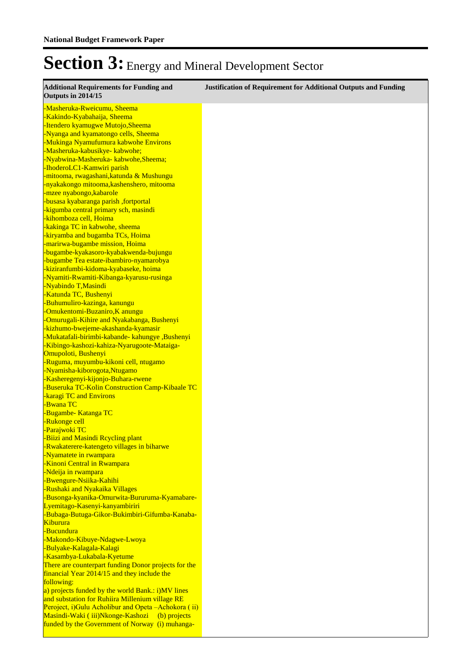| <b>Additional Requirements for Funding and</b><br><b>Outputs in 2014/15</b>            | <b>Justification of Requirement for Additional Outputs and Funding</b> |
|----------------------------------------------------------------------------------------|------------------------------------------------------------------------|
| -Masheruka-Rweicumu, Sheema                                                            |                                                                        |
| -Kakindo-Kyabahaija, Sheema                                                            |                                                                        |
| -Itendero kyamugwe Mutojo, Sheema<br>-Nyanga and kyamatongo cells, Sheema              |                                                                        |
| -Mukinga Nyamufumura kabwohe Environs                                                  |                                                                        |
| -Masheruka-kabusikye- kabwohe;                                                         |                                                                        |
| -Nyabwina-Masheruka- kabwohe, Sheema;                                                  |                                                                        |
| -IhoderoLC1-Kamwiri parish                                                             |                                                                        |
| -mitooma, rwagashani, katunda & Mushungu                                               |                                                                        |
| -nyakakongo mitooma,kashenshero, mitooma                                               |                                                                        |
| -mzee nyabongo, kabarole                                                               |                                                                        |
| -busasa kyabaranga parish, fortportal                                                  |                                                                        |
| -kigumba central primary sch, masindi                                                  |                                                                        |
| -kihomboza cell, Hoima                                                                 |                                                                        |
| -kakinga TC in kabwohe, sheema<br>-kiryamba and bugamba TCs, Hoima                     |                                                                        |
| -marirwa-bugambe mission, Hoima                                                        |                                                                        |
| -bugambe-kyakasoro-kyabakwenda-bujungu                                                 |                                                                        |
| -bugambe Tea estate-ibambiro-nyamarobya                                                |                                                                        |
| -kiziranfumbi-kidoma-kyabaseke, hoima                                                  |                                                                        |
| -Nyamiti-Rwamiti-Kibanga-kyarusu-rusinga                                               |                                                                        |
| -Nyabindo T, Masindi                                                                   |                                                                        |
| -Katunda TC, Bushenyi                                                                  |                                                                        |
| -Buhumuliro-kazinga, kanungu                                                           |                                                                        |
| -Omukentomi-Buzaniro, K anungu                                                         |                                                                        |
| -Omurugali-Kihire and Nyakabanga, Bushenyi                                             |                                                                        |
| -kizhumo-bwejeme-akashanda-kyamasir<br>-Mukatafali-birimbi-kabande- kahungye, Bushenyi |                                                                        |
| -Kibingo-kashozi-kahiza-Nyarugoote-Mataiga-                                            |                                                                        |
| Omupoloti, Bushenyi                                                                    |                                                                        |
| -Ruguma, muyumbu-kikoni cell, ntugamo                                                  |                                                                        |
| -Nyamisha-kiborogota,Ntugamo                                                           |                                                                        |
| -Kasheregenyi-kijonjo-Buhara-rwene                                                     |                                                                        |
| -Buseruka TC-Kolin Construction Camp-Kibaale TC                                        |                                                                        |
| -karagi TC and Environs                                                                |                                                                        |
| -Bwana TC                                                                              |                                                                        |
| -Bugambe- Katanga TC                                                                   |                                                                        |
| -Rukonge cell                                                                          |                                                                        |
| -Parajwoki TC<br>-Biizi and Masindi Reyeling plant                                     |                                                                        |
| -Rwakaterere-katengeto villages in biharwe                                             |                                                                        |
| -Nyamatete in rwampara                                                                 |                                                                        |
| <b>-Kinoni Central in Rwampara</b>                                                     |                                                                        |
| -Ndeija in rwampara                                                                    |                                                                        |
| -Bwengure-Nsiika-Kahihi                                                                |                                                                        |
| -Rushaki and Nyakaika Villages                                                         |                                                                        |
| -Busonga-kyanika-Omurwita-Bururuma-Kyamabare-                                          |                                                                        |
| Lyemitago-Kasenyi-kanyambiriri                                                         |                                                                        |
| -Bubaga-Butuga-Gikor-Bukimbiri-Gifumba-Kanaba-                                         |                                                                        |
| <b>Kiburura</b><br>-Bucundura                                                          |                                                                        |
| -Makondo-Kibuye-Ndagwe-Lwoya                                                           |                                                                        |
| -Bulyake-Kalagala-Kalagi                                                               |                                                                        |
| -Kasambya-Lukabala-Kyetume                                                             |                                                                        |
| There are counterpart funding Donor projects for the                                   |                                                                        |
| financial Year 2014/15 and they include the                                            |                                                                        |
| following:                                                                             |                                                                        |
| a) projects funded by the world Bank.: i)MV lines                                      |                                                                        |
| and substation for Ruhiira Millenium village RE                                        |                                                                        |
| Peroject, i) Gulu Acholibur and Opeta - Achokora (ii)                                  |                                                                        |
| Masindi-Waki (iii)Nkonge-Kashozi<br>(b) projects                                       |                                                                        |
| funded by the Government of Norway (i) muhanga-                                        |                                                                        |